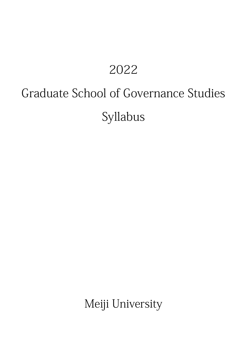## 2022

# Graduate School of Governance Studies

Syllabus

Meiji University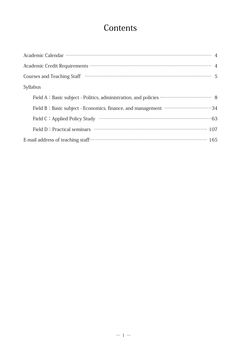## Contents

| Syllabus |
|----------|
|          |
|          |
|          |
|          |
|          |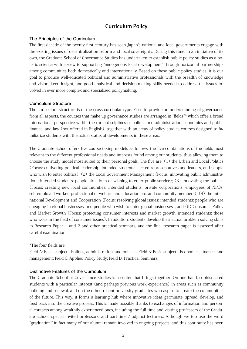#### Curriculum Policy

#### **The Principles of the Curriculum**

The first decade of the twenty-first century has seen Japan's national and local governments engage with the existing issues of decentralization reform and local sovereignty. During this time, in an initiative of its own, the Graduate School of Governance Studies has undertaken to establish public policy studies as a holistic science with a view to supporting "endogenous local development" through horizontal partnerships among communities both domestically and internationally. Based on these public policy studies, it is our goal to produce well-educated political and administrative professionals with the breadth of knowledge and vision, keen insight, and good analytical and decision-making skills needed to address the issues involved in ever more complex and specialized policymaking.

#### **Curriculum Structure**

The curriculum structure is of the cross-curricular type. First, to provide an understanding of governance from all aspects, the courses that make up governance studies are arranged in "fields"\* which offer a broad international perspective within the three disciplines of politics and administration, economics and public finance, and law (not offered in English), together with an array of policy studies courses designed to familiarize students with the actual status of developments in these areas.

The Graduate School offers five course-taking models as follows, the five combinations of the fields most relevant to the different professional needs and interests found among our students, thus allowing them to choose the study model most suited to their personal goals. The five are: (1) the Urban and Local Politics (Focus: cultivating political leadership; intended students: elected representatives and leaders, and people who wish to enter politics); (2) the Local Government Management (Focus: innovating public administration ; intended students: people already in or wishing to enter public service); (3) Innovating the publics (Focus: creating new local communities; intended students: private corporations, employees of NPOs, self-employed worker, professional of welfare and education etc. and community members); (4) the International Development and Cooperation (Focus: resolving global issues; intended students: people who are engaging in global businesses, and people who wish to enter global businesses); and (5) Consumer Policy and Market Growth (Focus: protecting consumer interests and market growth; intended students: those who work in the field of consumer issues). In addition, students develop their actual problem-solving skills in Research Paper 1 and 2 and other practical seminars, and the final research paper is assessed after careful examination.

#### \*The four fields are:

Field A: Basic subject - Politics, administration, and policies; Field B: Basic subject - Economics, finance, and management; Field C: Applied Policy Study; Field D: Practical Seminars.

#### **Distinctive Features of the Curriculum**

The Graduate School of Governance Studies is a center that brings together. On one hand, sophisticated students with a particular interest (and perhaps previous work experience) in areas such as community building and renewal, and on the other, recent university graduates who aspire to create the communities of the future. This way, it forms a learning hub where innovative ideas germinate, spread, develop, and feed back into the creative process. This is made possible thanks to exchanges of information and personal contacts among wealthily-experienced ones, including the full-time and visiting professors of the Graduate School, special invited professors, and part-time / adjunct lecturers. Although we too use the word "graduation," in fact many of our alumni remain involved in ongoing projects, and this continuity has been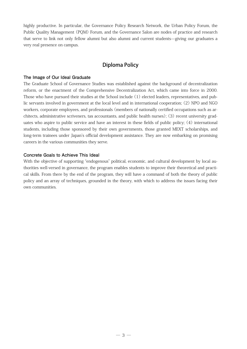highly productive. In particular, the Governance Policy Research Network, the Urban Policy Forum, the Public Quality Management (PQM) Forum, and the Governance Salon are nodes of practice and research that serve to link not only fellow alumni but also alumni and current students—giving our graduates a very real presence on campus.

#### Diploma Policy

#### **The Image of Our Ideal Graduate**

The Graduate School of Governance Studies was established against the background of decentralization reform, or the enactment of the Comprehensive Decentralization Act, which came into force in 2000. Those who have pursued their studies at the School include (1) elected leaders, representatives, and public servants involved in government at the local level and in international cooperation; (2) NPO and NGO workers, corporate employees, and professionals (members of nationally certified occupations such as architects, administrative scriveners, tax accountants, and public health nurses); (3) recent university graduates who aspire to public service and have an interest in these fields of public policy; (4) international students, including those sponsored by their own governments, those granted MEXT scholarships, and long-term trainees under Japan's official development assistance. They are now embarking on promising careers in the various communities they serve.

#### **Concrete Goals to Achieve This Ideal**

With the objective of supporting "endogenous" political, economic, and cultural development by local authorities well-versed in governance, the program enables students to improve their theoretical and practical skills. From there by the end of the program, they will have a command of both the theory of public policy and an array of techniques, grounded in the theory, with which to address the issues facing their own communities.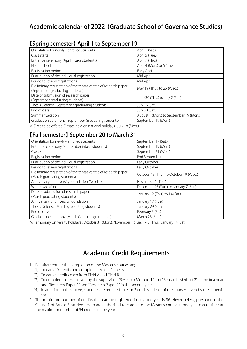## Academic calendar of 2022 (Graduate School of Governance Studies)

#### 【Spring semester】 April 1 to September 19

| Orientation for newly - enrolled students                         | April 2 (Sat.)                         |  |
|-------------------------------------------------------------------|----------------------------------------|--|
| Class starts                                                      | April 5 (Tue.)                         |  |
| Entrance ceremony (April intake students)                         | April 7 (Thu.)                         |  |
| Health check                                                      | April 4 (Mon.) or 5 (Tue.)             |  |
| Registration period                                               | Early April                            |  |
| Distribution of the individual registration                       | Mid April                              |  |
| Period to review registrations                                    | Mid April                              |  |
| Preliminary registration of the tentative title of research paper | May 19 (Thu.) to 25 (Wed.)             |  |
| (September graduating students)                                   |                                        |  |
| Date of submission of research paper                              | June 30 (Thu.) to July 2 (Sat.)        |  |
| (September graduating students)                                   |                                        |  |
| Thesis Defense (September graduating students)                    | July 16 (Sat.)                         |  |
| End of class                                                      | July 30 (Sat.)                         |  |
| Summer vacation                                                   | August 1 (Mon.) to September 19 (Mon.) |  |
| Graduation ceremony (September Graduating students)               | September 19 (Mon.)                    |  |

※ Date to be offered Classes held on national holidays : July 18 (Mon.)

### 【Fall semester】 September 20 to March 31

| Orientation for newly - enrolled students                                                        | September 17 (Sat.)                    |
|--------------------------------------------------------------------------------------------------|----------------------------------------|
| Entrance ceremony (September intake students)                                                    | September 19 (Mon.)                    |
| Class starts                                                                                     | September 21 (Wed.)                    |
| Registration period                                                                              | End September                          |
| Distribution of the individual registration                                                      | Early October                          |
| Period to review registrations                                                                   | Early October                          |
| Preliminary registration of the tentative title of research paper<br>(March graduating students) | October 13 (Thu.) to October 19 (Wed.) |
| Anniversary of university foundation (No class)                                                  | November 1 (Tue.)                      |
| Winter vacation                                                                                  | December 25 (Sun.) to January 7 (Sat.) |
| Date of submission of research paper<br>(March graduating students)                              | January 12 (Thu.) to 14 (Sat.)         |
| Anniversary of university foundation                                                             | January 17 (Tue.)                      |
| Thesis Defense (March graduating students)                                                       | January 29 (Sun.)                      |
| End of class                                                                                     | February 3 (Fri.)                      |
| Graduation ceremony (March Graduating students)                                                  | March 26 (Sun.)                        |

 $*$  Temporary University holidays : October 31 (Mon.), November 1 (Tue.)  $\sim$  3 (Thu.), January 14 (Sat.)

## Academic Credit Requirements

- 1. Requirement for the completion of the Master's course are;
	- (1) To earn 40 credits and complete a Master's thesis.
	- (2) To earn 4 credits each from Field A and Field B.
	- (3)To complete courses given by the supervisor: "Research Method 1" and "Research Method 2" in the first year and "Research Paper 1" and "Research Paper 2" in the second year.
	- (4) In addition to the above, students are required to earn 2 credits at least of the courses given by the supervisor.
- 2.The maximum number of credits that can be registered in any one year is 36. Nevertheless, pursuant to the Clause 1 of Article 5, students who are authorized to complete the Master's course in one year can register at the maximum number of 54 credits in one year.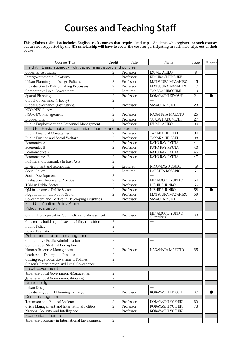## Courses and Teaching Staff

**This syllabus collection includes English-track courses that require field trips. Students who register for such courses but are not supported by the JDS scholarship will have to cover the cost for participating in such field trips out of their pocket.**

| Courses Title                                                   | Credit         | Title     | Name                     | Page    | FT Expense |
|-----------------------------------------------------------------|----------------|-----------|--------------------------|---------|------------|
| Field A: Basic subject - Politics, administration, and policies |                |           |                          |         |            |
| <b>Governance Studies</b>                                       | 2              | Professor | IZUMO AKIKO              | 8       |            |
| <b>Intergovernmental Relations</b>                              | $\overline{c}$ | Professor | KIMURA SHUNSUKE          | 11      |            |
| Urban Planning and Design Policies                              | $\overline{c}$ | Professor | MATSUURA MASAHIRO        | 15      |            |
| Introduction to Policy-making Processes                         | $\overline{2}$ | Professor | MATSUURA MASAHIRO        | 17      |            |
| Comparative Local Government                                    | $\overline{c}$ | Lecturer  | TAKADA HIROFUMI          | 19      |            |
| Spatial Planning                                                | $\overline{2}$ | Professor | KOBAYASHI KIYOSHI        | 21      |            |
| Global Governance (Theory)                                      | $\overline{c}$ |           |                          |         |            |
| <b>Global Governance (Institutions)</b>                         | $\overline{c}$ | Professor | SASAOKA YUICHI           | 23      |            |
| NGO/NPO Policy                                                  | $\sqrt{2}$     |           |                          |         |            |
| NGO/NPO Management                                              | $\overline{2}$ | Professor | NAGAHATA MAKOTO          | 25      |            |
| E-Government                                                    | $\overline{2}$ | Professor | YUASA HARUMICHI          | 27      |            |
| Public Employment and Personnel Management                      | $\overline{2}$ | Professor | IZUMO AKIKO              | 30      |            |
| Field B: Basic subject - Economics, finance, and management     |                |           |                          |         |            |
| Public Financial Management                                     | $\overline{2}$ | Professor | TANAKA HIDEAKI           | 34      |            |
| Public Finance and Social Welfare                               | $\overline{c}$ | Professor | TANAKA HIDEAKI           | 38      |            |
| Economics A                                                     | $\overline{c}$ | Professor | KATO RAY RYUTA           | 41      |            |
| Economics B                                                     | $\overline{c}$ | Professor | KATO RAY RYUTA           | 43      |            |
| Econometrics A                                                  | 2              | Professor | KATO RAY RYUTA           | 45      |            |
| Econometrics B                                                  | $\overline{c}$ | Professor | KATO RAY RYUTA           | 47      |            |
| Politics and Economics in East Asia                             | $\overline{2}$ |           |                          |         |            |
| <b>Environment and Economics</b>                                | $\overline{2}$ | Lecturer  | NINOMIYA KOSUKE          | 49      |            |
| Social Policy                                                   | $\overline{2}$ | Lecturer  | LARATTA ROSARIO          | 51      |            |
| Social Development                                              | $\overline{c}$ |           |                          |         |            |
| <b>Evaluation Theory and Practice</b>                           | $\overline{2}$ | Professor | MINAMOTO YURIKO          | 54      |            |
| TQM in Public Sector                                            | $\overline{2}$ | Professor | NISHIDE JUNRO            | 56      |            |
| QM in Japanese Public Sector                                    | $\overline{2}$ | Professor | NISHIDE JUNRO            | 58      |            |
| Negotiation in the Public Sector                                | $\overline{c}$ | Professor | MATSUURA MASAHIRO        | 59      |            |
| Government and Politics in Developing Countries                 | $\overline{c}$ | Professor | SASAOKA YUICHI           | 61      |            |
| Field C: Applied Policy Study                                   |                |           |                          |         |            |
| Policy, evaluation                                              |                |           |                          |         |            |
|                                                                 |                |           | MINAMOTO YURIKO          |         |            |
| Current Development in Public Policy and Management             | $\overline{c}$ | Professor | (Omnibus)                | 63      |            |
| Consensus building and sustainability transition                | $\overline{c}$ |           | $\overline{\phantom{0}}$ |         |            |
| <b>Public Policy</b>                                            | $\overline{c}$ |           |                          |         |            |
| Policy Evaluation                                               | $\overline{2}$ |           |                          |         |            |
| Public administration management                                |                |           |                          |         |            |
| Comparative Public Administration                               | $\mathbf{2}$   |           |                          |         |            |
| Comparative Study of Corruption                                 | $\overline{2}$ |           |                          |         |            |
| Human Resource Management                                       | $\overline{c}$ | Professor | NAGAHATA MAKOTO          | 65      |            |
| Leadership Theory and Practice                                  | $\overline{c}$ |           |                          |         |            |
| Cutting-edge Local Government Policies                          | $\overline{2}$ |           | $\qquad \qquad$          |         |            |
| Citizen's Participation and Local Governance                    | $\overline{c}$ |           |                          |         |            |
| Local government                                                |                |           |                          |         |            |
| Japanese Local Government (Management)                          | $\sqrt{2}$     |           |                          |         |            |
| Japanese Local Government (Finance)                             | $\overline{c}$ |           |                          |         |            |
| Urban design                                                    |                |           |                          |         |            |
| Urban Design                                                    | $\sqrt{2}$     |           |                          |         |            |
| Introducing Spatial Planning in Tokyo                           | $\overline{2}$ | Professor | KOBAYASHI KIYOSHI        | 67      |            |
| Crisis management                                               |                |           |                          |         |            |
| Terrorism and Political Violence                                | $\mathbf{2}$   | Professor | KOBAYASHI YOSHIKI        | 69      |            |
| Crisis Management and International Politics                    | $\sqrt{2}$     | Professor | KOBAYASHI YOSHIKI        | 73      |            |
| National Security and Intelligence                              | 2              | Professor | KOBAYASHI YOSHIKI        | $77 \,$ |            |
| Economics, finance                                              |                |           |                          |         |            |
| Japanese Economy in International Environment                   | $\sqrt{2}$     |           |                          |         |            |
|                                                                 |                |           |                          |         |            |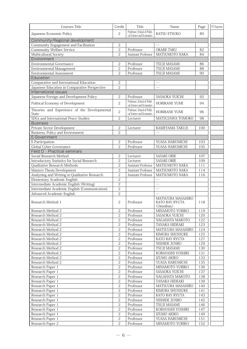| <b>Courses Title</b>                                  | Credit         | Title                                                     | Name                                             | Page | FT Expense |
|-------------------------------------------------------|----------------|-----------------------------------------------------------|--------------------------------------------------|------|------------|
| Japanese Economic Policy                              | 2              | Professor, School of Politi-<br>cal Science and Economics | KATSU ETSUKO                                     | 80   |            |
| Community/Regional development                        |                |                                                           |                                                  |      |            |
| Community Engagement and Facilitation                 | 2              |                                                           |                                                  |      |            |
| <b>Community Welfare Service</b>                      | $\overline{c}$ | Professor                                                 | <b>OKABE TAKU</b>                                | 82   |            |
| Multicultural Society                                 | 2              | <b>Assistant Professor</b>                                | <b>MATSUMOTO NAKA</b>                            | 84   |            |
| Environment                                           |                |                                                           |                                                  |      |            |
| <b>Environmental Governance</b>                       | $\overline{c}$ | Professor                                                 | TSUJI MASAMI                                     | 86   |            |
| Environmental Management                              | $\overline{c}$ | Professor                                                 | TSUJI MASAMI                                     | 88   |            |
| <b>Environmental Assessment</b>                       | $\overline{c}$ | Professor                                                 | TSUJI MASAMI                                     | 90   |            |
| Education                                             |                |                                                           |                                                  |      |            |
| Comparative and International Education               | 2              |                                                           |                                                  |      |            |
| Japanese Education in Comparative Perspective         | $\overline{c}$ |                                                           | $\equiv$                                         |      |            |
| International issues                                  |                |                                                           |                                                  |      |            |
| Japanese Foreign and Development Policy               | $\overline{c}$ | Professor                                                 | SASAOKA YUICHI                                   | 92   |            |
| Political Economy of Development                      | $\overline{c}$ | Professor, School of Politi-<br>cal Science and Economics | HORIKANE YUMI                                    | 94   |            |
| Theories and Experience of the Developmental<br>State | 2              | Professor, School of Politi-<br>cal Science and Economics | HORIKANE YUMI                                    | 96   |            |
| SDGs and International Peace Studies                  | $\overline{c}$ | Lecturer                                                  | MATSUZAWA TOMOKO                                 | 98   |            |
| <b>Business</b>                                       |                |                                                           |                                                  |      |            |
| <b>Private Sector Development</b>                     | 2              | Lecturer                                                  | KAMEYAMA TAKUJI                                  | 100  |            |
| Business, Policy and Environment                      | $\overline{c}$ |                                                           |                                                  |      |            |
| E-Government                                          |                |                                                           |                                                  |      |            |
| E-Participation                                       | 2              | Professor                                                 | YUASA HARUMICHI                                  | 103  |            |
| Global Cyber Governance                               | 2              | Professor                                                 | YUASA HARUMICHI                                  | 105  |            |
| Field D : Practical seminars                          |                |                                                           |                                                  |      |            |
| Social Research Method                                | 2              | Lecturer                                                  | <b>SASAKI ORIE</b>                               | 107  |            |
| <b>Introductory Statistics for Social Research</b>    | $\overline{c}$ | Lecturer                                                  | <b>SASAKI ORIE</b>                               | 109  |            |
| Qualitative Research Methods                          | $\overline{2}$ | Assistant Professor                                       | MATSUMOTO NAKA                                   | 111  |            |
| Masters Thesis Development                            | $\overline{c}$ | Assistant Professor                                       | MATSUMOTO NAKA                                   | 114  |            |
| Analyzing and Writing in Qualitative Research         | $\overline{c}$ | Assistant Professor                                       | MATSUMOTO NAKA                                   | 116  |            |
| Elementary Academic English                           | $\overline{c}$ |                                                           | $\equiv$                                         |      |            |
| Intermediate Academic English (Writing)               | $\overline{2}$ |                                                           | $\equiv$                                         |      |            |
| Intermediate Academic English (Communication)         | $\overline{c}$ |                                                           |                                                  |      |            |
| Advanced Academic English                             | $\overline{c}$ |                                                           |                                                  |      |            |
| Research Method 1                                     | 2              | Professor                                                 | MATSUURA MASAHIRO<br>KATO RAY RYUTA<br>(Omnibus) | 118  |            |
| Research Method 2                                     | 2              | Professor                                                 | MINAMOTO YURIKO                                  | 119  |            |
| Research Method 2                                     | $\overline{c}$ | Professor                                                 | SASAOKA YUICHI                                   | 120  |            |
| Research Method 2                                     | $\overline{c}$ | Professor                                                 | NAGAHATA MAKOTO                                  | 122  |            |
| Research Method 2                                     | $\overline{c}$ | Professor                                                 | TANAKA HIDEAKI                                   | 123  |            |
| Research Method 2                                     | $\mathbf{2}$   | Professor                                                 | MATSUURA MASAHIRO                                | 124  |            |
| Research Method 2                                     | 2              | Professor                                                 | KIMURA SHUNSUKE                                  | 125  |            |
| Research Method 2                                     | $\mathbf{2}$   | Professor                                                 | KATO RAY RYUTA                                   | 127  |            |
| Research Method 2                                     | $\overline{c}$ | Professor                                                 | NISHIDE JUNRO                                    | 129  |            |
| Research Method 2                                     | $\overline{c}$ | Professor                                                 | TSUJI MASAMI                                     | 130  |            |
| Research Method 2                                     | $\mathbf{2}$   | Professor                                                 | KOBAYASHI YOSHIKI                                | 131  |            |
| Research Method 2                                     | $\overline{c}$ | Professor                                                 | IZUMO AKIKO                                      | 133  |            |
| Research Method 2                                     | $\overline{2}$ | Professor                                                 | YUASA HARUMICHI                                  | 135  |            |
| Research Paper 1                                      | $\overline{2}$ | Professor                                                 | MINAMOTO YURIKO                                  | 136  |            |
| Research Paper 1                                      | $\mathbf{2}$   | Professor                                                 | SASAOKA YUICHI                                   | 137  |            |
| Research Paper 1                                      | $\mathbf{2}$   | Professor                                                 | NAGAHATA MAKOTO                                  | 138  |            |
| Research Paper 1                                      | $\overline{c}$ | Professor                                                 | TANAKA HIDEAKI                                   | 139  |            |
| Research Paper 1                                      | $\overline{c}$ | Professor                                                 | MATSUURA MASAHIRO                                | 140  |            |
| Research Paper 1                                      | $\overline{c}$ | Professor                                                 | KIMURA SHUNSUKE                                  | 141  |            |
| Research Paper 1                                      | 2              | Professor                                                 | KATO RAY RYUTA                                   | 143  |            |
| Research Paper 1                                      | 2              | Professor                                                 | NISHIDE JUNRO                                    | 145  |            |
| Research Paper 1                                      | $\overline{c}$ | Professor                                                 | TSUJI MASAMI                                     | 146  |            |
| Research Paper 1                                      | 2              | Professor                                                 | KOBAYASHI YOSHIKI                                | 147  |            |
| Research Paper 1                                      | $\overline{c}$ | Professor                                                 | IZUMO AKIKO                                      | 149  |            |
| Research Paper 1                                      | $\overline{c}$ | Professor                                                 | YUASA HARUMICHI                                  | 151  |            |
| Research Paper 2                                      | $\overline{2}$ | Professor                                                 | MINAMOTO YURIKO                                  | 152  |            |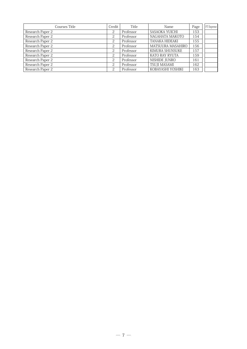| Courses Title    | Credit | Title     | Name                  | Page | FT Expense |
|------------------|--------|-----------|-----------------------|------|------------|
| Research Paper 2 | 2      | Professor | SASAOKA YUICHI        | 153  |            |
| Research Paper 2 | 2      | Professor | NAGAHATA MAKOTO       | 154  |            |
| Research Paper 2 | 2      | Professor | <b>TANAKA HIDEAKI</b> | 155  |            |
| Research Paper 2 | 2      | Professor | MATSUURA MASAHIRO     | 156  |            |
| Research Paper 2 | 2      | Professor | KIMURA SHUNSUKE       | 157  |            |
| Research Paper 2 | 2      | Professor | KATO RAY RYUTA        | 159  |            |
| Research Paper 2 | 2      | Professor | NISHIDE JUNRO         | 161  |            |
| Research Paper 2 | 2      | Professor | <b>TSUJI MASAMI</b>   | 162  |            |
| Research Paper 2 | っ      | Professor | KOBAYASHI YOSHIKI     | 163  |            |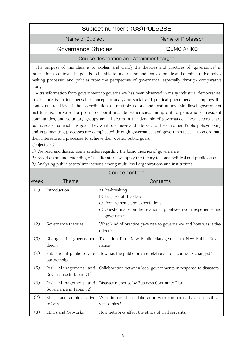<span id="page-8-0"></span>

| Subject number: (GS)POL528E |                   |
|-----------------------------|-------------------|
| Name of Subject             | Name of Professor |
| Governance Studies          | IZUMO AKIKO       |

#### Course description and Attainment target

The purpose of this class is to explain and clarify the theories and practices of "governance" in international context. The goal is to be able to understand and analyze public and administrative policy making processes and policies from the perspective of governance, especially through comparative study.

A transformation from government to governance has been observed in many industrial democracies. Governance is an indispensable concept in analyzing social and political phenomena. It employs the contextual realities of the co-ordination of multiple actors and institutions. Multilevel government institutions, private for-profit corporations, bureaucracies, nonprofit organizations, resident communities, and voluntary groups are all actors in the dynamic of governance. These actors share public goals, but each has goals they want to achieve and intersect with each other. Public policymaking and implementing processes are complicated through governance, and governments seek to coordinate their interests and processes to achieve their overall public goals.

〈Objectives〉

1) We read and discuss some articles regarding the basic theories of governance.

2) Based on an understanding of the literature, we apply the theory to some political and public cases.

3) Analyzing public actors' interactions among multi-level organizations and institutions.

|                   |                                                | Course content                                                                  |
|-------------------|------------------------------------------------|---------------------------------------------------------------------------------|
| Week <sup> </sup> | <b>Theme</b>                                   | Contents                                                                        |
| (1)               | Introduction                                   | a) Ice-breaking                                                                 |
|                   |                                                | b) Purpose of this class                                                        |
|                   |                                                | c) Requirements and expectations                                                |
|                   |                                                | d) Questionnaire on the relationship between your experience and                |
|                   |                                                | governance                                                                      |
| (2)               | Governance theories                            | What kind of practice gave rise to governance and how was it the-<br>orized?    |
| (3)               | Changes in governance                          | Transition from New Public Management to New Public Gover-                      |
|                   | theory                                         | nance                                                                           |
| (4)               | Subnational public-private                     | How has the public-private relationship in contracts changed?                   |
|                   | partnership                                    |                                                                                 |
| (5)               | Risk Management and<br>Governance in Japan (1) | Collaboration between local governments in response to disasters.               |
| (6)               | Risk Management and<br>Governance in Japan (2) | Disaster response by Business Continuity Plan                                   |
|                   |                                                |                                                                                 |
| (7)               | Ethics and administrative<br>reform            | What impact did collaboration with companies have on civil ser-<br>vant ethics? |
| (8)               | <b>Ethics and Networks</b>                     | How networks affect the ethics of civil servants.                               |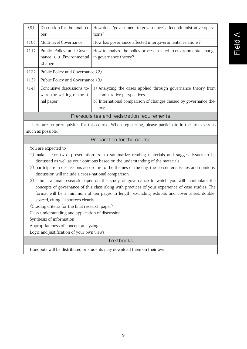| (9)                                                                                                                         | Discussion for the final pa-<br>per                                                                                                                                                                                                                                                                                                                           | How does "government to governance" affect administrative opera-<br>tions?                                                                                                                                                                                                                                                                                                                                                                                                                                                                                                                    |  |  |
|-----------------------------------------------------------------------------------------------------------------------------|---------------------------------------------------------------------------------------------------------------------------------------------------------------------------------------------------------------------------------------------------------------------------------------------------------------------------------------------------------------|-----------------------------------------------------------------------------------------------------------------------------------------------------------------------------------------------------------------------------------------------------------------------------------------------------------------------------------------------------------------------------------------------------------------------------------------------------------------------------------------------------------------------------------------------------------------------------------------------|--|--|
| (10)                                                                                                                        | Multi-level Governance                                                                                                                                                                                                                                                                                                                                        | How has governance affected intergovernmental relations?                                                                                                                                                                                                                                                                                                                                                                                                                                                                                                                                      |  |  |
| (11)                                                                                                                        | Public Policy and Gover-<br>nance (1) Environmental<br>Change                                                                                                                                                                                                                                                                                                 | How to analyze the policy process related to environmental change<br>in governance theory?                                                                                                                                                                                                                                                                                                                                                                                                                                                                                                    |  |  |
| (12)                                                                                                                        | Public Policy and Governance (2)                                                                                                                                                                                                                                                                                                                              |                                                                                                                                                                                                                                                                                                                                                                                                                                                                                                                                                                                               |  |  |
| (13)                                                                                                                        | Public Policy and Governance (3)                                                                                                                                                                                                                                                                                                                              |                                                                                                                                                                                                                                                                                                                                                                                                                                                                                                                                                                                               |  |  |
| (14)                                                                                                                        | Conclusive discussions to-<br>ward the writing of the fi-<br>nal paper                                                                                                                                                                                                                                                                                        | a) Analyzing the cases applied through governance theory from<br>comparative perspectives.<br>b) International comparison of changes caused by governance the-<br>ory.                                                                                                                                                                                                                                                                                                                                                                                                                        |  |  |
|                                                                                                                             |                                                                                                                                                                                                                                                                                                                                                               | Prerequisites and registration requirements                                                                                                                                                                                                                                                                                                                                                                                                                                                                                                                                                   |  |  |
| There are no prerequisites for this course. When registering, please participate in the first class as<br>much as possible. |                                                                                                                                                                                                                                                                                                                                                               |                                                                                                                                                                                                                                                                                                                                                                                                                                                                                                                                                                                               |  |  |
| Preparation for the course                                                                                                  |                                                                                                                                                                                                                                                                                                                                                               |                                                                                                                                                                                                                                                                                                                                                                                                                                                                                                                                                                                               |  |  |
|                                                                                                                             | You are expected to<br>discussion will include a cross-national comparison,<br>spaced, citing all sources clearly.<br>$\langle$ Grading criteria for the final research paper $\rangle$<br>Class understanding and application of discussion<br>Synthesis of information<br>Appropriateness of concept analyzing<br>Logic and justification of your own views | 1) make a (or two) presentation (s) to summarize reading materials and suggest issues to be<br>discussed as well as your opinions based on the understanding of the materials,<br>2) participate in discussions according to the themes of the day, the presenter's issues and opinions;<br>3) submit a final research paper on the study of governance in which you will manipulate the<br>concepts of governance of this class along with practices of your experience of case studies. The<br>format will be a minimum of ten pages in length, excluding exhibits and cover sheet, double- |  |  |
|                                                                                                                             |                                                                                                                                                                                                                                                                                                                                                               | Textbooks                                                                                                                                                                                                                                                                                                                                                                                                                                                                                                                                                                                     |  |  |
|                                                                                                                             |                                                                                                                                                                                                                                                                                                                                                               |                                                                                                                                                                                                                                                                                                                                                                                                                                                                                                                                                                                               |  |  |

Handouts will be distributed or students may download them on their own.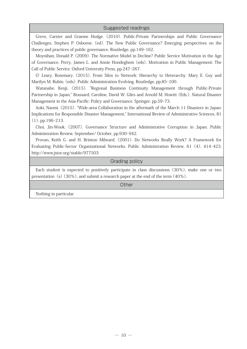#### Suggested readings

Greve, Carster and Graeme Hodge. (2010). Public-Private Partnerships and Public Governance Challenges. Stephen P. Osborne. (ed). The New Public Governance? Emerging perspectives on the theory and practices of public governance. Routledge, pp.149-162.

Moynihan, Donald P. (2009). The Normative Model in Decline? Public Service Motivation in the Age of Governance, Perry, James L. and Annie Hondeghem (eds). Motivation in Public Management: The Call of Public Service. Oxford University Press, pp.247-267.

O' Leary, Rosemary. (2015). From Silos to Network: Hierarchy to Heterarchy. Mary E. Guy and Marilyn M. Rubin. (eds). Public Administration Evolving. Routledge, pp.85-100.

Watanabe, Kenji. (2015). "Regional Business Continuity Management through Public-Private Partnership in Japan," Brassard, Caroline, David W. Giles and Arnold M. Howitt (Eds.). Natural Disaster Management in the Asia-Pacific: Policy and Governance. Springer, pp.59-73.

Aoki, Naomi. (2015). "Wide-area Collaboration in the aftermath of the March 11 Disasters in Japan: Implications for Responsible Disaster Management," International Review of Administrative Sciences, 81 (1), pp.196-213.

Choi, Jin-Wook. (2007). Governance Structure and Administrative Corruption in Japan. Public Administration Review, September/ October, pp.930-942.

Provan, Keith G. and H. Brinton Milward. (2001). Do Networks Really Work? A Framework for Evaluating Public-Sector Organizational Networks. Public Administration Review, 61 (4), 414-423. http://www.jstor.org/stable/977503

#### Grading policy

Each student is expected to positively participate in class discussions (30%), make one or two presentation (s)  $(30\%)$ , and submit a research paper at the end of the term  $(40\%)$ .

**Other** 

Nothing in particular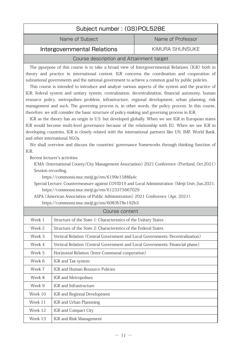## Subject number : (GS)POL528E

Name of Subject Name of Professor

<span id="page-11-0"></span>Intergovernmental Relations Fig. 6. KIMURA SHUNSUKE

#### Course description and Attainment target

The ppurpose of this course is to take a broad view of Intergovernmental Relations (IGR) both in theory and practice in international context. IGR concerns the coordination and cooperation of subnational governments and the national government to achieve a common goal by public policies.

This course is intended to introduce and analyze various aspects of the system and the practice of IGR; federal system and unitary system, centralization, decentralization, financial autonomy, human resource policy, metropolises problem, infrastructure, regional development, urban planning, risk management and such. The governing process is, in other words, the policy process. In this course, therefore, we will consider the basic structure of policy-making and governing process in IGR.

IGR as the theory has an origin in U.S. but developed globally. When we see IGR in European states IGR would become multi-level governance because of the relationship with EU. When we see IGR in developing countries, IGR is closely related with the international partners like UN, IMF, World Bank, and other international NGOs.

We shall overview and discuss the countries' governance frameworks through thinking function of IGR.

Recent lecturer's activities

ICMA (International County/City Management Association) 2021 Conference (Portland, Oct.2021) Session recording.

https://commonsi.muc.meiji.jp/em/6199e1588fa4c

 Special Lecture: Countermeasure against COVID19 and Local Administration (Meiji Univ.:Jun.2021. https://commonsi.muc.meiji.jp/em/6123375667029

 ASPA (American Association of Public Administration) 2021 Conference (Apr, 2021). https://commonsi.muc.meiji.jp/em/6083b78e192b3

|         | Course content                                                                 |
|---------|--------------------------------------------------------------------------------|
| Week 1  | Structure of the State 1: Characteristics of the Unitary States                |
| Week 2  | Structure of the State 2: Characteristics of the Federal States                |
| Week 3  | Vertical Relation (Central Government and Local Governments: Decentralization) |
| Week 4  | Vertical Relation (Central Government and Local Governments: Financial phase)  |
| Week 5  | Horizontal Relation (Inter-Communal cooperation)                               |
| Week 6  | IGR and Tax system                                                             |
| Week 7  | IGR and Human Resource Policies                                                |
| Week 8  | IGR and Metropolises                                                           |
| Week 9  | IGR and Infrastructure                                                         |
| Week 10 | IGR and Regional Development                                                   |
| Week 11 | IGR and Urban Plannning                                                        |
| Week 12 | IGR and Compact City                                                           |
| Week 13 | IGR and Risk Management                                                        |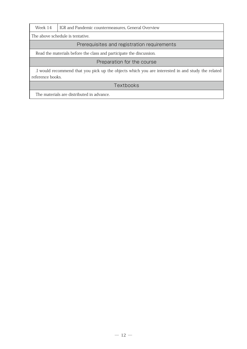| Week 14 | GR and Pandemic countermeasures, General Overview |
|---------|---------------------------------------------------|
|         |                                                   |

The above schedule is tentative.

#### Prerequisites and registration requirements

Read the materials before the class and participate the discussion.

#### Preparation for the course

.I would recommend that you pick up the objects which you are interested in and study the related reference books.

#### **Textbooks**

The materials are distributed in advance.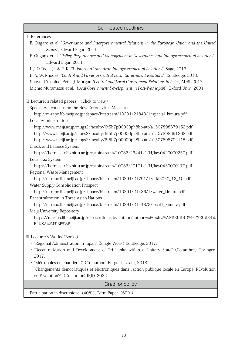| <b>Suggested readings</b>                                                                                                         |
|-----------------------------------------------------------------------------------------------------------------------------------|
| I References                                                                                                                      |
| E. Ongaro et al. "Governance and Intergovernmental Relations in the European Union and the United<br>States", Edward Elgar, 2011. |
| E. Ongaro, et al. "Policy, Performance and Management in Governance and Intergovernmental Relations",<br>Edward Elgar, 2011.      |
| L.J. O'Toole Jr. & R. K. Christensen "American Intergovernmental Relations", Sage, 2013.                                          |
| R. A. W. Rhodes, "Control and Power in Central-Local Government Relations", Routledge, 2018.                                      |
| Naoyuki Yoshino, Peter J. Morgan "Central and Local Government Relations in Asia", ADBI, 2017.                                    |
| Michio Muramatsu et al. "Local Government Development in Post-War Japan", Oxford Univ., 2001.                                     |
| II Lecturer's related papers (Click to view.)                                                                                     |
| Special Act concerning the New Coronavirus Measures                                                                               |
| http://m-repo.lib.meiji.ac.jp/dspace/bitstream/10291/21843/1/special_kimura.pdf<br>Local Administration                           |
| http://www.meiji.ac.jp/mugs2/faculty/6t5h7p00000ph8bo-att/a1507898679152.pdf                                                      |
| http://www.meiji.ac.jp/mugs2/faculty/6t5h7p00000ph8bo-att/a1507898691368.pdf                                                      |
| http://www.meiji.ac.jp/mugs2/faculty/6t5h7p00000ph8bo-att/a1507898702115.pdf                                                      |
| Check-and Balance System:                                                                                                         |
| https://hermes-ir.lib.hit-u.ac.jp/rs/bitstream/10086/26441/1/HJlaw0420000250.pdf                                                  |
| Local Tax System                                                                                                                  |
| https://hermes-ir.lib.hit-u.ac.jp/rs/bitstream/10086/27101/1/HJlaw0430000170.pdf                                                  |
| Regional Waste Management                                                                                                         |
| http://m-repo.lib.meiji.ac.jp/dspace/bitstream/10291/21791/1/eria2020_12_10.pdf                                                   |
| Water Supply Consolidation Prospect                                                                                               |
| http://m-repo.lib.meiji.ac.jp/dspace/bitstream/10291/21436/1/water_kimura.pdf<br>Decentralization in Three Asian Nations          |
| http://m-repo.lib.meiji.ac.jp/dspace/bitstream/10291/21148/3/local1_kimura.pdf                                                    |
| Meiji University Repository                                                                                                       |
| https://m-repo.lib.meiji.ac.jp/dspace/items-by-author?author=%E6%9C%A8%E6%9D%91%2C%E4%                                            |
| BF%8A%E4%BB%8B                                                                                                                    |
| III Lecturer's Works (Books)                                                                                                      |
| · "Regional Administration in Japan" (Single Work) Routledge, 2017.                                                               |
| • "Decentralization and Development of Sri Lanka within a Unitary State" (Co-author) Springer,                                    |
| 2017.                                                                                                                             |
| · "Métropoles en chantiers2" (Co-author) Berger Levraut, 2018.                                                                    |
| · "Changements démocratiques et électroniques dans l'action publique locale en Europe: REvolution                                 |
| ou E-volution?", (Co-author) IFJD, 2022.                                                                                          |
| Grading policy                                                                                                                    |
| Participation in discussions (40%), Term Paper (60%)                                                                              |

 $\overline{\phantom{a}}$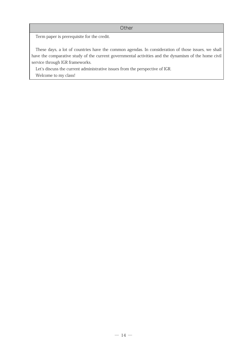Term paper is prerequisite for the credit.

These days, a lot of countries have the common agendas. In consideration of those issues, we shall have the comparative study of the current governmental activities and the dynamism of the home civil service through IGR frameworks.

Let's discuss the current administrative issues from the perspective of IGR. Welcome to my class!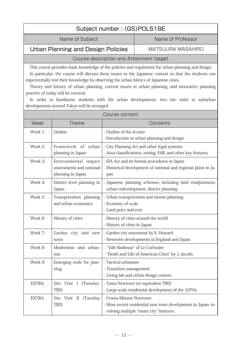#### Subject number : (GS)POL518E

Name of Subject Name of Professor

<span id="page-15-0"></span>Urban Planning and Design Policies | MATSUURA MASAHIRO

#### Course description and Attainment target

This course provides basic knowledge of the policies and regulations for urban planning and design.

In particular, the course will discuss these issues in the Japanese context so that the students can experientially test their knowledge by observing the urban fabrics of Japanese cities.

Theory and history of urban planning, current issues in urban planning, and innovative planning practice of today will be covered.

In order to familiarize students with the urban developments, two site visits to suburban developments around Tokyo will be arranged.

| Course content |                                                                       |                                                                                                                                   |
|----------------|-----------------------------------------------------------------------|-----------------------------------------------------------------------------------------------------------------------------------|
| Week           | <b>Theme</b>                                                          | Contents                                                                                                                          |
| Week 1:        | Outline                                                               | - Outline of the lecture<br>- Introduction to urban planning and design                                                           |
| Week 2:        | Framework of urban<br>planning in Japan                               | - City Planning Act and other legal systems<br>- Area classifications, zoning, FAR, and other key features                        |
| Week 3:        | Environmental impact<br>assessments and national<br>planning in Japan | - EIA Act and its formal procedures in Japan<br>- Historical development of national and regional plans in Ja-<br>pan             |
| Week 4:        | District level planning in<br>Japan                                   | - Japanese planning schemes, including land readjustment,<br>urban redevelopment, district planning                               |
| Week 5:        | Transportation planning<br>and urban economics                        | - Urban transportation and streets planning<br>- Economy of scale<br>- Land price and rent                                        |
| Week 6:        | History of cities                                                     | - History of cities around the world<br>- History of cities in Japan                                                              |
| Week 7:        | Garden city and new<br>town                                           | - Garden city movement by E. Howard<br>- Newtown developments in England and Japan                                                |
| Week 8:        | Modernism and urban-<br>ism                                           | - "Ville Radieuse" of Le Corbusier<br>- "Death and Life of American Cities" by J. Jacobs                                          |
| Week 9:        | Emerging tools for plan-<br>ning                                      | - Tactical urbanism<br>- Transition management<br>- Living lab and urban design centers                                           |
| EXTRA:         | Site Visit I (Tuesday:<br>TBD)                                        | - Tama Newtown (or equivalent TBD)<br>- Large-scale residential development of the 1970s                                          |
| EXTRA:         | (Tuesday<br>Site Visit II<br>TBD)                                     | - Urawa-Misono Newtown<br>- Most recent residential new town development in Japan, in-<br>volving multiple "smart city" features. |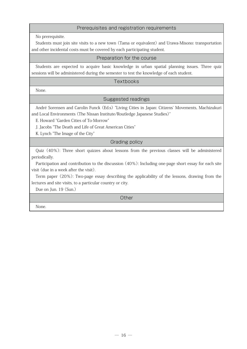#### Prerequisites and registration requirements

No prerequisite.

Students must join site visits to a new town (Tama or equivalent) and Urawa-Misono: transportation and other incidental costs must be covered by each participating student.

Preparation for the course

Students are expected to acquire basic knowledge in urban spatial planning issues. Three quiz sessions will be administered during the semester to test the knowledge of each student.

#### **Textbooks**

None.

#### Suggested readings

André Sorensen and Carolin Funck (Ed.s) "Living Cities in Japan: Citizens' Movements, Machizukuri and Local Environments (The Nissan Institute/Routledge Japanese Studies)"

E. Howard "Garden Cities of To-Morrow"

J. Jacobs "The Death and Life of Great American Cities"

K. Lynch "The Image of the City"

Grading policy

Quiz (40%): Three short quizzes about lessons from the previous classes will be administered periodically.

Participation and contribution to the discussion (40%): Including one-page short essay for each site visit (due in a week after the visit).

Term paper (20%): Two-page essay describing the applicability of the lessons, drawing from the lectures and site visits, to a particular country or city.

Due on Jun. 19 (Sun.)

**Other** 

None.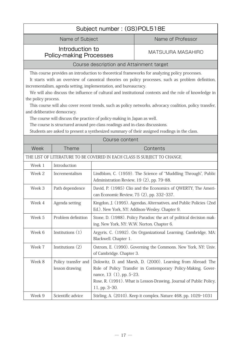<span id="page-17-0"></span>

| Subject number: (GS)POL518E                                                                                                                                                                                                                                                                                                                                                                                                                                                                                                                                                                                                                                                                                                                                                                                    |                                          |                                            |                                                                                                                                                                                                     |  |
|----------------------------------------------------------------------------------------------------------------------------------------------------------------------------------------------------------------------------------------------------------------------------------------------------------------------------------------------------------------------------------------------------------------------------------------------------------------------------------------------------------------------------------------------------------------------------------------------------------------------------------------------------------------------------------------------------------------------------------------------------------------------------------------------------------------|------------------------------------------|--------------------------------------------|-----------------------------------------------------------------------------------------------------------------------------------------------------------------------------------------------------|--|
| Name of Subject                                                                                                                                                                                                                                                                                                                                                                                                                                                                                                                                                                                                                                                                                                                                                                                                |                                          | Name of Professor                          |                                                                                                                                                                                                     |  |
| Introduction to<br><b>Policy-making Processes</b>                                                                                                                                                                                                                                                                                                                                                                                                                                                                                                                                                                                                                                                                                                                                                              |                                          | <b>MATSUURA MASAHIRO</b>                   |                                                                                                                                                                                                     |  |
|                                                                                                                                                                                                                                                                                                                                                                                                                                                                                                                                                                                                                                                                                                                                                                                                                | Course description and Attainment target |                                            |                                                                                                                                                                                                     |  |
| This course provides an introduction to theoretical frameworks for analyzing policy processes.<br>It starts with an overview of canonical theories on policy processes, such as problem definition,<br>incrementalism, agenda setting, implementation, and bureaucracy.<br>We will also discuss the influence of cultural and institutional contexts and the role of knowledge in<br>the policy process.<br>This course will also cover recent trends, such as policy networks, advocacy coalition, policy transfer,<br>and deliberative democracy.<br>The course will discuss the practice of policy-making in Japan as well.<br>The course is structured around pre-class readings and in-class discussions.<br>Students are asked to present a synthesized summary of their assigned readings in the class. |                                          |                                            |                                                                                                                                                                                                     |  |
|                                                                                                                                                                                                                                                                                                                                                                                                                                                                                                                                                                                                                                                                                                                                                                                                                |                                          | Course content                             |                                                                                                                                                                                                     |  |
| Week                                                                                                                                                                                                                                                                                                                                                                                                                                                                                                                                                                                                                                                                                                                                                                                                           | <b>Theme</b>                             |                                            | Contents                                                                                                                                                                                            |  |
|                                                                                                                                                                                                                                                                                                                                                                                                                                                                                                                                                                                                                                                                                                                                                                                                                |                                          |                                            | THE LIST OF LITERATURE TO BE COVERED IN EACH CLASS IS SUBJECT TO CHANGE.                                                                                                                            |  |
| Week 1                                                                                                                                                                                                                                                                                                                                                                                                                                                                                                                                                                                                                                                                                                                                                                                                         | Introduction                             |                                            |                                                                                                                                                                                                     |  |
| Week 2                                                                                                                                                                                                                                                                                                                                                                                                                                                                                                                                                                                                                                                                                                                                                                                                         | Incrementalism                           | Administration Review, 19 (2), pp. 79-88.  | Lindblom, C. (1959). The Science of "Muddling Through", Public                                                                                                                                      |  |
| Week 3                                                                                                                                                                                                                                                                                                                                                                                                                                                                                                                                                                                                                                                                                                                                                                                                         | Path dependence                          | can Economic Review, 75 (2), pp. 332-337.  | David, P. (1985) Clio and the Economics of QWERTY, The Ameri-                                                                                                                                       |  |
| Week 4                                                                                                                                                                                                                                                                                                                                                                                                                                                                                                                                                                                                                                                                                                                                                                                                         | Agenda setting                           |                                            | Kingdon, J. (1995). Agendas, Alternatives, and Public Policies (2nd<br>Ed.). New York, NY: Addison-Wesley. Chapter 9.                                                                               |  |
| Week 5                                                                                                                                                                                                                                                                                                                                                                                                                                                                                                                                                                                                                                                                                                                                                                                                         | Problem definition                       | ing. New York, NY: W.W. Norton. Chapter 6. | Stone, D. (1988). Policy Paradox: the art of political decision mak-                                                                                                                                |  |
| Week 6                                                                                                                                                                                                                                                                                                                                                                                                                                                                                                                                                                                                                                                                                                                                                                                                         | Institutions $(1)$                       | Blackwell. Chapter 1.                      | Argyris, C. (1992). On Organizational Learning. Cambridge, MA:                                                                                                                                      |  |
| Week 7                                                                                                                                                                                                                                                                                                                                                                                                                                                                                                                                                                                                                                                                                                                                                                                                         | Institutions (2)                         | of Cambridge. Chapter 3.                   | Ostrom, E. (1990). Governing the Commons. New York, NY: Univ.                                                                                                                                       |  |
| Week 8                                                                                                                                                                                                                                                                                                                                                                                                                                                                                                                                                                                                                                                                                                                                                                                                         | Policy transfer and<br>lesson drawing    | nance, 13 (1), pp. 5-23.<br>11, pp. 3-30.  | Dolowitz, D. and Marsh, D. (2000). Learning from Abroad: The<br>Role of Policy Transfer in Contemporary Policy-Making, Gover-<br>Rose, R. (1991). What is Lesson-Drawing, Journal of Public Policy, |  |
| Week 9                                                                                                                                                                                                                                                                                                                                                                                                                                                                                                                                                                                                                                                                                                                                                                                                         | Scientific advice                        |                                            | Stirling, A. (2010). Keep it complex. Nature 468, pp. 1029-1031                                                                                                                                     |  |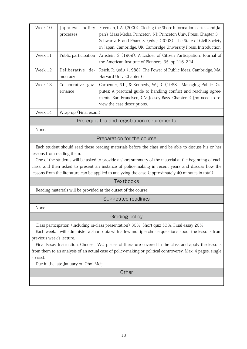| Week 10 | policy<br>Japanese                 | Freeman, L.A. (2000). Closing the Shop: Information cartels and Ja-                                                                                                                                                                     |
|---------|------------------------------------|-----------------------------------------------------------------------------------------------------------------------------------------------------------------------------------------------------------------------------------------|
|         | processes                          | pan's Mass Media. Princeton, NJ: Princeton Univ. Press. Chapter 3.                                                                                                                                                                      |
|         |                                    | Schwartz, F. and Pharr, S. (eds.) (2003). The State of Civil Society                                                                                                                                                                    |
|         |                                    | in Japan. Cambridge, UK: Cambridge University Press. Introduction.                                                                                                                                                                      |
| Week 11 | Public participation               | Arnstein, S (1969). A Ladder of Citizen Participation. Journal of<br>the American Institute of Planners, 35, pp.216-224.                                                                                                                |
| Week 12 | Deliberative<br>de-<br>mocracy     | Reich, R. (ed.) (1988). The Power of Public Ideas. Cambridge, MA:<br>Harvard Univ. Chapter 6.                                                                                                                                           |
| Week 13 | Collaborative<br>$QOV-$<br>ernance | Carpenter, S.L., & Kennedy, W.J.D. (1988). Managing Public Dis-<br>putes: A practical guide to handling conflict and reaching agree-<br>ments. San Francisco, CA: Jossey-Bass. Chapter 2 [no need to re-<br>view the case descriptions] |
| Week 14 | Wrap-up (Final exam)               |                                                                                                                                                                                                                                         |

#### Prerequisites and registration requirements

None.

#### Preparation for the course

Each student should read these reading materials before the class and be able to discuss his or her lessons from reading them.

One of the students will be asked to provide a short summary of the material at the beginning of each class, and then asked to present an instance of policy-making in recent years and discuss how the lessons from the literature can be applied to analyzing the case (approximately 40 minutes in total)

#### **Textbooks**

Reading materials will be provided at the outset of the course.

#### Suggested readings

None.

#### Grading policy

Class participation (including in-class presentation) 30%, Short quiz 50%, Final essay 20%

Each week, I will administer a short quiz with a few multiple-choice questions about the lessons from previous week's lecture.

Final Essay Instruction: Choose TWO pieces of literature covered in the class and apply the lessons from them to an analysis of an actual case of policy-making or political controversy. Max. 4 pages, single spaced.

Due in the late January on Oho! Meiji.

**Other**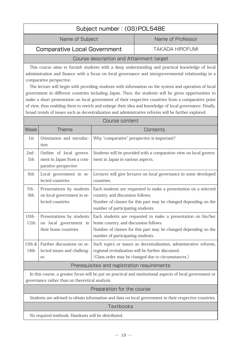## <span id="page-19-0"></span>Subject number : (GS)POL548E Name of Subject Name of Professor Comparative Local Government TAKADA HIROFUMI

#### Course description and Attainment target

This course aims to furnish students with a deep understanding and practical knowledge of local administration and finance with a focus on local governance and intergovernmental relationship in a comparative perspective.

The lecture will begin with providing students with information on the system and operation of local government in different countries including Japan. Then, the students will be given opportunities to make a short presentation on local government of their respective countries from a comparative point of view, thus enabling them to enrich and enlarge their idea and knowledge of local governance. Finally, broad trends of issues such as decentralization and administrative reforms will be further explored.

Course content

| Week                                        | Theme                                                                         | Contents                                                                                                                                                                                                       |
|---------------------------------------------|-------------------------------------------------------------------------------|----------------------------------------------------------------------------------------------------------------------------------------------------------------------------------------------------------------|
| 1st                                         | Orientation and introduc-<br>tion                                             | Why "comparative" perspective is important?                                                                                                                                                                    |
| $2nd -$<br>5th                              | Outline of local govern-<br>ment in Japan from a com-<br>parative perspective | Students will be provided with a comparative view on local govern-<br>ment in Japan in various aspects.                                                                                                        |
| 6th                                         | Local government in se-<br>lected countries                                   | Lecturer will give lectures on local governance in some developed<br>countries.                                                                                                                                |
| $7th -$<br>9th                              | Presentations by students<br>on local government in se-<br>lected countries   | Each students are requested to make a presentation on a selected<br>country, and discussion follows.<br>Number of classes for this part may be changed depending on the<br>number of participating students.   |
| $10th -$<br>12th                            | Presentations by students<br>on local government in<br>their home countries   | Each students are requested to make a presentation on his/her<br>home country, and discussion follows.<br>Number of classes for this part may be changed depending on the<br>number of participating students. |
| 13th &<br>14th                              | Further discussions on se-<br>lected issues and challeng-<br>es               | Such topics or issues as decentralization, administrative reforms,<br>regional revitalization will be further discussed.<br>(Class order may be changed due to circumstances.)                                 |
| Prerequisites and registration requirements |                                                                               |                                                                                                                                                                                                                |
| $T_{11}$ and $T_{21}$                       |                                                                               |                                                                                                                                                                                                                |

In this course, a greater focus will be put on practical and institutional aspects of local government or governance rather than on theoretical analysis.

#### Preparation for the course

Students are advised to obtain information and data on local government in their respective countries.

#### **Textbooks**

No required textbook. Handouts will be distributed.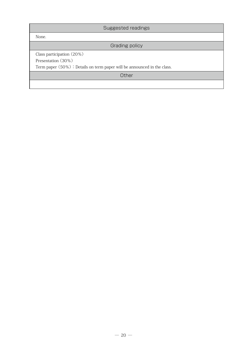| Suggested readings                                                          |
|-----------------------------------------------------------------------------|
| None.                                                                       |
| Grading policy                                                              |
| Class participation (20%)                                                   |
| Presentation (30%)                                                          |
| Term paper $(50\%)$ : Details on term paper will be announced in the class. |
| Other                                                                       |
|                                                                             |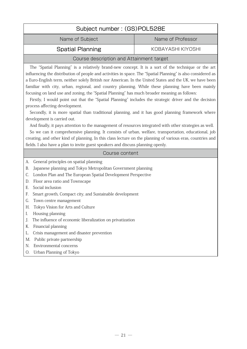<span id="page-21-0"></span>

| Subject number: (GS)POL528E                                                                        |                   |  |
|----------------------------------------------------------------------------------------------------|-------------------|--|
| Name of Professor<br>Name of Subject                                                               |                   |  |
| <b>Spatial Planning</b>                                                                            | KOBAYASHI KIYOSHI |  |
| Course description and Attainment target                                                           |                   |  |
| The "Spatial Planning" is a relatively brand-new concept. It is a sort of the technique or the art |                   |  |

influencing the distribution of people and activities in space. The "Spatial Planning" is also considered as a Euro-English term, neither solely British nor American. In the United States and the UK, we have been familiar with city, urban, regional, and country planning. While these planning have been mainly focusing on land use and zoning, the "Spatial Planning" has much broader meaning as follows:

Firstly, I would point out that the "Spatial Planning" includes the strategic driver and the decision process affecting development.

Secondly, it is more spatial than traditional planning, and it has good planning framework where development is carried out.

And finally, it pays attention to the management of resources integrated with other strategies as well.

So we can it comprehensive planning. It consists of urban, welfare, transportation, educational, job creating, and other kind of planning. In this class lecture on the planning of various eras, countries and fields. I also have a plan to invite guest speakers and discuss planning openly.

#### Course content

- A. General principles on spatial planning
- B. Japanese planning and Tokyo Metropolitan Government planning
- C. London Plan and The European Spatial Development Perspective
- D. Floor area ratio and Townscape
- E. Social inclusion
- F. Smart growth, Compact city, and Sustainable development
- G. Town centre management
- H. Tokyo Vision for Arts and Culture
- I. Housing planning
- J. The influence of economic liberalization on privatization
- K. Financial planning
- L. Crisis management and disaster prevention
- M. Public private partnership
- N. Environmental concerns
- O. Urban Planning of Tokyo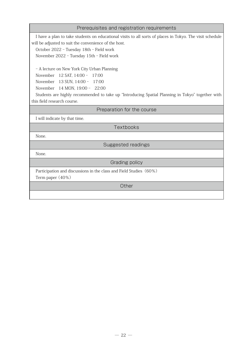#### Prerequisites and registration requirements

I have a plan to take students on educational visits to all sorts of places in Tokyo. The visit schedule will be adjusted to suit the convenience of the host.

October 2022 - Tuesday 18th - Field work

November 2022 - Tuesday 15th - Field work

- A lecture on New York City Urban Planning

November 12 SAT, 14:00 - 17:00

November 13 SUN, 14:00 - 17:00

November 14 MON, 19:00 - 22:00

Students are highly recommended to take up "Introducing Spatial Planning in Tokyo" together with this field research course.

#### Preparation for the course

I will indicate by that time.

Textbooks

None.

Suggested readings

None.

Grading policy

Participation and discussions in the class and Field Studies (60%)

Term paper (40%)

**Other**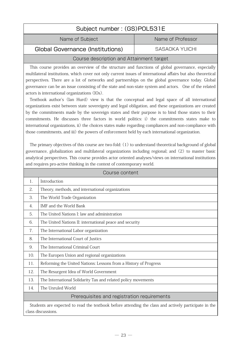<span id="page-23-0"></span>

| Subject number: (GS)POL531E                                                                                                                                                                                                     |  |  |
|---------------------------------------------------------------------------------------------------------------------------------------------------------------------------------------------------------------------------------|--|--|
| Name of Subject<br>Name of Professor                                                                                                                                                                                            |  |  |
| <b>Global Governance (Institutions)</b><br>SASAOKA YUICHI                                                                                                                                                                       |  |  |
| $\sim$ . The contract of the contract of the contract of the contract of the contract of the contract of the contract of the contract of the contract of the contract of the contract of the contract of the contract of the co |  |  |

#### Course description and Attainment target

This course provides an overview of the structure and functions of global governance, especially multilateral institutions, which cover not only current issues of international affairs but also theoretical perspectives. There are a lot of networks and partnerships on the global governance today. Global governance can be an issue consisting of the state and non-state system and actors. One of the related actors is international organizations (IOs).

Textbook author's (Ian Hurd) view is that the conceptual and legal space of all international organizations exist between state sovereignty and legal obligation, and these organizations are created by the commitments made by the sovereign states and their purpose is to bind those states to their commitments. He discusses three factors in world politics: i) the commitments states make to international organizations, ii) the choices states make regarding compliances and non-compliance with those commitments, and iii) the powers of enforcement held by each international organization.

The primary objectives of this course are two-fold: (1) to understand theoretical background of global governance, globalization and multilateral organizations including regional; and (2) to master basic analytical perspectives. This course provides actor oriented analyses/views on international institutions and requires pro-active thinking in the context of contemporary world.

| Course content                                                                                                              |                                                                  |  |
|-----------------------------------------------------------------------------------------------------------------------------|------------------------------------------------------------------|--|
| 1.                                                                                                                          | Introduction                                                     |  |
| 2.                                                                                                                          | Theory, methods, and international organizations                 |  |
| 3.                                                                                                                          | The World Trade Organization                                     |  |
| $\overline{4}$ .                                                                                                            | IMF and the World Bank                                           |  |
| 5.                                                                                                                          | The United Nations I: law and administration                     |  |
| 6.                                                                                                                          | The United Nations II: international peace and security          |  |
| 7.                                                                                                                          | The International Labor organization                             |  |
| 8.                                                                                                                          | The International Court of Justics                               |  |
| 9.                                                                                                                          | The International Criminal Court                                 |  |
| 10.                                                                                                                         | The Europen Union and regional organizations                     |  |
| 11.                                                                                                                         | Reforming the United Nations: Lessons from a History of Progress |  |
| 12.                                                                                                                         | The Resurgent Idea of World Government                           |  |
| 13.                                                                                                                         | The International Solidarity Tax and related policy movements    |  |
| 14.                                                                                                                         | The Unruled World                                                |  |
| Prerequisites and registration requirements                                                                                 |                                                                  |  |
| Students are expected to read the textbook before attending the class and actively participate in the<br>class discussions. |                                                                  |  |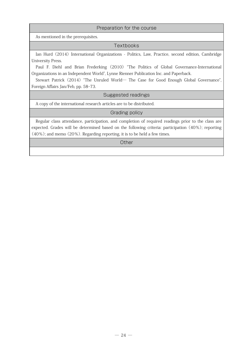#### Preparation for the course

As mentioned in the prerequisites.

#### **Textbooks**

Ian Hurd (2014) International Organizations - Politics, Law, Practice, second edition, Cambridge University Press.

Paul F. Diehl and Brian Frederking (2010) "The Politics of Global Governance-International Organizations in an Independent World", Lynne Rienner Publication Inc. and Paperback.

Stewart Patrick (2014) "The Unruled World― The Case for Good Enough Global Governance", Foreign Affairs Jan/Feb, pp. 58-73.

Suggested readings

A copy of the international research articles are to be distributed.

#### Grading policy

Regular class attendance, participation, and completion of required readings prior to the class are expected. Grades will be determined based on the following criteria: participation (40%); reporting (40%); and memo (20%). Regarding reporting, it is to be held a few times.

**Other**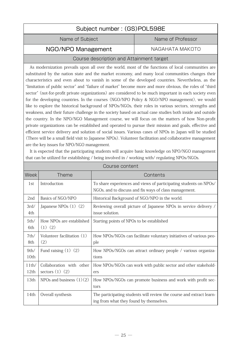<span id="page-25-0"></span>

| Subject number: (GS)POL598E |                   |  |
|-----------------------------|-------------------|--|
| Name of Subject             | Name of Professor |  |
| NGO/NPO Management          | NAGAHATA MAKOTO   |  |

#### Course description and Attainment target

As modernization prevails upon all over the world, most of the functions of local communities are substituted by the nation state and the market economy, and many local communities changes their characteristics and even about to vanish in some of the developed countries. Nevertheless, as the "limitation of public sector" and "failure of market" become more and more obvious, the roles of "third sector" (not-for-profit private organizations) are considered to be much important in each society even for the developing countries. In the courses (NGO/NPO Policy & NGO/NPO management), we would like to explore the historical background of NPOs/NGOs, their roles in various sectors, strengths and weakness, and their future challenge in the society based on actual case studies both inside and outside the country. In the NPO/NGO Management course, we will focus on the matters of how Non-profit private organizations can be established and operated to pursue their mission and goals, effective and efficient service delivery and solution of social issues. Various cases of NPOs in Japan will be studied (There will be a small field visit to Japanese NPOs). Volunteer facilitation and collaborative management are the key issues for NPO/NGO management.

| Course content |                                                 |                                                                                                                             |
|----------------|-------------------------------------------------|-----------------------------------------------------------------------------------------------------------------------------|
| <b>Week</b>    | <b>Theme</b>                                    | Contents                                                                                                                    |
| 1st            | Introduction                                    | To share experiences and views of participating students on NPOs/<br>NGOs, and to discuss and fix ways of class management. |
| 2nd            | Basics of NGO/NPO                               | Historical Background of NGO/NPO in the world.                                                                              |
| 3rd/<br>4th    | Japanese NPOs (1) (2)                           | Reviewing overall picture of Japanese NPOs in service delivery /<br>issue solution.                                         |
| 5th/<br>6th    | How NPOs are established<br>$(1)$ $(2)$         | Starting points of NPOs to be established                                                                                   |
| 7th/<br>8th    | Volunteer facilitation (1)<br>(2)               | How NPOs/NGOs can facilitate voluntary initiatives of various peo-<br>ple                                                   |
| 9th/<br>10th   | Fund raising $(1)$ $(2)$                        | How NPOs/NGOs can attract ordinary people / various organiza-<br>tions                                                      |
| 11th/<br>12th  | Collaboration with other<br>sectors $(1)$ $(2)$ | How NPOs/NGOs can work with public sector and other stakehold-<br>ers                                                       |
| 13th           | NPOs and business $(1)(2)$                      | How NPOs/NGOs can promote business and work with profit sec-<br>tors                                                        |
| 14th           | Overall synthesis                               | The participating students will review the course and extract learn-<br>ing from what they found by themselves.             |

It is expected that the participating students will acquire basic knowledge on NPO/NGO management that can be utilized for establishing / being involved in / working with/ regulating NPOs/NGOs.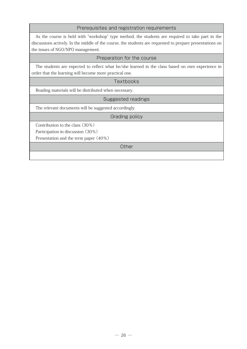#### Prerequisites and registration requirements

As the course is held with "workshop" type method, the students are required to take part in the discussions actively. In the middle of the course, the students are requested to prepare presentations on the issues of NGO/NPO management.

#### Preparation for the course

The students are expected to reflect what he/she learned in the class based on own experience in order that the learning will become more practical one.

#### **Textbooks**

Reading materials will be distributed when necessary.

#### Suggested readings

The relevant documents will be suggested accordingly.

#### Grading policy

Contribution to the class (30%)

Participation in discussion (30%)

Presentation and the term paper (40%)

**Other**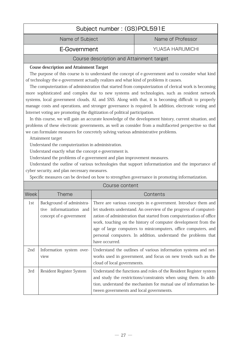<span id="page-27-0"></span>

| Subject number: (GS)POL591E |                   |  |
|-----------------------------|-------------------|--|
| Name of Subject             | Name of Professor |  |
|                             |                   |  |

E-Government **The Covernment** VUASA HARUMICHI

#### Course description and Attainment target

#### **Couse description and Attainment Target**

The purpose of this course is to understand the concept of e-government and to consider what kind of technology the e-government actually realizes and what kind of problems it causes.

The computerization of administration that started from computerization of clerical work is becoming more sophisticated and complex due to new systems and technologies, such as resident network systems, local government clouds, AI, and SNS. Along with that, it is becoming difficult to properly manage costs and operations, and stronger governance is required. In addition, electronic voting and Internet voting are promoting the digitization of political participation.

In this course, we will gain an accurate knowledge of the development history, current situation, and problems of these electronic governments, as well as consider from a multifaceted perspective so that we can formulate measures for concretely solving various administrative problems.

Attainment target

Understand the computerization in administration.

Understand exactly what the concept e-government is.

Understand the problems of e-government and plan improvement measures.

Understand the outline of various technologies that support informatization and the importance of cyber security, and plan necessary measures.

Specific measures can be devised on how to strengthen governance in promoting informatization.

|      | Course content                                                                   |                                                                                                                                                                                                                                                                                                                                                                                                                                     |  |
|------|----------------------------------------------------------------------------------|-------------------------------------------------------------------------------------------------------------------------------------------------------------------------------------------------------------------------------------------------------------------------------------------------------------------------------------------------------------------------------------------------------------------------------------|--|
| Week | <b>Theme</b>                                                                     | Contents                                                                                                                                                                                                                                                                                                                                                                                                                            |  |
| 1st  | Background of administra-<br>tive informatization and<br>concept of e-government | There are various concepts in e-government. Introduce them and<br>let students understand. An overview of the progress of computeri-<br>zation of administration that started from computerization of office<br>work, touching on the history of computer development from the<br>age of large computers to minicomputers, office computers, and<br>personal computers. In addition, understand the problems that<br>have occurred. |  |
| 2nd  | Information system over-<br>view                                                 | Understand the outlines of various information systems and net-<br>works used in government, and focus on new trends such as the<br>cloud of local governments.                                                                                                                                                                                                                                                                     |  |
| 3rd  | Resident Register System                                                         | Understand the functions and roles of the Resident Register system<br>and study the restrictions/constraints when using them. In addi-<br>tion, understand the mechanism for mutual use of information be-<br>tween governments and local governments.                                                                                                                                                                              |  |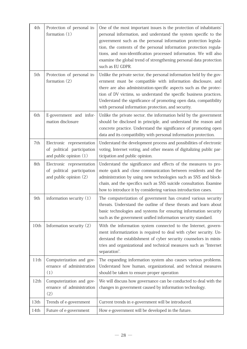| 4th  | Protection of personal in-<br>formation $(1)$                                     | One of the most important issues is the protection of inhabitants'<br>personal information, and understand the system specific to the<br>government such as the personal information protection legisla-<br>tion, the contents of the personal information protection regula-<br>tions, and non-identification processed information. We will also<br>examine the global trend of strengthening personal data protection<br>such as EU GDPR. |
|------|-----------------------------------------------------------------------------------|----------------------------------------------------------------------------------------------------------------------------------------------------------------------------------------------------------------------------------------------------------------------------------------------------------------------------------------------------------------------------------------------------------------------------------------------|
| 5th  | Protection of personal in-<br>formation (2)                                       | Unlike the private sector, the personal information held by the gov-<br>ernment must be compatible with information disclosure, and<br>there are also administration-specific aspects such as the protec-<br>tion of DV victims, so understand the specific business practices.<br>Understand the significance of promoting open data, compatibility<br>with personal information protection, and security.                                  |
| 6th  | E-government and infor-<br>mation disclosure                                      | Unlike the private sector, the information held by the government<br>should be disclosed in principle, and understand the reason and<br>concrete practice. Understand the significance of promoting open<br>data and its compatibility with personal information protection.                                                                                                                                                                 |
| 7th  | Electronic representation<br>of political participation<br>and public opinion (1) | Understand the development process and possibilities of electronic<br>voting, Internet voting, and other means of digitalizing public par-<br>ticipation and public opinion.                                                                                                                                                                                                                                                                 |
| 8th  | Electronic representation<br>of political participation<br>and public opinion (2) | Understand the significance and effects of the measures to pro-<br>mote quick and close communication between residents and the<br>administration by using new technologies such as SNS and block-<br>chain, and the specifics such as SNS suicide consultation. Examine<br>how to introduce it by considering various introduction cases.                                                                                                   |
| 9th  | information security $(1)$                                                        | The computerization of government has created various security<br>threats. Understand the outline of these threats and learn about<br>basic technologies and systems for ensuring information security<br>such as the government unified information security standard.                                                                                                                                                                      |
| 10th | Information security (2)                                                          | With the information system connected to the Internet, govern-<br>ment informatization is required to deal with cyber security. Un-<br>derstand the establishment of cyber security counselors in minis-<br>tries and organizational and technical measures such as "Internet<br>separation".                                                                                                                                                |
| 11th | Computerization and gov-<br>ernance of administration<br>(1)                      | The expanding information system also causes various problems.<br>Understand how human, organizational, and technical measures<br>should be taken to ensure proper operation                                                                                                                                                                                                                                                                 |
| 12th | Computerization and gov-<br>ernance of administration<br>(2)                      | We will discuss how governance can be conducted to deal with the<br>changes in government caused by information technology.                                                                                                                                                                                                                                                                                                                  |
| 13th | Trends of e-government                                                            | Current trends in e-government will be introduced.                                                                                                                                                                                                                                                                                                                                                                                           |
| 14th | Future of e-government                                                            | How e-government will be developed in the future.                                                                                                                                                                                                                                                                                                                                                                                            |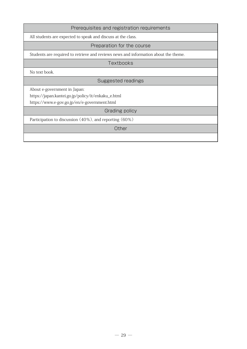#### Prerequisites and registration requirements

All students are expected to speak and discuss at the class.

#### Preparation for the course

Students are required to retrieve and reviews news and information about the theme.

**Textbooks** 

No text book.

#### Suggested readings

About e-government in Japan:

https://japan.kantei.go.jp/policy/it/enkaku\_e.html

https://www.e-gov.go.jp/en/e-government.html

#### Grading policy

Participation to discussion (40%), and reporting (60%)

**Other**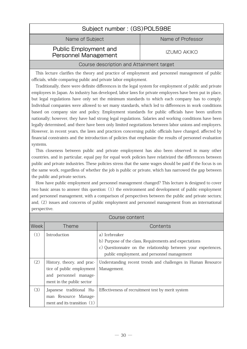<span id="page-30-0"></span>

| Subject number: (GS)POL598E  |                       |  |  |
|------------------------------|-----------------------|--|--|
| Name of Subject              | Name of Professor     |  |  |
| <b>Public Employment and</b> | ח <i>אויא</i> הוא ודו |  |  |

## Personnel Management **IZUMO AKIKO**

#### Course description and Attainment target

This lecture clarifies the theory and practice of employment and personnel management of public officials, while comparing public and private labor employment.

Traditionally, there were definite differences in the legal system for employment of public and private employees in Japan. As industry has developed, labor laws for private employees have been put in place, but legal regulations have only set the minimum standards to which each company has to comply. Individual companies were allowed to set many standards, which led to differences in work conditions based on company size and policy. Employment standards for public officials have been uniform nationally; however, they have had strong legal regulations. Salaries and working conditions have been legally determined, and there have been only limited negotiations between labor unions and employers. However, in recent years, the laws and practices concerning public officials have changed, affected by financial constraints and the introduction of policies that emphasize the results of personnel evaluation systems.

This closeness between public and private employment has also been observed in many other countries, and in particular, equal pay for equal work policies have relativized the differences between public and private industries. These policies stress that the same wages should be paid if the focus is on the same work, regardless of whether the job is public or private, which has narrowed the gap between the public and private sectors.

How have public employment and personnel management changed? This lecture is designed to cover two basic areas to answer this question: (1) the environment and development of public employment and personnel management, with a comparison of perspectives between the public and private sectors; and, (2) issues and concerns of public employment and personnel management from an international perspective.

| Course content    |                                                                                                               |                                                                                                                                                                                          |  |
|-------------------|---------------------------------------------------------------------------------------------------------------|------------------------------------------------------------------------------------------------------------------------------------------------------------------------------------------|--|
| Week <sup>1</sup> | <b>Theme</b>                                                                                                  | Contents                                                                                                                                                                                 |  |
| (1)               | Introduction                                                                                                  | a) Icebreaker<br>b) Purpose of the class, Requirements and expectations<br>c) Questionnaire on the relationship between your experiences,<br>public employment, and personnel management |  |
| (2)               | History, theory, and prac-<br>tice of public employment<br>and personnel manage-<br>ment in the public sector | Understanding recent trends and challenges in Human Resource<br>Management.                                                                                                              |  |
| (3)               | Japanese traditional Hu-<br>man Resource Manage-<br>ment and its transition $(1)$                             | Effectiveness of recruitment test by merit system                                                                                                                                        |  |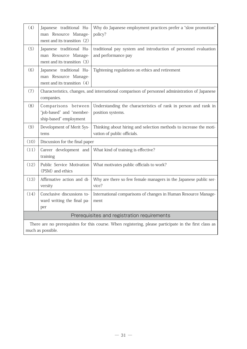| (4)                                                                                                                         | Japanese traditional Hu-<br>man Resource Manage-<br>ment and its transition $(2)$                            | Why do Japanese employment practices prefer a "slow promotion"<br>policy?                        |  |
|-----------------------------------------------------------------------------------------------------------------------------|--------------------------------------------------------------------------------------------------------------|--------------------------------------------------------------------------------------------------|--|
| (5)                                                                                                                         | Japanese traditional Hu-<br>man Resource Manage-<br>ment and its transition (3)                              | traditional pay system and introduction of personnel evaluation<br>and performance pay           |  |
| (6)                                                                                                                         | Japanese traditional Hu-<br>man Resource Manage-<br>ment and its transition (4)                              | Tightening regulations on ethics and retirement                                                  |  |
| (7)                                                                                                                         | Characteristics, changes, and international comparison of personnel administration of Japanese<br>companies. |                                                                                                  |  |
| (8)                                                                                                                         | Comparisons between<br>"job-based" and "member-<br>ship-based" employment                                    | Understanding the characteristics of rank in person and rank in<br>position systems.             |  |
| (9)                                                                                                                         | Development of Merit Sys-<br>tems                                                                            | Thinking about hiring and selection methods to increase the moti-<br>vation of public officials. |  |
| (10)                                                                                                                        | Discussion for the final paper                                                                               |                                                                                                  |  |
| (11)                                                                                                                        | Career development and<br>training                                                                           | What kind of training is effective?                                                              |  |
| (12)                                                                                                                        | Public Service Motivation<br>(PSM) and ethics                                                                | What motivates public officials to work?                                                         |  |
| (13)                                                                                                                        | Affirmative action and di-<br>versity                                                                        | Why are there so few female managers in the Japanese public ser-<br>vice?                        |  |
| (14)                                                                                                                        | Conclusive discussions to-<br>ward writing the final pa-<br>per                                              | International comparisons of changes in Human Resource Manage-<br>ment                           |  |
| Prerequisites and registration requirements                                                                                 |                                                                                                              |                                                                                                  |  |
| There are no prerequisites for this course. When registering, please participate in the first class as<br>much as possible. |                                                                                                              |                                                                                                  |  |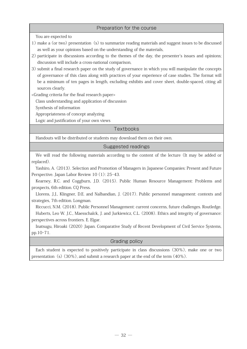#### Preparation for the course

You are expected to

- 1) make a (or two) presentation (s) to summarize reading materials and suggest issues to be discussed as well as your opinions based on the understanding of the materials,
- 2) participate in discussions according to the themes of the day, the presenter's issues and opinions; discussion will include a cross-national comparison,
- 3) submit a final research paper on the study of governance in which you will manipulate the concepts of governance of this class along with practices of your experience of case studies. The format will be a minimum of ten pages in length, excluding exhibits and cover sheet, double-spaced, citing all sources clearly.

<Grading criteria for the final research paper>

Class understanding and application of discussion

Synthesis of information

Appropriateness of concept analyzing

Logic and justification of your own views

#### **Textbooks**

Handouts will be distributed or students may download them on their own.

#### Suggested readings

We will read the following materials according to the content of the lecture (It may be added or replaced).

Yashiro, A. (2013). Selection and Promotion of Managers in Japanese Companies: Present and Future Perspective. Japan Labor Review 10 (1): 25-43.

Kearney, R.C. and Coggburn, J.D. (2015). Public Human Resource Management: Problems and prospects, 6th edition. CQ Press.

Llorens, J.J., Klingner, D.E. and Nalbandian, J. (2017). Public personnel management: contexts and strategies, 7th edition. Longman.

Riccucci, N.M. (2018). Public Personnel Management: current concerns, future challenges. Routledge. Huberts, Leo W. J.C., Maesschalck, J. and Jurkiewicz, C.L. (2008). Ethics and integrity of governance: perspectives across frontiers. E. Elgar.

Inatsugu, Hiroaki (2020) Japan. Comparative Study of Recent Development of Civil Service Systems, pp.10-71.

#### Grading policy

Each student is expected to positively participate in class discussions (30%), make one or two presentation (s)  $(30\%)$ , and submit a research paper at the end of the term  $(40\%)$ .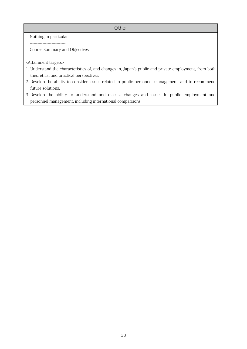#### **Other**

Nothing in particular

Course Summary and Objectives

---------------------------- <Attainment targets>

- 1. Understand the characteristics of, and changes in, Japan's public and private employment, from both theoretical and practical perspectives.
- 2. Develop the ability to consider issues related to public personnel management, and to recommend future solutions.
- 3. Develop the ability to understand and discuss changes and issues in public employment and personnel management, including international comparisons.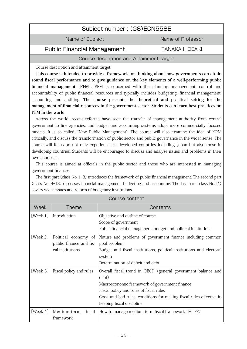## Subject number : (GS)ECN558E

Name of Subject Name of Professor

#### <span id="page-34-0"></span>Public Financial Management TANAKA HIDEAKI

#### Course description and Attainment target

Course description and attainment target

**This course is intended to provide a framework for thinking about how governments can attain sound fiscal performance and to give guidance on the key elements of a well-performing public financial management (PFM)**. PFM is concerned with the planning, management, control and accountability of public financial resources and typically includes budgeting, financial management, accounting and auditing. **The course presents the theoretical and practical setting for the management of financial resources in the government sector. Students can learn best practices on PFM in the world.**

Across the world, recent reforms have seen the transfer of management authority from central government to line agencies, and budget and accounting systems adopt more commercially focused models. It is so called, "New Public Management". The course will also examine the idea of NPM critically, and discuss the transformation of public sector and public governance in the wider sense. The course will focus on not only experiences in developed countries including Japan but also those in developing countries. Students will be encouraged to discuss and analyze issues and problems in their own countries.

This course is aimed at officials in the public sector and those who are interested in managing government finances.

The first part (class No. 1-3) introduces the framework of public financial management. The second part (class No. 4-13) discusses financial management, budgeting and accounting. The last part (class No.14) covers wider issues and reform of budgetary institutions.

| Course content |                         |                                                                      |
|----------------|-------------------------|----------------------------------------------------------------------|
| Week           | <b>Theme</b>            | Contents                                                             |
| [Week 1]       | Introduction            | Objective and outline of course                                      |
|                |                         | Scope of government                                                  |
|                |                         | Public financial management, budget and political institutions       |
| [Week 2]       | Political economy of    | Nature and problems of government finance including common           |
|                | public finance and fis- | pool problem                                                         |
|                | cal institutions        | Budget and fiscal institutions, political institutions and electoral |
|                |                         | system                                                               |
|                |                         | Determination of deficit and debt                                    |
| [Week 3]       | Fiscal policy and rules | Overall fiscal trend in OECD (general government balance and         |
|                |                         | debt)                                                                |
|                |                         | Macroeconomic framework of government finance                        |
|                |                         | Fiscal policy and roles of fiscal rules                              |
|                |                         | Good and bad rules, conditions for making fiscal rules effective in  |
|                |                         | keeping fiscal discipline                                            |
| [Week $4$ ]    | fiscal<br>Medium-term   | How to manage medium-term fiscal framework (MTFF)                    |
|                | framework               |                                                                      |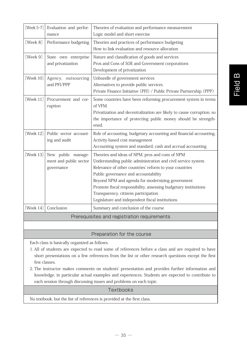| [Week $5-7$ ]                               | Evaluation and perfor-<br>mance                            | Theories of evaluation and performance measurement<br>Logic model and short exercise                                                                                                                                                                                                                                                                                                                                                |  |
|---------------------------------------------|------------------------------------------------------------|-------------------------------------------------------------------------------------------------------------------------------------------------------------------------------------------------------------------------------------------------------------------------------------------------------------------------------------------------------------------------------------------------------------------------------------|--|
| [Week 8]                                    | Performance budgeting                                      | Theories and practices of performance budgeting<br>How to link evaluation and resource allocation                                                                                                                                                                                                                                                                                                                                   |  |
| [Week 9]                                    | State own enterprise<br>and privatization                  | Nature and classification of goods and services<br>Pros and Cons of SOE and Government corporations<br>Development of privatization                                                                                                                                                                                                                                                                                                 |  |
| [Week 10]                                   | Agency, outsourcing<br>and PFI/PPP                         | Unbundle of government services<br>Alternatives to provide public services<br>Private Finance Initiative (PFI) / Public Private Partnership (PPP)                                                                                                                                                                                                                                                                                   |  |
| [Week 11]                                   | Procurement and cor-<br>ruption                            | Some countries have been reforming procurement system in terms<br>of VFM.<br>Privatization and decentralization are likely to cause corruption, so<br>the importance of protecting public money should be strength-<br>ened.                                                                                                                                                                                                        |  |
| [Week 12]                                   | Public sector account-<br>ing and audit                    | Role of accounting, budgetary accounting and financial accounting,<br>Activity-based cost management<br>Accounting system and standard, cash and accrual accounting                                                                                                                                                                                                                                                                 |  |
| [Week 13]                                   | New public manage-<br>ment and public sector<br>governance | Theories and ideas of NPM, pros and cons of NPM<br>Understanding public administration and civil service system<br>Relevance of other countries' reform to your countries<br>Public governance and accountability<br>Beyond NPM and agenda for modernizing government<br>Promote fiscal responsibility, assessing budgetary institutions<br>Transparency, citizens participation<br>Legislature and independent fiscal institutions |  |
| [Week $14$ ]                                | Conclusion                                                 | Summary and conclusion of the course                                                                                                                                                                                                                                                                                                                                                                                                |  |
| Prerequisites and registration requirements |                                                            |                                                                                                                                                                                                                                                                                                                                                                                                                                     |  |

#### Preparation for the course

Each class is basically organized as follows.

- 1. All of students are expected to read some of references before a class and are required to have short presentations on a few references from the list or other research questions except the first few classes.
- 2. The instructor makes comments on students' presentation and provides further information and knowledge, in particular actual examples and experiences. Students are expected to contribute to each session through discussing issues and problems on each topic.

#### Textbooks

No textbook, but the list of references is provided at the first class.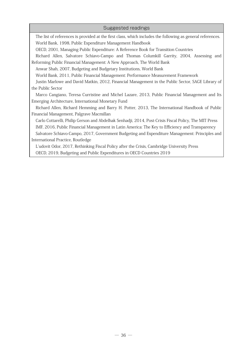#### Suggested readings

The list of references is provided at the first class, which includes the following as general references. World Bank, 1998, Public Expenditure Management Handbook

OECD, 2001, Managing Public Expenditure: A Reference Book for Transition Countries

Richard Allen, Salvatore Schiavo-Campo and Thomas Columkill Garrity, 2004, Assessing and Reforming Public Financial Management: A New Approach, The World Bank

Anwar Shah, 2007, Budgeting and Budgetary Institutions, World Bank

World Bank, 2011, Public Financial Management: Performance Measurement Framework

Justin Marlowe and David Matkin, 2012, Financial Management in the Public Sector, SAGE Library of the Public Sector

Marco Cangiano, Teresa Curristine and Michel Lazare, 2013, Public Financial Management and Its Emerging Architecture, International Monetary Fund

Richard Allen, Richard Hemming and Barry H. Potter, 2013, The International Handbook of Public Financial Management, Palgrave Macmillan

Carlo Cottarelli, Philip Gerson and Abdelhak Senhadji, 2014, Post-Crisis Fiscal Policy, The MIT Press IMF, 2016, Public Financial Management in Latin America: The Key to Efficiency and Transparency Salvatore Schiavo-Campo, 2017, Government Budgeting and Expenditure Management: Principles and International Practice, Routledge

L'udovit Odor, 2017, Rethinking Fiscal Policy after the Crisis, Cambridge University Press OECD, 2019, Budgeting and Public Expenditures in OECD Countries 2019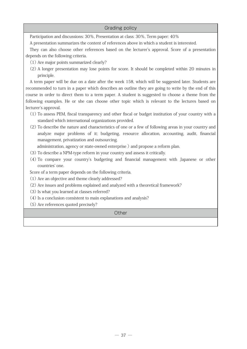#### Grading policy

Participation and discussions: 30%, Presentation at class: 30%, Term paper: 40%

A presentation summarizes the content of references above in which a student is interested.

They can also choose other references based on the lecturer's approval. Score of a presentation depends on the following criteria.

- (1) Are major points summarized clearly?
- (2) A longer presentation may lose points for score. It should be completed within 20 minutes in principle.

A term paper will be due on a date after the week 158, which will be suggested later. Students are recommended to turn in a paper which describes an outline they are going to write by the end of this course in order to direct them to a term paper. A student is suggested to choose a theme from the following examples. He or she can choose other topic which is relevant to the lectures based on lecturer's approval.

- (1) To assess PEM, fiscal transparency and other fiscal or budget institution of your country with a standard which international organizations provided.
- (2) To describe the nature and characteristics of one or a few of following areas in your country and analyze major problems of it; budgeting, resource allocation, accounting, audit, financial management, privatization and outsourcing.

administration, agency or state-owned enterprise ) and propose a reform plan.

- (3) To describe a NPM-type reform in your country and assess it critically.
- (4) To compare your country's budgeting and financial management with Japanese or other countries' one.

Score of a term paper depends on the following criteria.

- (1) Are an objective and theme clearly addressed?
- (2) Are issues and problems explained and analyzed with a theoretical framework?
- (3) Is what you learned at classes referred?
- (4) Is a conclusion consistent to main explanations and analysis?
- (5) Are references quoted precisely?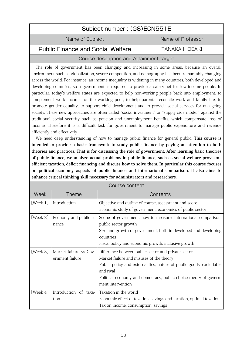| Subject number: (GS)ECN551E              |                   |
|------------------------------------------|-------------------|
| Name of Subject                          | Name of Professor |
| <b>Public Finance and Social Welfare</b> | TANAKA HIDFAKI    |

# Course description and Attainment target

The role of government has been changing and increasing in some areas, because an overall environment such as globalization, severe competition, and demography has been remarkably changing across the world. For instance, an income inequality is widening in many countries, both developed and developing countries, so a government is required to provide a safety-net for low-income people. In particular, today's welfare states are expected to help non-working people back into employment, to complement work income for the working poor, to help parents reconcile work and family life, to promote gender equality, to support child development and to provide social services for an ageing society. These new approaches are often called "social investment" or "supply side model", against the traditional social security such as pension and unemployment benefits, which compensate loss of income. Therefore it is a difficult task for government to manage public expenditure and revenue efficiently and effectively.

We need deep understanding of how to manage public finance for general public. **This course is intended to provide a basic framework to study public finance by paying an attention to both theories and practices. That is for discussing the role of government. After learning basic theories of public finance, we analyze actual problems in public finance, such as social welfare provision, efficient taxation, deficit financing and discuss how to solve them. In particular this course focuses on political economy aspects of public finance and international comparison. It also aims to enhance critical thinking skill necessary for administrators and researchers.**

|          |                                           | Course content                                                                                                                                                                                                                                                               |
|----------|-------------------------------------------|------------------------------------------------------------------------------------------------------------------------------------------------------------------------------------------------------------------------------------------------------------------------------|
| Week     | <b>Theme</b>                              | Contents                                                                                                                                                                                                                                                                     |
| [Week 1] | Introduction                              | Objective and outline of course, assessment and score<br>Economic study of government, economics of public sector                                                                                                                                                            |
| [Week 2] | Economy and public fi-<br>nance           | Scope of government, how to measure, international comparison,<br>public sector growth<br>Size and growth of government, both in developed and developing<br>countries<br>Fiscal policy and economic growth, inclusive growth                                                |
| [Week 3] | Market failure vs Gov-<br>ernment failure | Difference between public sector and private sector<br>Market failure and misuses of the theory<br>Public policy and externalities, nature of public goods, excludable<br>and rival<br>Political economy and democracy, public choice theory of govern-<br>ment intervention |
| [Week 4] | Introduction of taxa-<br>tion             | Taxation in the world<br>Economic effect of taxation, savings and taxation, optimal taxation<br>Tax on income, consumption, savings                                                                                                                                          |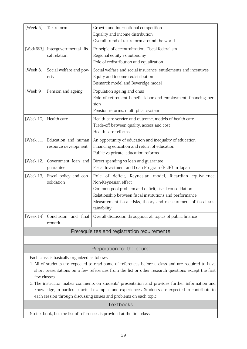| [Week 5]<br>Tax reform<br>Growth and international competition<br>Equality and income distribution<br>Overall trend of tax reform around the world<br>[Week 6&7]<br>Intergovernmental fis-<br>Principle of decentralization, Fiscal federalism<br>cal relation<br>Regional equity vs autonomy<br>Role of redistribution and equalization<br>[Week 8]<br>Social welfare and social insurance, entitlements and incentives<br>Social welfare and pov-<br>Equity and income redistribution<br>erty<br>Bismarck model and Beveridge model<br>[Week 9]<br>Population ageing and onus<br>Pension and ageing<br>Role of retirement benefit, labor and employment, financing pen-<br>sion<br>Pension reforms, multi-pillar system<br>[Week 10]<br>Health care<br>Health care service and outcome, models of health care<br>Trade-off between quality, access and cost<br>Health care reforms<br>[Week 11]<br>Education and human<br>An opportunity of education and inequality of education<br>Financing education and return of education<br>resource development<br>Public vs private, education reforms<br>[Week $12$ ]<br>Government loan and<br>Direct spending vs loan and guarantee<br>Fiscal Investment and Loan Program (FLIP) in Japan<br>guarantee<br>[Week 13]<br>Fiscal policy and con-<br>Role of deficit, Keynesian model, Ricardian equivalence,<br>solidation<br>Non-Keynesian effect<br>Common pool problem and deficit, fiscal consolidation<br>Relationship between fiscal institutions and performance<br>Measurement fiscal risks, theory and measurement of fiscal sus-<br>tainability<br>[Week 14]<br>Conclusion and final<br>Overall discussion throughout all topics of public finance<br>remark |  |  |
|--------------------------------------------------------------------------------------------------------------------------------------------------------------------------------------------------------------------------------------------------------------------------------------------------------------------------------------------------------------------------------------------------------------------------------------------------------------------------------------------------------------------------------------------------------------------------------------------------------------------------------------------------------------------------------------------------------------------------------------------------------------------------------------------------------------------------------------------------------------------------------------------------------------------------------------------------------------------------------------------------------------------------------------------------------------------------------------------------------------------------------------------------------------------------------------------------------------------------------------------------------------------------------------------------------------------------------------------------------------------------------------------------------------------------------------------------------------------------------------------------------------------------------------------------------------------------------------------------------------------------------------------------------------------------------------------------------------------|--|--|
|                                                                                                                                                                                                                                                                                                                                                                                                                                                                                                                                                                                                                                                                                                                                                                                                                                                                                                                                                                                                                                                                                                                                                                                                                                                                                                                                                                                                                                                                                                                                                                                                                                                                                                                    |  |  |
|                                                                                                                                                                                                                                                                                                                                                                                                                                                                                                                                                                                                                                                                                                                                                                                                                                                                                                                                                                                                                                                                                                                                                                                                                                                                                                                                                                                                                                                                                                                                                                                                                                                                                                                    |  |  |
|                                                                                                                                                                                                                                                                                                                                                                                                                                                                                                                                                                                                                                                                                                                                                                                                                                                                                                                                                                                                                                                                                                                                                                                                                                                                                                                                                                                                                                                                                                                                                                                                                                                                                                                    |  |  |
|                                                                                                                                                                                                                                                                                                                                                                                                                                                                                                                                                                                                                                                                                                                                                                                                                                                                                                                                                                                                                                                                                                                                                                                                                                                                                                                                                                                                                                                                                                                                                                                                                                                                                                                    |  |  |
|                                                                                                                                                                                                                                                                                                                                                                                                                                                                                                                                                                                                                                                                                                                                                                                                                                                                                                                                                                                                                                                                                                                                                                                                                                                                                                                                                                                                                                                                                                                                                                                                                                                                                                                    |  |  |
|                                                                                                                                                                                                                                                                                                                                                                                                                                                                                                                                                                                                                                                                                                                                                                                                                                                                                                                                                                                                                                                                                                                                                                                                                                                                                                                                                                                                                                                                                                                                                                                                                                                                                                                    |  |  |
|                                                                                                                                                                                                                                                                                                                                                                                                                                                                                                                                                                                                                                                                                                                                                                                                                                                                                                                                                                                                                                                                                                                                                                                                                                                                                                                                                                                                                                                                                                                                                                                                                                                                                                                    |  |  |
|                                                                                                                                                                                                                                                                                                                                                                                                                                                                                                                                                                                                                                                                                                                                                                                                                                                                                                                                                                                                                                                                                                                                                                                                                                                                                                                                                                                                                                                                                                                                                                                                                                                                                                                    |  |  |
|                                                                                                                                                                                                                                                                                                                                                                                                                                                                                                                                                                                                                                                                                                                                                                                                                                                                                                                                                                                                                                                                                                                                                                                                                                                                                                                                                                                                                                                                                                                                                                                                                                                                                                                    |  |  |
|                                                                                                                                                                                                                                                                                                                                                                                                                                                                                                                                                                                                                                                                                                                                                                                                                                                                                                                                                                                                                                                                                                                                                                                                                                                                                                                                                                                                                                                                                                                                                                                                                                                                                                                    |  |  |
| Prerequisites and registration requirements                                                                                                                                                                                                                                                                                                                                                                                                                                                                                                                                                                                                                                                                                                                                                                                                                                                                                                                                                                                                                                                                                                                                                                                                                                                                                                                                                                                                                                                                                                                                                                                                                                                                        |  |  |

# Preparation for the course

Each class is basically organized as follows.

- 1. All of students are expected to read some of references before a class and are required to have short presentations on a few references from the list or other research questions except the first few classes.
- 2. The instructor makes comments on students' presentation and provides further information and knowledge, in particular actual examples and experiences. Students are expected to contribute to each session through discussing issues and problems on each topic.

#### **Textbooks**

No textbook, but the list of references is provided at the first class.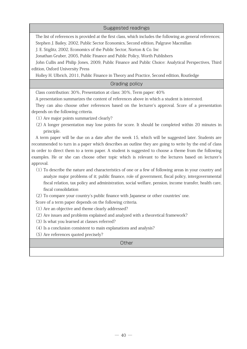### Suggested readings

The list of references is provided at the first class, which includes the following as general references; Stephen J. Bailey, 2002, Public Sector Economics, Second edition, Palgrave Macmillan

J. E. Stiglitz, 2002, Economics of the Public Sector, Norton & Co. Inc

Jonathan Gruber, 2005, Public Finance and Public Policy, Worth Publishers

John Cullis and Philip Jones, 2009, Public Finance and Public Choice: Analytical Perspectives, Third edition, Oxford University Press

Holley H. Ulbrich, 2011, Public Finance in Theory and Practice, Second edition, Routledge

## Grading policy

Class contribution: 30%, Presentation at class: 30%, Term paper: 40%

A presentation summarizes the content of references above in which a student is interested.

They can also choose other references based on the lecturer's approval. Score of a presentation depends on the following criteria.

(1) Are major points summarized clearly?

(2) A longer presentation may lose points for score. It should be completed within 20 minutes in principle.

A term paper will be due on a date after the week 15, which will be suggested later. Students are recommended to turn in a paper which describes an outline they are going to write by the end of class in order to direct them to a term paper. A student is suggested to choose a theme from the following examples. He or she can choose other topic which is relevant to the lectures based on lecturer's approval.

(1) To describe the nature and characteristics of one or a few of following areas in your country and analyze major problems of it; public finance, role of government, fiscal policy, intergovernmental fiscal relation, tax policy and administration, social welfare, pension, income transfer, health care, fiscal consolidation

(2) To compare your country's public finance with Japanese or other countries' one.

Score of a term paper depends on the following criteria.

(1) Are an objective and theme clearly addressed?

- (2) Are issues and problems explained and analyzed with a theoretical framework?
- (3) Is what you learned at classes referred?
- (4) Is a conclusion consistent to main explanations and analysis?
- (5) Are references quoted precisely?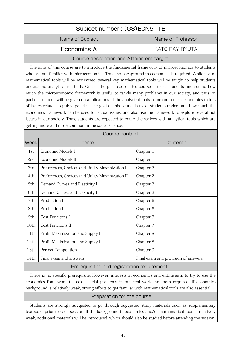| Subject number: (GS)ECN511E                                                                                                                                                                                                                                                                                                                                                                                                                                                                                                                                                                                                                                                                                                                                                                                                                                                                                                                                                                                                 |                                                  |                                     |
|-----------------------------------------------------------------------------------------------------------------------------------------------------------------------------------------------------------------------------------------------------------------------------------------------------------------------------------------------------------------------------------------------------------------------------------------------------------------------------------------------------------------------------------------------------------------------------------------------------------------------------------------------------------------------------------------------------------------------------------------------------------------------------------------------------------------------------------------------------------------------------------------------------------------------------------------------------------------------------------------------------------------------------|--------------------------------------------------|-------------------------------------|
|                                                                                                                                                                                                                                                                                                                                                                                                                                                                                                                                                                                                                                                                                                                                                                                                                                                                                                                                                                                                                             | Name of Subject                                  | Name of Professor                   |
|                                                                                                                                                                                                                                                                                                                                                                                                                                                                                                                                                                                                                                                                                                                                                                                                                                                                                                                                                                                                                             | Economics A                                      | <b>KATO RAY RYUTA</b>               |
|                                                                                                                                                                                                                                                                                                                                                                                                                                                                                                                                                                                                                                                                                                                                                                                                                                                                                                                                                                                                                             | Course description and Attainment target         |                                     |
| The aims of this course are to introduce the fundamental framework of microeconomics to students<br>who are not familiar with microeconomics. Thus, no background in economics is required. While use of<br>mathematical tools will be minimized, several key mathematical tools will be taught to help students<br>understand analytical methods. One of the purposes of this course is to let students understand how<br>much the microeconomic framework is useful to tackle many problems in our society, and thus, in<br>particular, focus will be given on applications of the analytical tools common in microeconomics to lots<br>of issues related to public policies. The goal of this course is to let students understand how much the<br>economics framework can be used for actual issues, and also use the framework to explore several hot<br>issues in our society. Thus, students are expected to equip themselves with analytical tools which are<br>getting more and more common in the social science. |                                                  |                                     |
|                                                                                                                                                                                                                                                                                                                                                                                                                                                                                                                                                                                                                                                                                                                                                                                                                                                                                                                                                                                                                             | Course content                                   |                                     |
| Week                                                                                                                                                                                                                                                                                                                                                                                                                                                                                                                                                                                                                                                                                                                                                                                                                                                                                                                                                                                                                        | Theme                                            | Contents                            |
| 1st                                                                                                                                                                                                                                                                                                                                                                                                                                                                                                                                                                                                                                                                                                                                                                                                                                                                                                                                                                                                                         | Economic Models I                                | Chapter 1                           |
| 2nd                                                                                                                                                                                                                                                                                                                                                                                                                                                                                                                                                                                                                                                                                                                                                                                                                                                                                                                                                                                                                         | Economic Models II                               | Chapter 1                           |
| 3rd                                                                                                                                                                                                                                                                                                                                                                                                                                                                                                                                                                                                                                                                                                                                                                                                                                                                                                                                                                                                                         | Preferences, Choices and Utility Maximization I  | Chapter 2                           |
| 4th                                                                                                                                                                                                                                                                                                                                                                                                                                                                                                                                                                                                                                                                                                                                                                                                                                                                                                                                                                                                                         | Preferences, Choices and Utility Maximization II | Chapter 2                           |
| 5th                                                                                                                                                                                                                                                                                                                                                                                                                                                                                                                                                                                                                                                                                                                                                                                                                                                                                                                                                                                                                         | Demand Curves and Elasticity I                   | Chapter 3                           |
| 6th                                                                                                                                                                                                                                                                                                                                                                                                                                                                                                                                                                                                                                                                                                                                                                                                                                                                                                                                                                                                                         | Demand Curves and Elasticity II                  | Chapter 3                           |
| 7th                                                                                                                                                                                                                                                                                                                                                                                                                                                                                                                                                                                                                                                                                                                                                                                                                                                                                                                                                                                                                         | Production I                                     | Chapter 6                           |
| 8th                                                                                                                                                                                                                                                                                                                                                                                                                                                                                                                                                                                                                                                                                                                                                                                                                                                                                                                                                                                                                         | Production II                                    | Chapter 6                           |
| 9th                                                                                                                                                                                                                                                                                                                                                                                                                                                                                                                                                                                                                                                                                                                                                                                                                                                                                                                                                                                                                         | Cost Funcitons I                                 | Chapter 7                           |
| 10th                                                                                                                                                                                                                                                                                                                                                                                                                                                                                                                                                                                                                                                                                                                                                                                                                                                                                                                                                                                                                        | Cost Funcitons II                                | Chapter 7                           |
| 11th                                                                                                                                                                                                                                                                                                                                                                                                                                                                                                                                                                                                                                                                                                                                                                                                                                                                                                                                                                                                                        | Profit Maximization and Supply I                 | Chapter 8                           |
| 12th                                                                                                                                                                                                                                                                                                                                                                                                                                                                                                                                                                                                                                                                                                                                                                                                                                                                                                                                                                                                                        | Profit Maximization and Supply II                | Chapter 8                           |
| 13th                                                                                                                                                                                                                                                                                                                                                                                                                                                                                                                                                                                                                                                                                                                                                                                                                                                                                                                                                                                                                        | Perfect Competition                              | Chapter 9                           |
| 14th                                                                                                                                                                                                                                                                                                                                                                                                                                                                                                                                                                                                                                                                                                                                                                                                                                                                                                                                                                                                                        | Final exam and answers                           | Final exam and provision of answers |
|                                                                                                                                                                                                                                                                                                                                                                                                                                                                                                                                                                                                                                                                                                                                                                                                                                                                                                                                                                                                                             | Prerequisites and registration requirements      |                                     |

There is no specific prerequisite. However, interests in economics and enthusiasm to try to use the economics framework to tackle social problems in our real world are both required. If economics background is relatively weak, strong efforts to get familiar with mathematical tools are also essential.

# Preparation for the course

Students are strongly suggested to go through suggested study materials such as supplementary textbooks prior to each session. If the background in economics and/or mathematical toos is relatively weak, additional materials will be introduced, which should also be studied before attending the session.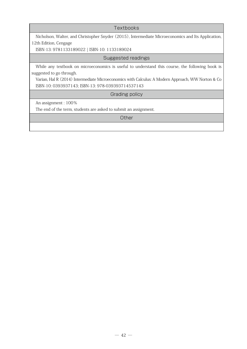**Textbooks** 

Nicholson, Walter, and Christopher Snyder (2015), Intermediate Microeconomics and Its Application, 12th Edition, Cengage

ISBN-13: 9781133189022 | ISBN-10: 1133189024

Suggested readings

While any textbook on microeconomics is useful to understand this course, the following book is suggested to go through.

Varian, Hal R (2014) Intermediate Microeconomics with Calculus: A Modern Approach, WW Norton & Co ISBN-10: 0393937143; ISBN-13: 978-039393714537143

Grading policy

An assignment : 100%

The end of the term, students are asked to submit an assignment.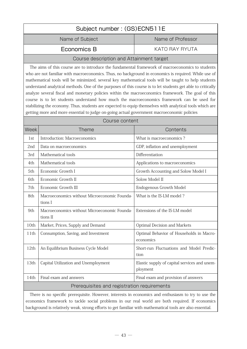|             | Subject number: (GS)ECN511E                                                                                                                                                                                                                                                                                                                                                                                                                                                                                                                                                                                                                                                                                                                                                                                                                   |                                                          |  |
|-------------|-----------------------------------------------------------------------------------------------------------------------------------------------------------------------------------------------------------------------------------------------------------------------------------------------------------------------------------------------------------------------------------------------------------------------------------------------------------------------------------------------------------------------------------------------------------------------------------------------------------------------------------------------------------------------------------------------------------------------------------------------------------------------------------------------------------------------------------------------|----------------------------------------------------------|--|
|             | Name of Subject                                                                                                                                                                                                                                                                                                                                                                                                                                                                                                                                                                                                                                                                                                                                                                                                                               | Name of Professor                                        |  |
|             | Economics B                                                                                                                                                                                                                                                                                                                                                                                                                                                                                                                                                                                                                                                                                                                                                                                                                                   | KATO RAY RYUTA                                           |  |
|             | Course description and Attainment target                                                                                                                                                                                                                                                                                                                                                                                                                                                                                                                                                                                                                                                                                                                                                                                                      |                                                          |  |
|             | The aims of this course are to introduce the fundamental framework of macroeconomics to students<br>who are not familiar with macroeconomics. Thus, no background in economics is required. While use of<br>mathematical tools will be minimized, several key mathematical tools will be taught to help students<br>understand analytical methods. One of the purposes of this course is to let students get able to critically<br>analyze several fiscal and monetary policies within the macroeconomics framework. The goal of this<br>course is to let students understand how much the macroeconomics framework can be used for<br>stabilizing the economy. Thus, students are expected to equip themselves with analytical tools which are<br>getting more and more essential to judge on-going actual government macroeconomic policies |                                                          |  |
|             | Course content                                                                                                                                                                                                                                                                                                                                                                                                                                                                                                                                                                                                                                                                                                                                                                                                                                |                                                          |  |
| <b>Week</b> | <b>Theme</b>                                                                                                                                                                                                                                                                                                                                                                                                                                                                                                                                                                                                                                                                                                                                                                                                                                  | Contents                                                 |  |
| 1st         | Introduction: Macroeconomics                                                                                                                                                                                                                                                                                                                                                                                                                                                                                                                                                                                                                                                                                                                                                                                                                  | What is macroeconomics?                                  |  |
| 2nd         | Data on macroeconomics                                                                                                                                                                                                                                                                                                                                                                                                                                                                                                                                                                                                                                                                                                                                                                                                                        | GDP, inflation and unemployment                          |  |
| 3rd         | Mathematical tools                                                                                                                                                                                                                                                                                                                                                                                                                                                                                                                                                                                                                                                                                                                                                                                                                            | Differentiation                                          |  |
| 4th         | Mathematical tools                                                                                                                                                                                                                                                                                                                                                                                                                                                                                                                                                                                                                                                                                                                                                                                                                            | Applications to macroeconomics                           |  |
| 5th         | Economic Growth I                                                                                                                                                                                                                                                                                                                                                                                                                                                                                                                                                                                                                                                                                                                                                                                                                             | Growth Accounting and Solow Model I                      |  |
| 6th         | Economic Growth II                                                                                                                                                                                                                                                                                                                                                                                                                                                                                                                                                                                                                                                                                                                                                                                                                            | Solow Model II                                           |  |
| 7th         | Economic Growth III                                                                                                                                                                                                                                                                                                                                                                                                                                                                                                                                                                                                                                                                                                                                                                                                                           | Endogenous Growth Model                                  |  |
| 8th         | Macroeconomics without Microeconomic Founda-<br>tions I                                                                                                                                                                                                                                                                                                                                                                                                                                                                                                                                                                                                                                                                                                                                                                                       | What is the IS-LM model?                                 |  |
| 9th         | Macroeconomics without Microeconomic Founda-<br>tions II                                                                                                                                                                                                                                                                                                                                                                                                                                                                                                                                                                                                                                                                                                                                                                                      | Extensions of the IS-LM model                            |  |
| 10th        | Market, Prices, Supply and Demand                                                                                                                                                                                                                                                                                                                                                                                                                                                                                                                                                                                                                                                                                                                                                                                                             | Optimal Decision and Markets                             |  |
| 11th        | Consumption, Saving, and Investment                                                                                                                                                                                                                                                                                                                                                                                                                                                                                                                                                                                                                                                                                                                                                                                                           | Optimal Behavior of Households in Macro-<br>economics    |  |
| 12th        | An Equilibrium Business Cycle Model                                                                                                                                                                                                                                                                                                                                                                                                                                                                                                                                                                                                                                                                                                                                                                                                           | Short-run Fluctuations and Model Predic-<br>tion         |  |
| 13th        | Capital Utilization and Unemployment                                                                                                                                                                                                                                                                                                                                                                                                                                                                                                                                                                                                                                                                                                                                                                                                          | Elastic supply of capital services and unem-<br>ployment |  |
| 14th        | Final exam and answers                                                                                                                                                                                                                                                                                                                                                                                                                                                                                                                                                                                                                                                                                                                                                                                                                        | Final exam and provision of answers                      |  |
|             | Prerequisites and registration requirements                                                                                                                                                                                                                                                                                                                                                                                                                                                                                                                                                                                                                                                                                                                                                                                                   |                                                          |  |
|             | There is no specific prerequisite However, interests in economics and enthusiasm to try to use the                                                                                                                                                                                                                                                                                                                                                                                                                                                                                                                                                                                                                                                                                                                                            |                                                          |  |

There is no specific prerequisite. However, interests in economics and enthusiasm to try to use the economics framework to tackle social problems in our real world are both required. If economics background is relatively weak, strong efforts to get familiar with mathematical tools are also essential.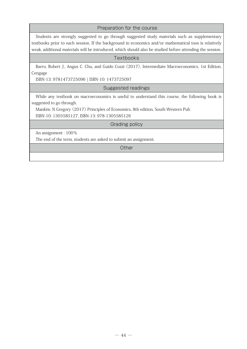#### Preparation for the course

Students are strongly suggested to go through suggested study materials such as supplementary textbooks prior to each session. If the background in economics and/or mathematical toos is relatively weak, additional materials will be introduced, which should also be studied before attending the session.

#### **Textbooks**

Barro, Robert J., Angus C. Chu, and Guido Cozzi (2017), Intermediate Macroeconomics, 1st Edition, Cengage

ISBN-13: 9781473725096 | ISBN-10: 1473725097

#### Suggested readings

While any textbook on macroeconomics is useful to understand this course, the following book is suggested to go through.

Mankiw, N Gregory (2017) Principles of Economics, 8th edition, South-Western Pub

ISBN-10: 1305585127, ISBN-13: 978-1305585126

#### Grading policy

An assignment : 100%

The end of the term, students are asked to submit an assignment.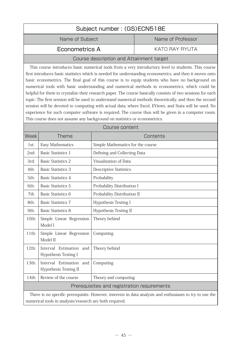|                                                                                                                                                                    |                                                                           | Subject number: (GS)ECN518E                 |                                                                                                                                                                                                    |
|--------------------------------------------------------------------------------------------------------------------------------------------------------------------|---------------------------------------------------------------------------|---------------------------------------------|----------------------------------------------------------------------------------------------------------------------------------------------------------------------------------------------------|
|                                                                                                                                                                    | Name of Subject                                                           |                                             | Name of Professor                                                                                                                                                                                  |
|                                                                                                                                                                    | Econometrics A                                                            |                                             | <b>KATO RAY RYUTA</b>                                                                                                                                                                              |
|                                                                                                                                                                    |                                                                           | Course description and Attainment target    |                                                                                                                                                                                                    |
|                                                                                                                                                                    |                                                                           |                                             | This course introduces basic numerical tools from a very introductory level to students. This course                                                                                               |
|                                                                                                                                                                    |                                                                           |                                             | first introduces basic statistics which is needed for understanding econometrics, and then it moves onto                                                                                           |
|                                                                                                                                                                    |                                                                           |                                             | basic econometrics. The final goal of this course is to equip students who have no background on<br>numerical tools with basic understanding and numerical methods in econometrics, which could be |
|                                                                                                                                                                    |                                                                           |                                             | helpful for them to crystalize their research paper. The course basically consists of two sessions for each                                                                                        |
|                                                                                                                                                                    |                                                                           |                                             | topic: The first session will be used to understand numerical methods theoretically, and then the second                                                                                           |
|                                                                                                                                                                    |                                                                           |                                             | session will be devoted to computing with actual data, where Excel, EViews, and Stata will be used. No                                                                                             |
|                                                                                                                                                                    | This course does not assume any background on statistics or econometrics. |                                             | experience for such computer software is required. The course thus will be given in a computer room.                                                                                               |
|                                                                                                                                                                    |                                                                           | Course content                              |                                                                                                                                                                                                    |
| Week                                                                                                                                                               | <b>Theme</b>                                                              |                                             | Contents                                                                                                                                                                                           |
| 1st:                                                                                                                                                               | Easy Mathematics                                                          | Simple Mathematics for the course           |                                                                                                                                                                                                    |
| 2nd:                                                                                                                                                               | <b>Basic Statistics 1</b>                                                 | Defining and Collecting Data                |                                                                                                                                                                                                    |
| 3rd:                                                                                                                                                               | <b>Basic Statistics 2</b>                                                 | Visualization of Data                       |                                                                                                                                                                                                    |
| 4th:                                                                                                                                                               | <b>Basic Statistics 3</b>                                                 | <b>Descriptive Statistics</b>               |                                                                                                                                                                                                    |
| 5th:                                                                                                                                                               | <b>Basic Statistics 4</b>                                                 | Probability                                 |                                                                                                                                                                                                    |
| 6th:                                                                                                                                                               | <b>Basic Statistics 5</b>                                                 | Probability Distribution I                  |                                                                                                                                                                                                    |
| 7th                                                                                                                                                                | <b>Basic Statistics 6</b>                                                 | Probability Distribution II                 |                                                                                                                                                                                                    |
| 8th:                                                                                                                                                               | <b>Basic Statistics 7</b>                                                 | Hypothesis Testing I                        |                                                                                                                                                                                                    |
| 9th:                                                                                                                                                               | <b>Basic Statistics 8</b>                                                 | <b>Hypothesis Testing II</b>                |                                                                                                                                                                                                    |
| 10th:                                                                                                                                                              | Simple Linear Regression<br>Model I                                       | Theory behind                               |                                                                                                                                                                                                    |
| $11$ th:                                                                                                                                                           | Simple Linear Regression<br>Model II                                      | Computing                                   |                                                                                                                                                                                                    |
| $12th$ :                                                                                                                                                           | Interval Estimation and<br><b>Hypothesis Testing I</b>                    | Theory behind                               |                                                                                                                                                                                                    |
| 13th:                                                                                                                                                              | Interval Estimation<br>and<br><b>Hypothesis Testing II</b>                | Computing                                   |                                                                                                                                                                                                    |
| 14th                                                                                                                                                               | Review of the course                                                      | Theory and computing                        |                                                                                                                                                                                                    |
|                                                                                                                                                                    |                                                                           | Prerequisites and registration requirements |                                                                                                                                                                                                    |
| There is no specific prerequisite. However, interests in data analysis and enthusiasm to try to use the<br>numerical tools in analysis/research are both required. |                                                                           |                                             |                                                                                                                                                                                                    |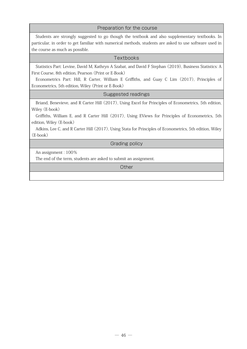#### Preparation for the course

Students are strongly suggested to go though the textbook and also supplementary textbooks. In particular, in order to get familiar with numerical methods, students are asked to use software used in the course as much as possible.

#### **Textbooks**

Statistics Part: Levine, David M, Kathryn A Szabat, and David F Stephan (2019), Business Statistics: A First Course, 8th edition, Pearson (Print or E-Book)

Econometrics Part: Hill, R Carter, William E Griffiths, and Guay C Lim (2017), Principles of Econometrics, 5th edition, Wiley (Print or E-Book)

Suggested readings

Briand, Benevieve, and R Carter Hill (2017), Using Excel for Principles of Econometrics, 5th edition, Wiley (E-book)

Griffiths, William E, and R Carter Hill (2017), Using EViews for Principles of Econometrics, 5th edition, Wiley (E-book)

Adkins, Lee C, and R Carter Hill (2017), Using Stata for Principles of Econometrics, 5th edition, Wiley (E-book)

#### Grading policy

An assignment : 100%

The end of the term, students are asked to submit an assignment.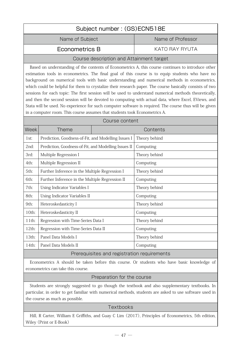| Subject number: (GS)ECN518E                                                                                                                                                                                                                                                                                                                                                                                                                                                                                                                                                                                                                                                                                                                                                                                                   |                                                      |                                          |                   |
|-------------------------------------------------------------------------------------------------------------------------------------------------------------------------------------------------------------------------------------------------------------------------------------------------------------------------------------------------------------------------------------------------------------------------------------------------------------------------------------------------------------------------------------------------------------------------------------------------------------------------------------------------------------------------------------------------------------------------------------------------------------------------------------------------------------------------------|------------------------------------------------------|------------------------------------------|-------------------|
|                                                                                                                                                                                                                                                                                                                                                                                                                                                                                                                                                                                                                                                                                                                                                                                                                               | Name of Subject                                      |                                          | Name of Professor |
|                                                                                                                                                                                                                                                                                                                                                                                                                                                                                                                                                                                                                                                                                                                                                                                                                               | Econometrics B                                       |                                          | KATO RAY RYUTA    |
|                                                                                                                                                                                                                                                                                                                                                                                                                                                                                                                                                                                                                                                                                                                                                                                                                               |                                                      | Course description and Attainment target |                   |
| Based on understanding of the contents of Econometrics A, this course continues to introduce other<br>estimation tools in econometrics. The final goal of this course is to equip students who have no<br>background on numerical tools with basic understanding and numerical methods in econometrics,<br>which could be helpful for them to crystalize their research paper. The course basically consists of two<br>sessions for each topic: The first session will be used to understand numerical methods theoretically,<br>and then the second session will be devoted to computing with actual data, where Excel, EViews, and<br>Stata will be used. No experience for such computer software is required. The course thus will be given<br>in a computer room. This course assumes that students took Econometrics A. |                                                      |                                          |                   |
|                                                                                                                                                                                                                                                                                                                                                                                                                                                                                                                                                                                                                                                                                                                                                                                                                               | Course content                                       |                                          |                   |
| Week                                                                                                                                                                                                                                                                                                                                                                                                                                                                                                                                                                                                                                                                                                                                                                                                                          | <b>Theme</b>                                         |                                          | Contents          |
| 1st:                                                                                                                                                                                                                                                                                                                                                                                                                                                                                                                                                                                                                                                                                                                                                                                                                          | Prediction, Goodness-of-Fit, and Modelling Issues I  |                                          | Theory behind     |
| 2nd:                                                                                                                                                                                                                                                                                                                                                                                                                                                                                                                                                                                                                                                                                                                                                                                                                          | Prediction, Goodness-of-Fit, and Modelling Issues II |                                          | Computing         |
| 3rd:                                                                                                                                                                                                                                                                                                                                                                                                                                                                                                                                                                                                                                                                                                                                                                                                                          | Multiple Regression I                                |                                          | Theory behind     |
| 4th:                                                                                                                                                                                                                                                                                                                                                                                                                                                                                                                                                                                                                                                                                                                                                                                                                          | Multiple Regression II                               |                                          | Computing         |
| 5th:                                                                                                                                                                                                                                                                                                                                                                                                                                                                                                                                                                                                                                                                                                                                                                                                                          | Further Inference in the Multiple Regression I       |                                          | Theory behind     |
| 6th:                                                                                                                                                                                                                                                                                                                                                                                                                                                                                                                                                                                                                                                                                                                                                                                                                          | Further Inference in the Multiple Regression II      |                                          | Computing         |
| 7th:                                                                                                                                                                                                                                                                                                                                                                                                                                                                                                                                                                                                                                                                                                                                                                                                                          | Using Indicator Variables I                          |                                          | Theory behind     |
| 8th:                                                                                                                                                                                                                                                                                                                                                                                                                                                                                                                                                                                                                                                                                                                                                                                                                          | Using Indicator Variables II                         |                                          | Computing         |
| 9th:                                                                                                                                                                                                                                                                                                                                                                                                                                                                                                                                                                                                                                                                                                                                                                                                                          | Heteroskedasticity I                                 |                                          | Theory behind     |
| 10th:                                                                                                                                                                                                                                                                                                                                                                                                                                                                                                                                                                                                                                                                                                                                                                                                                         | Heteroskedasticity II                                |                                          | Computing         |
| $11$ th:                                                                                                                                                                                                                                                                                                                                                                                                                                                                                                                                                                                                                                                                                                                                                                                                                      | Regression with Time-Series Data I                   |                                          | Theory behind     |
| 12th:                                                                                                                                                                                                                                                                                                                                                                                                                                                                                                                                                                                                                                                                                                                                                                                                                         | Regression with Time-Series Data II                  |                                          | Computing         |
| 13th:                                                                                                                                                                                                                                                                                                                                                                                                                                                                                                                                                                                                                                                                                                                                                                                                                         | Panel Data Models I                                  |                                          | Theory behind     |
| 14th:                                                                                                                                                                                                                                                                                                                                                                                                                                                                                                                                                                                                                                                                                                                                                                                                                         | Panel Data Models II                                 |                                          | Computing         |
|                                                                                                                                                                                                                                                                                                                                                                                                                                                                                                                                                                                                                                                                                                                                                                                                                               | Prerequisites and registration requirements          |                                          |                   |

Econometrics A should be taken before this course. Or students who have basic knowledge of econometrics can take this course.

# Preparation for the course

Students are strongly suggested to go though the textbook and also supplementary textbooks. In particular, in order to get familiar with numerical methods, students are asked to use software used in the course as much as possible.

## **Textbooks**

Hill, R Carter, William E Griffiths, and Guay C Lim (2017), Principles of Econometrics, 5th edition, Wiley (Print or E-Book)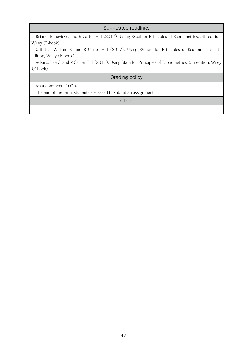#### Suggested readings

Briand, Benevieve, and R Carter Hill (2017), Using Excel for Principles of Econometrics, 5th edition, Wiley (E-book)

Griffiths, William E, and R Carter Hill (2017), Using EViews for Principles of Econometrics, 5th edition, Wiley (E-book)

Adkins, Lee C, and R Carter Hill (2017), Using Stata for Principles of Econometrics, 5th edition, Wiley (E-book)

Grading policy

An assignment : 100%

The end of the term, students are asked to submit an assignment.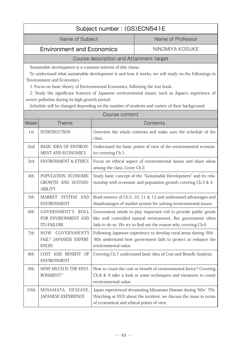# Subject number : (GS)ECN541E

Name of Subject Name of Professor

Environment and Economics NINOMIYA KOSUKE

# Course description and Attainment target

Sustainable development is a common interest of this classe.

To understand what sustainable development is and how it works, we will study on the followings in "Environment and Economics."

1. Focus on basic theory of Environmental Economics, following the text book.

2. Study the significant features of Japanese environmental issues; such as Japan's experience of severe pollution during its high-growth period.

Schedule will be changed depending on the number of students and variety of their background.

|             |                                                                | Course content                                                                                                                                                                                        |
|-------------|----------------------------------------------------------------|-------------------------------------------------------------------------------------------------------------------------------------------------------------------------------------------------------|
| <b>Week</b> | <b>Theme</b>                                                   | Contents                                                                                                                                                                                              |
| 1st         | <b>INTRODUCTION</b>                                            | Overview the whole contents and make sure the schedule of the<br>class.                                                                                                                               |
| 2nd         | <b>BASIC IDEA OF ENVIRON-</b><br>MENT AND ECONOMICS            | Understand the basic points of view of the environmental econom-<br>ics covering Ch.1.                                                                                                                |
| 3rd         | <b>ENVIRONMENT &amp; ETHICS</b>                                | Focus on ethical aspect of environmental issues and share ideas<br>among the class. Cover Ch.2.                                                                                                       |
| 4th         | POPULATION, ECONOMIC<br>GROWTH AND SUSTAIN-<br><b>ABILITY</b>  | Study basic concept of the "Sustainable Development" and its rela-<br>tionship with economic and population growth covering Ch.3 & 4.                                                                 |
| 5th         | MARKET SYSTEM AND<br><b>ENVIRONMENT</b>                        | Read essence of Ch.5, 10, 11 & 12 and understand advantages and<br>disadvantages of market system for solving environmental issues.                                                                   |
| 6th         | GOVERNMENT'S ROLL<br>FOR ENVIRONMENT AND<br><b>ITS FAILURE</b> | Government needs to play important roll to provide public goods<br>like well controlled natural environment. But government often<br>fails to do so. We try to find out the reason why covering Ch.6. |
| 7th         | HOW GOVERNMENTS<br>FAIL? JAPANESE EXPERI-<br><b>ENCES</b>      | Following Japanese experience to develop rural areas during '60s -<br>'80s understand how government fails to protect or enhance the<br>environmental value.                                          |
| 8th         | COST AND BENEFIT OF<br><b>ENVIRONMENT</b>                      | Covering Ch.7 understand basic idea of Cost and Benefit Analysis.                                                                                                                                     |
| 9th         | HOW MUCH IS THE ENVI-<br>RONMENT?                              | How to count the cost or benefit of environmental factor? Covering<br>Ch.8 & 9 take a look at some techniques and measures to count<br>environmental value.                                           |
| 10th        | MINAMATA DESEASE,<br>JAPANESE EXPERIENCE                       | Japan experienced devastating Minamata Disease during '60s-' 70s.<br>Watching at DVD about the incident, we discuss the issue in terms<br>of economical and ethical points of view.                   |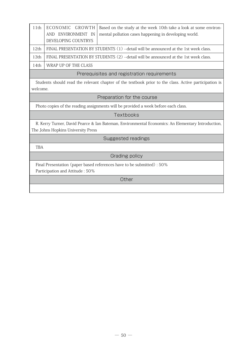| 11th       | ECONOMIC GROWTH<br>AND ENVIRONMENT IN                                                             | Based on the study at the week 10th take a look at some environ-<br>mental pollution cases happening in developing world. |
|------------|---------------------------------------------------------------------------------------------------|---------------------------------------------------------------------------------------------------------------------------|
|            | <b>DEVELOPING COUNTRYS</b>                                                                        |                                                                                                                           |
| 12th       |                                                                                                   | FINAL PRESENTATION BY STUDENTS (1) -- detail will be announced at the 1st week class.                                     |
| 13th       |                                                                                                   | FINAL PRESENTATION BY STUDENTS (2) -- detail will be announced at the 1st week class.                                     |
| 14th       | WRAP UP OF THE CLASS                                                                              |                                                                                                                           |
|            |                                                                                                   | Prerequisites and registration requirements                                                                               |
|            |                                                                                                   | Students should read the relevant chapter of the textbook prior to the class. Active participation is                     |
| welcome.   |                                                                                                   |                                                                                                                           |
|            |                                                                                                   | Preparation for the course                                                                                                |
|            |                                                                                                   | Photo copies of the reading assignments will be provided a week before each class.                                        |
|            |                                                                                                   | Textbooks                                                                                                                 |
|            | R. Kerry Turner, David Pearce & Ian Bateman, Environmental Economics: An Elementary Introduction, |                                                                                                                           |
|            | The Johns Hopkins University Press                                                                |                                                                                                                           |
|            |                                                                                                   | Suggested readings                                                                                                        |
| <b>TBA</b> |                                                                                                   |                                                                                                                           |
|            |                                                                                                   | Grading policy                                                                                                            |
|            |                                                                                                   | Final Presentation (paper based references have to be submitted) : 50%                                                    |
|            | Participation and Attitude: 50%                                                                   |                                                                                                                           |
|            |                                                                                                   | Other                                                                                                                     |
|            |                                                                                                   |                                                                                                                           |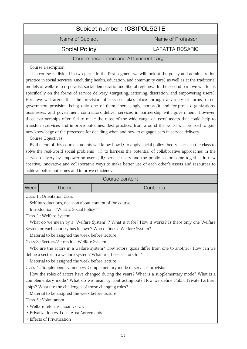| Subject number: (GS)POL521E              |                   |
|------------------------------------------|-------------------|
| Name of Subject                          | Name of Professor |
| <b>Social Policy</b>                     | LARATTA ROSARIO   |
| Course description and Attainment target |                   |
| Course Description:                      |                   |

This course is divided in two parts. In the first segment we will look at the policy and administration practice in social services (including health, education, and community care) as well as at the traditional models of welfare (corporatist, social democratic, and liberal regimes). In the second part, we will focus specifically on the forms of service delivery (targeting, rationing, discretion, and empowering users). Here we will argue that the provision of services takes place through a variety of forms, direct government provision being only one of them. Increasingly, nonprofit and for-profit organizations, businesses, and government contractors deliver services in partnership with government. However, those partnerships often fail to make the most of the wide range of users' assets that could help to transform services and improve outcomes. Best practices from around the world will be used to gain new knowledge of the processes for deciding when and how to engage users in service delivery.

Course Objectives :

By the end of this course students will know how i) to apply social policy theory learnt in the class to solve the real-world social problems ; ii) to harness the potential of collaborative approaches in the service delivery by empowering users ; ii) service users and the public sector come together in new creative, innovative and collaborative ways to make better use of each other's assets and resources to achieve better outcomes and improve efficiency.

|                   |        | Course content |
|-------------------|--------|----------------|
| Week <sub>1</sub> | Theme\ | Contents       |

Class 1 : Orientation Class

Self-introductions, decision about content of the course,

Introduction : "What is Social Policy? "

Class 2 : Welfare System

What do we mean by a "Welfare System" ? What is it for? How it works? Is there only one Welfare System or each country has its own? Who defines a Welfare System?

Material to be assigned the week before lecture

Class 3 : Sectors/Actors in a Welfare System

Who are the actors in a welfare system? How actors' goals differ from one to another? How can we define a sector in a welfare system? What are those sectors for?

Material to be assigned the week before lecture

Class 4 : Supplementary mode vs. Complementary mode of services provision

How the roles of actors have changed during the years? What is a supplementary mode? What is a complementary mode? What do we mean by contracting-out? How we define Public-Private-Partnerships? What are the challenges of those changing roles?

Material to be assigned the week before lecture

Class 5 : Voluntarism

・Welfare reforms-Japan vs. UK

・Privatization vs. Local Area Agreements

・Effects of Privatization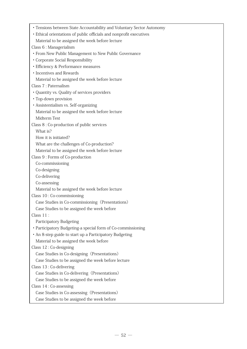| • Tensions between State Accountability and Voluntary Sector Autonomy |
|-----------------------------------------------------------------------|
| • Ethical orientations of public officials and nonprofit executives   |
| Material to be assigned the week before lecture                       |
| Class 6 : Managerialism                                               |
| • From New Public Management to New Public Governance                 |
| • Corporate Social Responsibility                                     |
| · Efficiency & Performance measures                                   |
| • Incentives and Rewards                                              |
| Material to be assigned the week before lecture                       |
| Class 7 : Paternalism                                                 |
| • Quantity vs. Quality of services providers                          |
| • Top-down provision                                                  |
| · Assistentialism vs. Self-organizing                                 |
| Material to be assigned the week before lecture                       |
| Midterm Test                                                          |
| Class 8 : Co-production of public services                            |
| What is?                                                              |
| How it is initiated?                                                  |
| What are the challenges of Co-production?                             |
| Material to be assigned the week before lecture                       |
| Class 9 : Forms of Co-production                                      |
| Co-commissioning                                                      |
| Co-designing                                                          |
| Co-delivering                                                         |
| Co-assessing                                                          |
| Material to be assigned the week before lecture                       |
| Class 10: Co-commissioning                                            |
| Case Studies in Co-commissioning (Presentations)                      |
| Case Studies to be assigned the week before                           |
| Class $11$ :                                                          |
| Participatory Budgeting                                               |
| • Participatory Budgeting-a special form of Co-commissioning          |
| • An 8-step guide to start up a Participatory Budgeting               |
| Material to be assigned the week before                               |
| Class 12: Co-designing                                                |
| Case Studies in Co-designing (Presentations)                          |
| Case Studies to be assigned the week before lecture                   |
| Class 13: Co-delivering                                               |
| Case Studies in Co-delivering (Presentations)                         |
| Case Studies to be assigned the week before                           |
| Class $14:Co$ -assessing                                              |
| Case Studies in Co-assessing (Presentations)                          |
| Case Studies to be assigned the week before                           |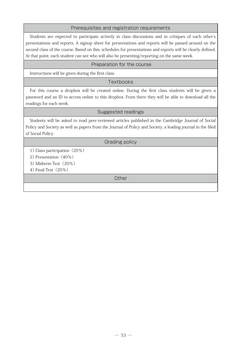### Prerequisites and registration requirements

Students are expected to participate actively in class discussions and in critiques of each other's presentations and reports. A signup sheet for presentations and reports will be passed around on the second class of the course. Based on this, schedules for presentations and reports will be clearly defined. At that point, each student can see who will also be presenting/reporting on the same week.

#### Preparation for the course

Instructions will be given during the first class.

#### **Textbooks**

For this course a dropbox will be created online. During the first class students will be given a password and an ID to access online to this dropbox. From there they will be able to download all the readings for each week.

#### Suggested readings

Students will be asked to read peer-reviewed articles published in the Cambridge Journal of Social Policy and Society as well as papers from the Journal of Policy and Society, a leading journal in the filed of Social Policy.

#### Grading policy

1) Class participation(20%)

2) Presentation (40%)

3) Midterm Test(20%)

4) Final Test(20%)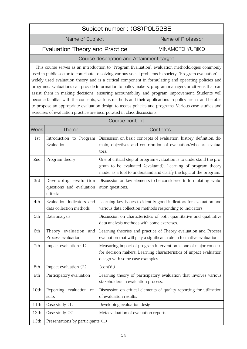| Subject number: (GS)POL528E              |                   |  |
|------------------------------------------|-------------------|--|
| Name of Subject                          | Name of Professor |  |
| <b>Evaluation Theory and Practice</b>    | MINAMOTO YURIKO   |  |
| Course description and Attainment target |                   |  |

This course serves as an introduction to "Program Evaluation", evaluation methodologies commonly used in public sector to contribute to solving various social problems in society. "Program evaluation" is widely used evaluation theory and is a critical component in formulating and operating policies and programs. Evaluations can provide information to policy makers, program managers or citizens that can assist them in making decisions, ensuring accountability and program improvement. Students will become familiar with the concepts, various methods and their applications in policy arena, and be able to propose an appropriate evaluation design to assess policies and programs. Various case studies and exercises of evaluation practice are incorporated in class discussions.

| Course content |                                                               |                                                                                                                                                                                                            |
|----------------|---------------------------------------------------------------|------------------------------------------------------------------------------------------------------------------------------------------------------------------------------------------------------------|
| Week           | <b>Theme</b>                                                  | Contents                                                                                                                                                                                                   |
| 1st            | Introduction to Program<br>Evaluation                         | Discussion on basic concepts of evaluation: history, definition, do-<br>main, objectives and contribution of evaluation/who are evalua-<br>tors.                                                           |
| 2nd            | Program theory                                                | One of critical step of program evaluation is to understand the pro-<br>gram to be evaluated (evaluand). Learning of program theory<br>model as a tool to understand and clarify the logic of the program. |
| 3rd            | Developing evaluation<br>questions and evaluation<br>criteria | Discussion on key elements to be considered in formulating evalu-<br>ation questions.                                                                                                                      |
| 4th            | Evaluation indicators and<br>data collection methods          | Learning key issues to identify good indicators for evaluation and<br>various data collection methods responding to indicators.                                                                            |
| 5th            | Data analysis                                                 | Discussion on characteristics of both quantitative and qualitative<br>data analysis methods with some exercises.                                                                                           |
| 6th            | Theory evaluation and<br>Process evaluation                   | Learning theories and practice of Theory evaluation and Process<br>evaluation that will play a significant role in formative evaluation.                                                                   |
| 7th            | Impact evaluation (1)                                         | Measuring impact of program intervention is one of major concern<br>for decision makers. Learning characteristics of impact evaluation<br>design with some case examples.                                  |
| 8th            | Impact evaluation (2)                                         | (cont'd.)                                                                                                                                                                                                  |
| 9th            | Participatory evaluation                                      | Learning theory of participatory evaluation that involves various<br>stakeholders in evaluation process.                                                                                                   |
| 10th           | Reporting evaluation re-<br>sults                             | Discussion on critical elements of quality reporting for utilization<br>of evaluation results.                                                                                                             |
| 11th           | Case study $(1)$                                              | Developing evaluation design.                                                                                                                                                                              |
| 12th           | Case study (2)                                                | Metaevaluation of evaluation reports.                                                                                                                                                                      |
| 13th           | Presentations by participants (1)                             |                                                                                                                                                                                                            |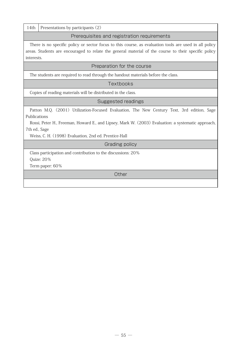14th Presentations by participants (2)

Prerequisites and registration requirements

There is no specific policy or sector focus to this course, as evaluation tools are used in all policy areas. Students are encouraged to relate the general material of the course to their specific policy interests.

#### Preparation for the course

The students are required to read through the handout materials before the class.

**Textbooks** 

Copies of reading materials will be distributed in the class.

#### Suggested readings

Patton M.Q. (2001) Utilization-Focused Evaluation, The New Century Text, 3rd edition, Sage Publications

Rossi, Peter H., Freeman, Howard E., and Lipsey, Mark W. (2003) Evaluation: a systematic approach, 7th ed., Sage

Weiss, C. H. (1998) Evaluation, 2nd ed. Prentice-Hall

# Grading policy

Class participation and contribution to the discussions: 20% Quize: 20%

Term paper: 60%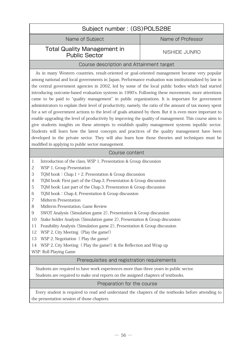| Subject number: (GS)POL528E                                                                                                                                                                                                                                                                                                                                                                                                                                                                                                                                                                                                                                                                                                                                                                                                                                                                                                                                                                                                                                                                                                                                                                                           |                   |  |
|-----------------------------------------------------------------------------------------------------------------------------------------------------------------------------------------------------------------------------------------------------------------------------------------------------------------------------------------------------------------------------------------------------------------------------------------------------------------------------------------------------------------------------------------------------------------------------------------------------------------------------------------------------------------------------------------------------------------------------------------------------------------------------------------------------------------------------------------------------------------------------------------------------------------------------------------------------------------------------------------------------------------------------------------------------------------------------------------------------------------------------------------------------------------------------------------------------------------------|-------------------|--|
| Name of Subject                                                                                                                                                                                                                                                                                                                                                                                                                                                                                                                                                                                                                                                                                                                                                                                                                                                                                                                                                                                                                                                                                                                                                                                                       | Name of Professor |  |
| <b>Total Quality Management in</b><br><b>Public Sector</b>                                                                                                                                                                                                                                                                                                                                                                                                                                                                                                                                                                                                                                                                                                                                                                                                                                                                                                                                                                                                                                                                                                                                                            | NISHIDE JUNRO     |  |
| Course description and Attainment target                                                                                                                                                                                                                                                                                                                                                                                                                                                                                                                                                                                                                                                                                                                                                                                                                                                                                                                                                                                                                                                                                                                                                                              |                   |  |
| As in many Western countries, result-oriented or goal-oriented management became very popular<br>among national and local governments in Japan. Performance evaluation was institutionalized by law in<br>the central government agencies in 2002, led by some of the local public bodies which had started<br>introducing outcome-based evaluation systems in 1990's. Following these movements, more attentions<br>came to be paid to "quality management" in public organizations. It is important for government<br>administrators to explain their level of productivity, namely, the ratio of the amount of tax money spent<br>for a set of government actions to the level of goals attained by them. But it is even more important to<br>enable upgrading the level of productivity by improving the quality of management. This course aims to<br>give students insights on these attempts to establish quality management systems inpublic sector.<br>Students will learn how the latest concepts and practices of the quality management have been<br>developed in the private sector. They will also learn how those theories and techniques must be<br>modified in applying to public sector management. |                   |  |
| Course content                                                                                                                                                                                                                                                                                                                                                                                                                                                                                                                                                                                                                                                                                                                                                                                                                                                                                                                                                                                                                                                                                                                                                                                                        |                   |  |
| Introduction of the class, WSP 1, Presentation & Group discussion<br>$\mathbf{1}$<br>WSP 1, Group Presentation<br>$\overline{c}$<br>3<br>TQM book: Chap.1 · 2, Presentation & Group discussion<br>TQM book: First part of the Chap.3, Presentation & Group discussion<br>$\overline{4}$<br>TQM book: Last part of the Chap.3, Presentation & Group discussion<br>5<br>TQM book: Chap.4, Presentation & Group discussion<br>6<br>Midterm Presentation<br>7<br>8<br>Midterm Presentation, Game Review<br>SWOT Analysis (Simulation game 2), Presentation & Group discussion<br>9<br>Stake holder Analysis (Simulation game 2), Presentation & Group discussion<br>10<br>Feasibility Analysis (Simulation game 2), Presentation & Group discussion<br>11<br>WSP 2, City Meeting (Play the game!)<br>12<br>WSP 2, Negotiation (Play the game!<br>13<br>WSP 2, City Meeting (Play the game!) & the Reflection and Wrap up<br>14<br>WSP: Roll Playing Game                                                                                                                                                                                                                                                                  |                   |  |
| Prerequisites and registration requirements                                                                                                                                                                                                                                                                                                                                                                                                                                                                                                                                                                                                                                                                                                                                                                                                                                                                                                                                                                                                                                                                                                                                                                           |                   |  |
| Students are required to have work experiences more than three years in public sector.                                                                                                                                                                                                                                                                                                                                                                                                                                                                                                                                                                                                                                                                                                                                                                                                                                                                                                                                                                                                                                                                                                                                |                   |  |
| Students are required to make oral reports on the assigned chapters of textbooks.                                                                                                                                                                                                                                                                                                                                                                                                                                                                                                                                                                                                                                                                                                                                                                                                                                                                                                                                                                                                                                                                                                                                     |                   |  |
| Preparation for the course                                                                                                                                                                                                                                                                                                                                                                                                                                                                                                                                                                                                                                                                                                                                                                                                                                                                                                                                                                                                                                                                                                                                                                                            |                   |  |
| Every student is required to read and understand the chapters of the textbooks before attending to<br>the presentation session of those chapters.                                                                                                                                                                                                                                                                                                                                                                                                                                                                                                                                                                                                                                                                                                                                                                                                                                                                                                                                                                                                                                                                     |                   |  |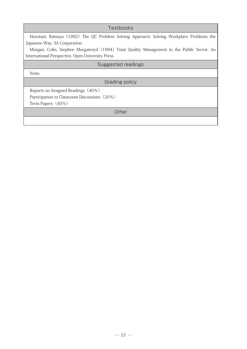| Textbooks                                                                                  |  |  |
|--------------------------------------------------------------------------------------------|--|--|
| Hosotani, Katsuya (1992) The QC Problem Solving Approach: Solving Workplace Problems the   |  |  |
| Japanese Way, 3A Corporation                                                               |  |  |
| Morgan, Colin, Stephen Murgatroyd (1994) Total Quality Management in the Public Sector: An |  |  |
| International Perspective, Open University Press                                           |  |  |
| Suggested readings                                                                         |  |  |
| None.                                                                                      |  |  |
| Grading policy                                                                             |  |  |
| Reports on Assigned Readings (40%)                                                         |  |  |
| Participation to Classroom Discussions (20%)                                               |  |  |
| Term Papers (40%)                                                                          |  |  |
| Other                                                                                      |  |  |
|                                                                                            |  |  |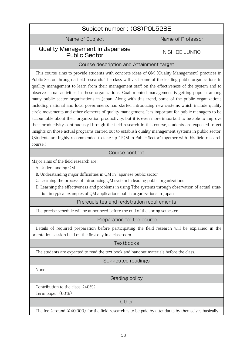| Subject number: (GS)POL528E                                                                                                                                                                                                                                                                                                                                                                                                                                                                                                                                                                                                                                                                                                                                                                                                                                                                                                                                                                                                                                                                                                                                                                        |                      |  |
|----------------------------------------------------------------------------------------------------------------------------------------------------------------------------------------------------------------------------------------------------------------------------------------------------------------------------------------------------------------------------------------------------------------------------------------------------------------------------------------------------------------------------------------------------------------------------------------------------------------------------------------------------------------------------------------------------------------------------------------------------------------------------------------------------------------------------------------------------------------------------------------------------------------------------------------------------------------------------------------------------------------------------------------------------------------------------------------------------------------------------------------------------------------------------------------------------|----------------------|--|
| Name of Subject                                                                                                                                                                                                                                                                                                                                                                                                                                                                                                                                                                                                                                                                                                                                                                                                                                                                                                                                                                                                                                                                                                                                                                                    | Name of Professor    |  |
| <b>Quality Management in Japanese</b><br><b>Public Sector</b>                                                                                                                                                                                                                                                                                                                                                                                                                                                                                                                                                                                                                                                                                                                                                                                                                                                                                                                                                                                                                                                                                                                                      | <b>NISHIDE JUNRO</b> |  |
| Course description and Attainment target                                                                                                                                                                                                                                                                                                                                                                                                                                                                                                                                                                                                                                                                                                                                                                                                                                                                                                                                                                                                                                                                                                                                                           |                      |  |
| This course aims to provide students with concrete ideas of QM (Quality Management) practices in<br>Public Sector through a field research. The class will visit some of the leading public organizations in<br>quallity management to learn from their management staff on the effectiveness of the system and to<br>observe actual activities in these organizations. Goal-oriented management is getting popular among<br>many public sector organizations in Japan. Along with this trend, some of the public organizations<br>including national and local governments had started introducing new systems which include quality<br>circle movements and other elements of quality management. It is important for public managers to be<br>accountable about their organization productivity, but it is even more important to be able to improve<br>their productivity continuously. Through the field research in this course, students are expected to get<br>insights on those actual programs carried out to establish quality management systems in public sector.<br>(Students are highly recommended to take up "TQM in Public Sector" together with this field research<br>course.) |                      |  |
| Course content                                                                                                                                                                                                                                                                                                                                                                                                                                                                                                                                                                                                                                                                                                                                                                                                                                                                                                                                                                                                                                                                                                                                                                                     |                      |  |
| Major aims of the field research are:<br>A. Understanding QM<br>B. Understanding major difficulties in QM in Japanese public sector<br>C. Learning the process of introducing QM system in leading public organizations<br>D. Learning the effectiveness and problems in using Tthe systems through observation of actual situa-<br>tion in typical examples of QM applications public organizations in Japan                                                                                                                                                                                                                                                                                                                                                                                                                                                                                                                                                                                                                                                                                                                                                                                      |                      |  |
| Prerequisites and registration requirements                                                                                                                                                                                                                                                                                                                                                                                                                                                                                                                                                                                                                                                                                                                                                                                                                                                                                                                                                                                                                                                                                                                                                        |                      |  |
| The precise schedule will be announced before the end of the spring semester.                                                                                                                                                                                                                                                                                                                                                                                                                                                                                                                                                                                                                                                                                                                                                                                                                                                                                                                                                                                                                                                                                                                      |                      |  |
| Preparation for the course                                                                                                                                                                                                                                                                                                                                                                                                                                                                                                                                                                                                                                                                                                                                                                                                                                                                                                                                                                                                                                                                                                                                                                         |                      |  |
| Details of required preparation before participating the field research will be explained in the<br>orientation session held on the first day in a classroom.                                                                                                                                                                                                                                                                                                                                                                                                                                                                                                                                                                                                                                                                                                                                                                                                                                                                                                                                                                                                                                      |                      |  |
| Textbooks                                                                                                                                                                                                                                                                                                                                                                                                                                                                                                                                                                                                                                                                                                                                                                                                                                                                                                                                                                                                                                                                                                                                                                                          |                      |  |
| The students are expected to read the text book and handout materials before the class.                                                                                                                                                                                                                                                                                                                                                                                                                                                                                                                                                                                                                                                                                                                                                                                                                                                                                                                                                                                                                                                                                                            |                      |  |
| Suggested readings                                                                                                                                                                                                                                                                                                                                                                                                                                                                                                                                                                                                                                                                                                                                                                                                                                                                                                                                                                                                                                                                                                                                                                                 |                      |  |
| None.                                                                                                                                                                                                                                                                                                                                                                                                                                                                                                                                                                                                                                                                                                                                                                                                                                                                                                                                                                                                                                                                                                                                                                                              |                      |  |
| Grading policy                                                                                                                                                                                                                                                                                                                                                                                                                                                                                                                                                                                                                                                                                                                                                                                                                                                                                                                                                                                                                                                                                                                                                                                     |                      |  |
| Contribution to the class (40%)<br>Term paper (60%)                                                                                                                                                                                                                                                                                                                                                                                                                                                                                                                                                                                                                                                                                                                                                                                                                                                                                                                                                                                                                                                                                                                                                |                      |  |
| Other                                                                                                                                                                                                                                                                                                                                                                                                                                                                                                                                                                                                                                                                                                                                                                                                                                                                                                                                                                                                                                                                                                                                                                                              |                      |  |
| The fee (around $\angle$ 40,000) for the field research is to be paid by attendants by themselves basically.                                                                                                                                                                                                                                                                                                                                                                                                                                                                                                                                                                                                                                                                                                                                                                                                                                                                                                                                                                                                                                                                                       |                      |  |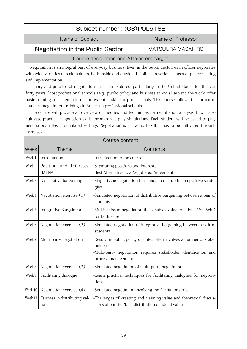| Subject number: (GS)POL518E      |                   |  |
|----------------------------------|-------------------|--|
| Name of Subject                  | Name of Professor |  |
| Negotiation in the Public Sector | MATSUURA MASAHIRO |  |

# Course description and Attainment target

Negotiation is an integral part of everyday business. Even in the public sector, each officer negotiates with wide varieties of stakeholders, both inside and outside the office, in various stages of policy-making and implementation.

Theory and practice of negotiation has been explored, particularly in the United States, for the last forty years. Most professional schools (e.g., public policy and business schools) around the world offer basic trainings on negotiation as an essential skill for professionals. This course follows the format of standard negotiation trainings in American professional schools.

The course will provide an overview of theories and techniques for negotiation analysis. It will also cultivate practical negotiation skills through role-play simulations. Each student will be asked to play negotiator's roles in simulated settings. Negotiation is a practical skill; it has to be cultivated through exercises.

| Course content |                                         |                                                                                                                                                                          |
|----------------|-----------------------------------------|--------------------------------------------------------------------------------------------------------------------------------------------------------------------------|
| <b>Week</b>    | <b>Theme</b>                            | Contents                                                                                                                                                                 |
| Week 1         | Introduction                            | -Introduction to the course                                                                                                                                              |
| Week 2         | Position and Interests,<br><b>BATNA</b> | -Separating positions and interests<br>-Best Alternative to a Negotiated Agreement                                                                                       |
| Week 3         | Distributive bargaining                 | -Single-issue negotiation that tends to end up In competitive strate-<br>gies                                                                                            |
| Week 4         | Negotiation exercise (1)                | -Simulated negotiation of distributive bargaining between a pair of<br>students                                                                                          |
| Week 5         | <b>Integrative Bargaining</b>           | -Multiple-issue negotiation that enables value creation (Win-Win)<br>for both sides                                                                                      |
| Week 6         | Negotiation exercise (2)                | -Simulated negotiation of integrative bargaining between a pair of<br>students                                                                                           |
| Week 7         | Multi-party negotiation                 | -Resolving public policy disputes often involves a number of stake-<br>holders<br>-Multi-party negotiation requires stakeholder identification and<br>process management |
| Week 8         | Negotiation exercise (3)                | -Simulated negotiation of multi-party negotiation                                                                                                                        |
| Week 9         | Facilitating dialogue                   | -Learn practical techniques for facilitating dialogues for negotia-<br>tion                                                                                              |
| Week 10        | Negotiation exercise (4)                | -Simulated negotiation involving the facilitator's role                                                                                                                  |
| Week 11        | Fairness in distributing val-<br>ue     | -Challenges of creating and claiming value and theoretical discus-<br>sions about the "fair" distribution of added values                                                |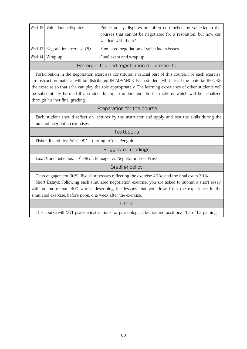|                                             | Week 12   Value-laden disputes       | -Public policy disputes are often entrenched by value-laden dis-<br>courses that cannot be negotiated for a resolution, but how can<br>we deal with them? |
|---------------------------------------------|--------------------------------------|-----------------------------------------------------------------------------------------------------------------------------------------------------------|
|                                             | Week 13   Negotiation exercise $(5)$ | -Simulated negotiation of value-laden issues                                                                                                              |
|                                             | Week $14 \mid$ Wrap-up               | -Final exam and wrap-up                                                                                                                                   |
| Prerequisites and registration requirements |                                      |                                                                                                                                                           |

Participation in the negotiation exercises constitutes a crucial part of this course. For each exercise, an instruction material will be distributed IN ADVANCE. Each student MUST read the material BEFORE the exercise so that s/he can play the role appropriately. The learning experience of other students will be substantially harmed if a student failing to understand the instructions, which will be penalized through his/her final grading.

### Preparation for the course

Each student should reflect on lectures by the instructor and apply and test the skills during the simulated negotiation exercises.

#### Textbooks

Fisher, R. and Ury, W. (1991). Getting to Yes, Penguin.

#### Suggested readings

Lax, D. and Sebenius, J. (1987). Manager as Negotiator, Free Press.

#### Grading policy

Class engagement 30%; five short essays reflecting the exercise 40%; and the final exam 30%.

Short Essays: Following each simulated negotiation exercise, you are asked to submit a short essay, with no more than 400 words, describing the lessons that you draw from the experience in the simulated exercise, before noon, one week after the exercise.

**Other** 

This course will NOT provide instructions for psychological tactics and positional "hard" bargaining.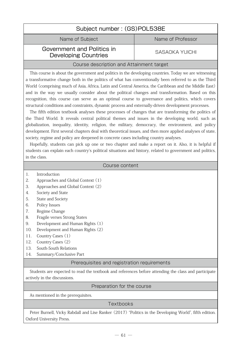| Subject number: (GS)POL538E |                   |  |
|-----------------------------|-------------------|--|
| Name of Subject             | Name of Professor |  |
| Government and Politics in  | SASAOKA YUICHI    |  |

# Developing Countries

# Course description and Attainment target

This course is about the government and politics in the developing countries. Today we are witnessing a transformative change both in the politics of what has conventionally been referred to as the Third World (comprising much of Asia, Africa, Latin and Central America, the Caribbean and the Middle East) and in the way we usually consider about the political changes and transformation. Based on this recognition, this course can serve as an optimal course to governance and politics, which covers structural conditions and constraints, dynamic process and externally-driven development processes.

The fifth edition textbook analyses these processes of changes that are transforming the politics of the Third World. It reveals central political themes and issues in the developing world, such as globalization, inequality, identity, religion, the military, democracy, the environment, and policy development. First several chapters deal with theoretical issues, and then more applied analyses of state, society, regime and policy are deepened in concrete cases including country analyses.

Hopefully, students can pick up one or two chapter and make a report on it. Also, it is helpful if students can explain each country's political situations and history, related to government and politics, in the class.

|     | Course content                                                                                       |  |  |
|-----|------------------------------------------------------------------------------------------------------|--|--|
| 1.  | Introduction                                                                                         |  |  |
| 2.  | Approaches and Global Context (1)                                                                    |  |  |
| 3.  | Approaches and Global Context (2)                                                                    |  |  |
| 4.  | Society and State                                                                                    |  |  |
| 5.  | State and Society                                                                                    |  |  |
| 6.  | Policy Issues                                                                                        |  |  |
| 7.  | Regime Change                                                                                        |  |  |
| 8.  | Fragile verses Strong States                                                                         |  |  |
| 9.  | Development and Human Rights (1)                                                                     |  |  |
| 10. | Development and Human Rights (2)                                                                     |  |  |
| 11. | Country Cases (1)                                                                                    |  |  |
| 12. | Country Cases (2)                                                                                    |  |  |
| 13. | South-South Relations                                                                                |  |  |
| 14. | Summary/Conclusive Part                                                                              |  |  |
|     | Prerequisites and registration requirements                                                          |  |  |
|     | Students are expected to read the textbook and references before attending the class and participate |  |  |
|     | actively in the discussions.                                                                         |  |  |

# Preparation for the course

As mentioned in the prerequisites.

# **Texthooks**

Peter Burnell, Vicky Rabdall and Lise Ranker (2017) "Politics in the Developing World", fifth edition. Oxford University Press.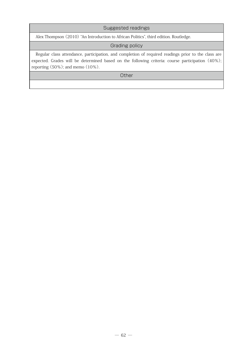# Suggested readings

Alex Thompson (2010) "An Introduction to African Politics", third edition. Routledge.

# Grading policy

Regular class attendance, participation, and completion of required readings prior to the class are expected. Grades will be determined based on the following criteria: course participation (40%); reporting (50%); and memo (10%).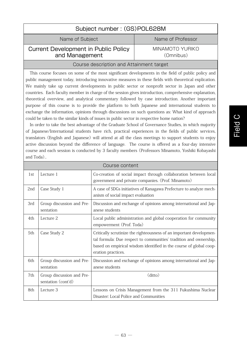# Subject number : (GS)POL628M Name of Subject Name of Professor Current Development in Public Policy MINAMOTO YURIKO (Omnibus)

# and Management

# Course description and Attainment target

This course focuses on some of the most significant developments in the field of public policy and public management today, introducing innovative measures in these fields with theoretical explication. We mainly take up current developments in public sector or nonprofit sector in Japan and other countries. Each faculty member in charge of the session gives introduction, comprehensive explanation, theoretical overview, and analytical commentary followed by case introduction. Another important purpose of this course is to provide the platform to both Japanese and international students to exchange the information, opinions through discussions on such questions as: What kind of approach could be taken to the similar kinds of issues in public sector in respective home nation?

In order to take the best advantage of the Graduate School of Governance Studies, in which majority of Japanese/International students have rich, practical experiences in the fields of public services, translators (English and Japanese) will attend at all the class meetings to support students to enjoy active discussion beyond the difference of language. The course is offered as a four-day intensive course and each session is conducted by 3 faculty members (Professors Minamoto, Yoshiki Kobayashi and Toda)..

| Course content  |                                                 |                                                                                                                                                                                                                                      |
|-----------------|-------------------------------------------------|--------------------------------------------------------------------------------------------------------------------------------------------------------------------------------------------------------------------------------------|
| 1st             | Lecture 1                                       | Co-creation of social impact through collaboration between local<br>government and private companies. (Prof. Minamoto)                                                                                                               |
| 2 <sub>nd</sub> | Case Study 1                                    | A case of SDGs initiatives of Kanagawa Prefecture to analyze mech-<br>anism of social impact evaluation                                                                                                                              |
| 3rd             | Group discussion and Pre-<br>sentation          | Discussion and exchange of opinions among international and Jap-<br>anese students                                                                                                                                                   |
| 4th             | Lecture 2                                       | Local public administration and global cooperation for community<br>empowerment (Prof. Toda)                                                                                                                                         |
| 5th             | Case Study 2                                    | Critically scrutinize the righteousness of an important developmen-<br>tal formula: Due respect to communities' tradition and ownership,<br>based on empirical wisdom identified in the course of global coop-<br>eration practices. |
| 6th             | Group discussion and Pre-<br>sentation          | Discussion and exchange of opinions among international and Jap-<br>anese students                                                                                                                                                   |
| 7th             | Group discussion and Pre-<br>sentation (cont'd) | (ditto)                                                                                                                                                                                                                              |
| 8th             | Lecture 3                                       | Lessons on Crisis Management from the 311 Fukushima Nuclear<br>Disaster: Local Police and Communities                                                                                                                                |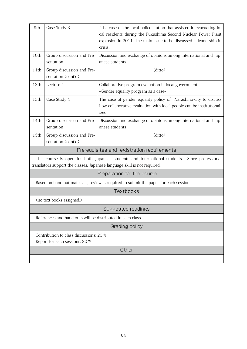| 9th                                                                       | Case Study 3                                                                                                                                                                  | The case of the local police station that assisted in evacuating lo-<br>cal residents during the Fukushima Second Nuclear Power Plant<br>explosion in 2011. The main issue to be discussed is leadership in<br>crisis. |  |
|---------------------------------------------------------------------------|-------------------------------------------------------------------------------------------------------------------------------------------------------------------------------|------------------------------------------------------------------------------------------------------------------------------------------------------------------------------------------------------------------------|--|
| 10th                                                                      | Group discussion and Pre-<br>sentation                                                                                                                                        | Discussion and exchange of opinions among international and Jap-<br>anese students                                                                                                                                     |  |
| 11th                                                                      | Group discussion and Pre-<br>sentation (cont'd)                                                                                                                               | (ditto)                                                                                                                                                                                                                |  |
| 12th                                                                      | Lecture 4                                                                                                                                                                     | Collaborative program evaluation in local government<br>~Gender equality program as a case~                                                                                                                            |  |
| 13th                                                                      | Case Study 4                                                                                                                                                                  | The case of gender equality policy of Narashino-city to discuss<br>how collaborative evaluation with local people can be institutional-<br>ized.                                                                       |  |
| 14th                                                                      | Group discussion and Pre-<br>sentation                                                                                                                                        | Discussion and exchange of opinions among international and Jap-<br>anese students                                                                                                                                     |  |
| 15th                                                                      | Group discussion and Pre-<br>sentation (cont'd)                                                                                                                               | (ditto)                                                                                                                                                                                                                |  |
|                                                                           | Prerequisites and registration requirements                                                                                                                                   |                                                                                                                                                                                                                        |  |
|                                                                           | This course is open for both Japanese students and International students.<br>Since professional<br>translators support the classes, Japanese language skill is not required. |                                                                                                                                                                                                                        |  |
|                                                                           | Preparation for the course                                                                                                                                                    |                                                                                                                                                                                                                        |  |
|                                                                           | Based on hand out materials, review is required to submit the paper for each session.                                                                                         |                                                                                                                                                                                                                        |  |
|                                                                           | Textbooks                                                                                                                                                                     |                                                                                                                                                                                                                        |  |
|                                                                           | (no text books assigned.)                                                                                                                                                     |                                                                                                                                                                                                                        |  |
|                                                                           | <b>Suggested readings</b>                                                                                                                                                     |                                                                                                                                                                                                                        |  |
| References and hand outs will be distributed in each class.               |                                                                                                                                                                               |                                                                                                                                                                                                                        |  |
| Grading policy                                                            |                                                                                                                                                                               |                                                                                                                                                                                                                        |  |
| Contribution to class discussions: 20 %<br>Report for each sessions: 80 % |                                                                                                                                                                               |                                                                                                                                                                                                                        |  |
| Other                                                                     |                                                                                                                                                                               |                                                                                                                                                                                                                        |  |
|                                                                           |                                                                                                                                                                               |                                                                                                                                                                                                                        |  |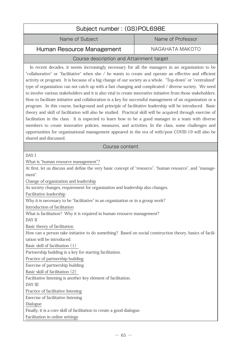| Subject number: (GS)POL698E                                                                                                                                                                                                                                                                                                                                                                                                                                                                                                                                                                                                                                                                                                                                                                                                                                                                                                                                                                                                                                                                                                                                                                                                        |                   |  |
|------------------------------------------------------------------------------------------------------------------------------------------------------------------------------------------------------------------------------------------------------------------------------------------------------------------------------------------------------------------------------------------------------------------------------------------------------------------------------------------------------------------------------------------------------------------------------------------------------------------------------------------------------------------------------------------------------------------------------------------------------------------------------------------------------------------------------------------------------------------------------------------------------------------------------------------------------------------------------------------------------------------------------------------------------------------------------------------------------------------------------------------------------------------------------------------------------------------------------------|-------------------|--|
| Name of Subject                                                                                                                                                                                                                                                                                                                                                                                                                                                                                                                                                                                                                                                                                                                                                                                                                                                                                                                                                                                                                                                                                                                                                                                                                    | Name of Professor |  |
| Human Resource Management                                                                                                                                                                                                                                                                                                                                                                                                                                                                                                                                                                                                                                                                                                                                                                                                                                                                                                                                                                                                                                                                                                                                                                                                          | NAGAHATA MAKOTO   |  |
| Course description and Attainment target                                                                                                                                                                                                                                                                                                                                                                                                                                                                                                                                                                                                                                                                                                                                                                                                                                                                                                                                                                                                                                                                                                                                                                                           |                   |  |
| In recent decades, it seems increasingly necessary for all the managers in an organization to be<br>"collaborative" or "facilitative" when she / he wants to create and operate an effective and efficient<br>activity or program. It is because of a big change of our society as a whole. "Top-down" or "centralized"<br>type of organization can not catch up with a fast changing and complicated / diverse society. We need<br>to involve various stakeholders and it is also vital to create innovative initiative from those stakeholders.<br>How to facilitate initiative and collaboration is a key for successful management of an organization or a<br>program. In this course, background and principle of facilitative leadership will be introduced. Basic<br>theory and skill of facilitation will also be studied. Practical skill will be acquired through exercise of<br>facilitation in the class. It is expected to learn how to be a good manager in a team with diverse<br>members to create innovative policies, measures, and activities. In the class, some challenges and<br>opportunities for organizational management appeared in the era of with/post COVID-19 will also be<br>shared and discussed. |                   |  |
| Course content                                                                                                                                                                                                                                                                                                                                                                                                                                                                                                                                                                                                                                                                                                                                                                                                                                                                                                                                                                                                                                                                                                                                                                                                                     |                   |  |
| DAY I<br>What is "human resource management"?<br>At first, let us discuss and define the very basic concept of "resource", "human resource", and "manage-<br>ment".<br>Change of organization and leadership<br>As society changes, requirement for organization and leadership also changes.<br>Facilitative leadership<br>Why it is necessary to be "facilitative" in an organization or in a group work?<br>Introduction of facilitation<br>What is facilitation? Why it is required in human resource management?<br>DAY II<br>Basic theory of facilitation<br>How can a person take initiative to do something? Based on social construction theory, basics of facili-<br>tation will be introduced.<br>Basic skill of facilitation (1)<br>Partnership building is a key for starting facilitation.<br>Practice of partnership building<br>Exercise of partnership building<br>Basic skill of facilitation (2)<br>Facilitative listening is another key element of facilitation.<br>DAY III<br>Practice of facilitative listening<br>Exercise of facilitative listening<br>Dialogue<br>Finally, it is a core skill of facilitation to create a good dialogue.<br>Facilitation in online settings                              |                   |  |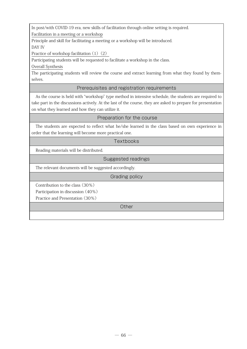In post/with COVID-19 era, new skills of facilitation through online setting is required.

Facilitation in a meeting or a workshop

Principle and skill for facilitating a meeting or a workshop will be introduced.

DAY IV

Practice of workshop facilitation (1)(2)

Participating students will be requested to facilitate a workshop in the class.

Overall Synthesis

The participating students will review the course and extract learning from what they found by themselves.

# Prerequisites and registration requirements

As the course is held with "workshop" type method in intensive schedule, the students are required to take part in the discussions actively. At the last of the course, they are asked to prepare for presentation on what they learned and how they can utilize it.

# Preparation for the course

The students are expected to reflect what he/she learned in the class based on own experience in order that the learning will become more practical one.

# **Textbooks**

Reading materials will be distributed.

Suggested readings

The relevant documents will be suggested accordingly.

Grading policy

Contribution to the class (30%)

Participation in discussion (40%)

Practice and Presentation (30%)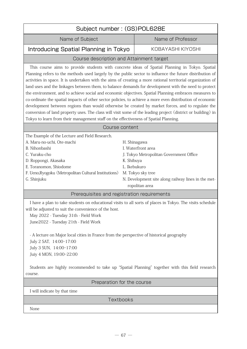| Subject number: (GS)POL628E                                                                                                                                                                                                                                                                                                                                                                                                                                                                                                                                                                                                                                                                                                                                                                                                                                                                                                                                          |                            |                                                                                                                                                                             |
|----------------------------------------------------------------------------------------------------------------------------------------------------------------------------------------------------------------------------------------------------------------------------------------------------------------------------------------------------------------------------------------------------------------------------------------------------------------------------------------------------------------------------------------------------------------------------------------------------------------------------------------------------------------------------------------------------------------------------------------------------------------------------------------------------------------------------------------------------------------------------------------------------------------------------------------------------------------------|----------------------------|-----------------------------------------------------------------------------------------------------------------------------------------------------------------------------|
| Name of Subject                                                                                                                                                                                                                                                                                                                                                                                                                                                                                                                                                                                                                                                                                                                                                                                                                                                                                                                                                      |                            | Name of Professor                                                                                                                                                           |
| Introducing Spatial Planning in Tokyo                                                                                                                                                                                                                                                                                                                                                                                                                                                                                                                                                                                                                                                                                                                                                                                                                                                                                                                                |                            | KOBAYASHI KIYOSHI                                                                                                                                                           |
| Course description and Attainment target                                                                                                                                                                                                                                                                                                                                                                                                                                                                                                                                                                                                                                                                                                                                                                                                                                                                                                                             |                            |                                                                                                                                                                             |
| This course aims to provide students with concrete ideas of Spatial Planning in Tokyo. Spatial<br>Planning refers to the methods used largely by the public sector to influence the future distribution of<br>activities in space. It is undertaken with the aims of creating a more rational territorial organization of<br>land uses and the linkages between them, to balance demands for development with the need to protect<br>the environment, and to achieve social and economic objectives. Spatial Planning embraces measures to<br>co-ordinate the spatial impacts of other sector policies, to achieve a more even distribution of economic<br>development between regions than would otherwise be created by market forces, and to regulate the<br>conversion of land property uses. The class will visit some of the leading project (district or building) in<br>Tokyo to learn from their management staff on the effectiveness of Spatial Planning. |                            |                                                                                                                                                                             |
| Course content                                                                                                                                                                                                                                                                                                                                                                                                                                                                                                                                                                                                                                                                                                                                                                                                                                                                                                                                                       |                            |                                                                                                                                                                             |
| The Example of the Lecture and Field Research.<br>A. Maru-no-uchi, Ote-machi<br>B. Nihonbashi<br>C. Yuraku-cho<br>D. Roppongi, Akasaka<br>E. Toranomon, Shiodome<br>F. Ueno, Ryogoku (Metropolitan Cultural Institutions)<br>G. Shinjuku                                                                                                                                                                                                                                                                                                                                                                                                                                                                                                                                                                                                                                                                                                                             | K. Shibuya<br>L. Ikebukuro | H. Shinagawa<br>I. Waterfront area<br>J. Tokyo Metropolitan Government Office<br>M. Tokyo sky tree<br>N. Development site along railway lines in the met-<br>ropolitan area |
| Prerequisites and registration requirements                                                                                                                                                                                                                                                                                                                                                                                                                                                                                                                                                                                                                                                                                                                                                                                                                                                                                                                          |                            |                                                                                                                                                                             |
| I have a plan to take students on educational visits to all sorts of places in Tokyo. The visits schedule<br>will be adjusted to suit the convenience of the host.<br>May 2022 - Tuesday 31th - Field Work<br>June2022 - Tuesday 21th - Field Work<br>- A lecture on Major local cities in France from the perspective of historical geography<br>July 2 SAT, 14:00-17:00<br>July 3 SUN, 14:00-17:00<br>Juiy 4 MON, 19:00-22:00<br>Students are highly recommended to take up "Spatial Planning" together with this field research                                                                                                                                                                                                                                                                                                                                                                                                                                   |                            |                                                                                                                                                                             |
| course.                                                                                                                                                                                                                                                                                                                                                                                                                                                                                                                                                                                                                                                                                                                                                                                                                                                                                                                                                              |                            |                                                                                                                                                                             |
| Preparation for the course                                                                                                                                                                                                                                                                                                                                                                                                                                                                                                                                                                                                                                                                                                                                                                                                                                                                                                                                           |                            |                                                                                                                                                                             |
| I will indicate by that time                                                                                                                                                                                                                                                                                                                                                                                                                                                                                                                                                                                                                                                                                                                                                                                                                                                                                                                                         | <b>Textbooks</b>           |                                                                                                                                                                             |
| None                                                                                                                                                                                                                                                                                                                                                                                                                                                                                                                                                                                                                                                                                                                                                                                                                                                                                                                                                                 |                            |                                                                                                                                                                             |
|                                                                                                                                                                                                                                                                                                                                                                                                                                                                                                                                                                                                                                                                                                                                                                                                                                                                                                                                                                      |                            |                                                                                                                                                                             |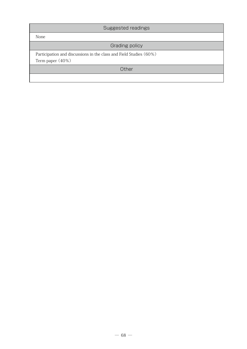| Suggested readings                                                                     |  |
|----------------------------------------------------------------------------------------|--|
| None                                                                                   |  |
| <b>Grading policy</b>                                                                  |  |
| Participation and discussions in the class and Field Studies (60%)<br>Term paper (40%) |  |
| Other                                                                                  |  |
|                                                                                        |  |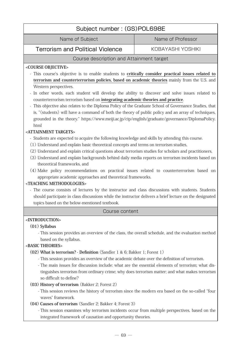# Subject number : (GS)POL698E

Name of Subject Name of Professor

Terrorism and Political Violence **KOBAYASHI YOSHIKI** 

# Course description and Attainment target

## **<COURSE OBJECTIVE>**

- This course's objective is to enable students to **critically consider practical issues related to terrorism and counterterrorism policies, based on academic theories** mainly from the U.S. and Western perspectives.
- In other words, each student will develop the ability to discover and solve issues related to counterterrorism terrorism based on **integrating academic theories and practice**.
- This objective also relates to the Diploma Policy of the Graduate School of Governance Studies, that is, "(students) will have a command of both the theory of public policy and an array of techniques, grounded in the theory." https://www.meiji.ac.jp/cip/english/graduate/governance/DiplomaPolicy. html

# **<ATTAINMENT TARGETS>**

- Students are expected to acquire the following knowledge and skills by attending this course.
- (1) Understand and explain basic theoretical concepts and terms on terrorism studies,
- (2) Understand and explain critical questions about terrorism studies for scholars and practitioners,
- (3) Understand and explain backgrounds behind daily media reports on terrorism incidents based on theoretical frameworks, and
- (4) Make policy recommendations on practical issues related to counterterrorism based on appropriate academic approaches and theoretical frameworks.

# **<TEACHING METHODOLOGIES>**

- The course consists of lectures by the instructor and class discussions with students. Students should participate in class discussions while the instructor delivers a brief lecture on the designated topics based on the below-mentioned textbook.

#### Course content

# **<INTRODUCTION>**

# **(01) Syllabus**

 - This session provides an overview of the class, the overall schedule, and the evaluation method based on the syllabus.

# **<BASIC THEORIES>**

- **(02) What is terrorism? Definition** (Sandler 1 & 6; Bakker 1; Forest 1)
	- This session provides an overview of the academic debate over the definition of terrorism.
	- The main issues for discussion include: what are the essential elements of terrorism; what distinguishes terrorism from ordinary crime; why does terrorism matter; and what makes terrorism so difficult to define?

# **(03) History of terrorism** (Bakker 2; Forest 2)

- This session reviews the history of terrorism since the modern era based on the so-called "four waves" framework.
- **(04) Causes of terrorism** (Sandler 2; Bakker 4; Forest 3)

 - This session examines why terrorism incidents occur from multiple perspectives, based on the integrated framework of causation and opportunity theories.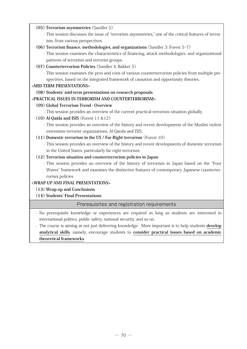### **(05) Terrorism asymmetries** (Sandler 5)

- This session discusses the issue of "terrorism asymmetries," one of the critical features of terrorism, from various perspectives.
- **(06) Terrorism finance, methodologies, and organizations** (Sandler 3: Forest 5-7)
	- This session examines the characteristics of financing, attack methodologies, and organizational patterns of terrorists and terrorist groups.
- **(07) Counterterrorism Policies** (Sandler 4, Bakker 5)

 - This session examines the pros and cons of various counterterrorism policies from multiple perspectives, based on the integrated framework of causation and opportunity theories.

### **<MID-TERM PRESENTATIONS>**

### **(08) Students' mid-term presentations on research proposals**

# **<PRACTICAL ISSUES IN TERRORISM AND COUNTERTERRORISM>**

### **(09) Global Terrorism Trend - Overview**

- This session provides an overview of the current practical terrorism situation globally.

- **(10) Al-Qaida and ISIS** (Forest 11 &12)
	- This session provides an overview of the history and recent developments of the Muslim violent extremism terrorist organizations, Al-Qaeda and ISIS.
- **(11) Domestic terrorism in the US / Far-Right terrorism** (Forest 10)
	- This session provides an overview of the history and recent developments of domestic terrorism in the United States, particularly far-right terrorism.

### **(12) Terrorism situation and counterterrorism policies in Japan**

 - This session provides an overview of the history of terrorism in Japan based on the "Four Waves" framework and examines the distinctive features of contemporary Japanese counterterrorism policies.

# **<WRAP-UP AND FINAL PRESENTATIONS>**

# **(13) Wrap-up and Conclusions**

# **(14) Students' Final Presentations**

# Prerequisites and registration requirements

- No prerequisite knowledge or experiences are required as long as students are interested in international politics, public safety, national security, and so on.

- The course is aiming at not just delivering knowledge. More important is to help students **develop analytical skills**, namely, encourage students to **consider practical issues based on academic theoretical frameworks**.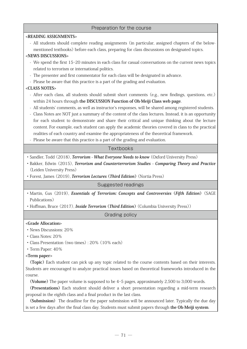## Preparation for the course

| <reading assignments=""></reading>                                                                                          |  |  |
|-----------------------------------------------------------------------------------------------------------------------------|--|--|
| - All students should complete reading assignments (in particular, assigned chapters of the below-                          |  |  |
| mentioned textbooks) before each class, preparing for class discussions on designated topics.                               |  |  |
| <news discussions=""></news>                                                                                                |  |  |
| - We spend the first 15-20 minutes in each class for casual conversations on the current news topics                        |  |  |
| related to terrorism or international politics.                                                                             |  |  |
| - The presenter and first commentator for each class will be designated in advance.                                         |  |  |
| - Please be aware that this practice is a part of the grading and evaluation.                                               |  |  |
| <class notes=""></class>                                                                                                    |  |  |
| - After each class, all students should submit short comments (e.g., new findings, questions, etc.)                         |  |  |
| within 24 hours through the DISCUSSION Function of Oh-Meiji Class web page.                                                 |  |  |
| - All students' comments, as well as instructor's responses, will be shared among registered students.                      |  |  |
| - Class Notes are NOT just a summary of the content of the class lectures. Instead, it is an opportunity                    |  |  |
| for each student to demonstrate and share their critical and unique thinking about the lecture                              |  |  |
| content. For example, each student can apply the academic theories covered in class to the practical                        |  |  |
| realities of each country and examine the appropriateness of the theoretical framework.                                     |  |  |
| - Please be aware that this practice is a part of the grading and evaluation.                                               |  |  |
| Textbooks                                                                                                                   |  |  |
|                                                                                                                             |  |  |
| · Sandler, Todd (2018), Terrorism - What Everyone Needs to know (Oxford University Press)                                   |  |  |
| · Bakker, Edwin (2015), Terrorism and Counterterrorism Studies - Comparing Theory and Practice<br>(Leiden University Press) |  |  |
| · Forest, James (2019), Terrorism Lectures (Third Edition) (Nortia Press)                                                   |  |  |
|                                                                                                                             |  |  |
| Suggested readings                                                                                                          |  |  |
| · Martin, Gus (2019), <i>Essentials of Terrorism: Concepts and Controversies (Fifth Edition)</i> (SAGE                      |  |  |
| Publications)                                                                                                               |  |  |
| • Hoffman, Bruce (2017), <i>Inside Terrorism</i> ( <i>Third Edition</i> ) (Columbia University Press))                      |  |  |
| Grading policy                                                                                                              |  |  |
| <grade allocation=""></grade>                                                                                               |  |  |
| · News Discussions: 20%                                                                                                     |  |  |
| · Class Notes: 20%                                                                                                          |  |  |
| • Class Presentation (two times): 20% (10% each)                                                                            |  |  |
| · Term Paper: 40%                                                                                                           |  |  |
| <term paper=""></term>                                                                                                      |  |  |
| (Topic) Each student can pick up any topic related to the course contents based on their interests.                         |  |  |
| Students are encouraged to analyze practical issues based on theoretical frameworks introduced in the                       |  |  |
| course.                                                                                                                     |  |  |
| (Volume) The paper volume is supposed to be 4-5 pages, approximately 2,500 to 3,000 words.                                  |  |  |
|                                                                                                                             |  |  |

**(Presentations)** Each student should deliver a short presentation regarding a mid-term research proposal in the eighth class and a final product in the last class.

**(Submission)** The deadline for the paper submission will be announced later. Typically the due day is set a few days after the final class day. Students must submit papers through **the Oh-Meiji system**.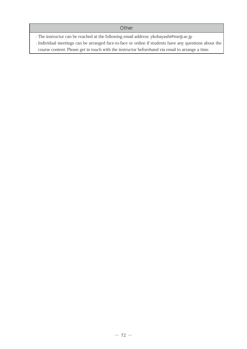#### **Other**

- The instructor can be reached at the following email address: ykobayashi@meiji.ac.jp

- Individual meetings can be arranged face-to-face or online if students have any questions about the

course content. Please get in touch with the instructor beforehand via email to arrange a time.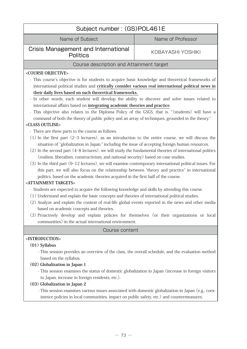| Subject number: (GS)POL461E                                                                                                                                                                                                                                                                                                                                                                                                                                                                                                                                                                                                                                                                                                                                                                                                                                                                                                                                                                                                                                                                                                                                                                                                                                                                                                                                                                                                                                                                                                                                                                                                                                                                                                                                                                                                                                                                                                                          |                   |  |
|------------------------------------------------------------------------------------------------------------------------------------------------------------------------------------------------------------------------------------------------------------------------------------------------------------------------------------------------------------------------------------------------------------------------------------------------------------------------------------------------------------------------------------------------------------------------------------------------------------------------------------------------------------------------------------------------------------------------------------------------------------------------------------------------------------------------------------------------------------------------------------------------------------------------------------------------------------------------------------------------------------------------------------------------------------------------------------------------------------------------------------------------------------------------------------------------------------------------------------------------------------------------------------------------------------------------------------------------------------------------------------------------------------------------------------------------------------------------------------------------------------------------------------------------------------------------------------------------------------------------------------------------------------------------------------------------------------------------------------------------------------------------------------------------------------------------------------------------------------------------------------------------------------------------------------------------------|-------------------|--|
| Name of Subject                                                                                                                                                                                                                                                                                                                                                                                                                                                                                                                                                                                                                                                                                                                                                                                                                                                                                                                                                                                                                                                                                                                                                                                                                                                                                                                                                                                                                                                                                                                                                                                                                                                                                                                                                                                                                                                                                                                                      | Name of Professor |  |
| <b>Crisis Management and International</b><br><b>Politics</b>                                                                                                                                                                                                                                                                                                                                                                                                                                                                                                                                                                                                                                                                                                                                                                                                                                                                                                                                                                                                                                                                                                                                                                                                                                                                                                                                                                                                                                                                                                                                                                                                                                                                                                                                                                                                                                                                                        | KOBAYASHI YOSHIKI |  |
| Course description and Attainment target                                                                                                                                                                                                                                                                                                                                                                                                                                                                                                                                                                                                                                                                                                                                                                                                                                                                                                                                                                                                                                                                                                                                                                                                                                                                                                                                                                                                                                                                                                                                                                                                                                                                                                                                                                                                                                                                                                             |                   |  |
| <course objective=""><br/>- This course's objective is for students to acquire basic knowledge and theoretical frameworks of<br/>international political studies and critically consider various real international political news in<br/>their daily lives based on such theoretical frameworks.<br/>- In other words, each student will develop the ability to discover and solve issues related to<br/>international affairs based on integrating academic theories and practice.<br/>- This objective also relates to the Diploma Policy of the GSGS, that is, "(students) will have a<br/>command of both the theory of public policy and an array of techniques, grounded in the theory."<br/><class outline=""><br/>- There are three parts to the course as follows.<br/><math>(1)</math> In the first part <math>(2-3</math> lectures), as an introduction to the entire course, we will discuss the<br/>situation of "globalization in Japan," including the issue of accepting foreign human resources.<br/>(2) In the second part (4-8 lectures), we will study the fundamental theories of international politics<br/>(realism, liberalism, constructivism, and national security) based on case studies.<br/>(3) In the third part (9-12 lectures), we will examine contemporary international political issues. For<br/>this part, we will also focus on the relationship between "theory and practice" in international<br/>politics, based on the academic theories acquired in the first half of the course.<br/><attainment targets=""><br/>- Students are expected to acquire the following knowledge and skills by attending this course.<br/>(1) Understand and explain the basic concepts and theories of international political studies.<br/>(2) Analyze and explain the context of real-life global events reported in the news and other media<br/>based on academic concepts and theories.</attainment></class></course> |                   |  |
| Course content                                                                                                                                                                                                                                                                                                                                                                                                                                                                                                                                                                                                                                                                                                                                                                                                                                                                                                                                                                                                                                                                                                                                                                                                                                                                                                                                                                                                                                                                                                                                                                                                                                                                                                                                                                                                                                                                                                                                       |                   |  |
| <introduction><br/><math>(01)</math> Syllabus<br/>- This session provides an overview of the class, the overall schedule, and the evaluation method<br/>based on the syllabus.<br/>(02) Globalization in Japan 1<br/>- This session examines the status of domestic globalization in Japan (increase in foreign visitors<br/>to Japan, increase in foreign residents, etc.).<br/>(03) Globalization in Japan 2<br/>- This session examines various issues associated with domestic globalization in Japan (e.g., coex-<br/>istence policies in local communities, impact on public safety, etc.) and countermeasures.</introduction>                                                                                                                                                                                                                                                                                                                                                                                                                                                                                                                                                                                                                                                                                                                                                                                                                                                                                                                                                                                                                                                                                                                                                                                                                                                                                                                 |                   |  |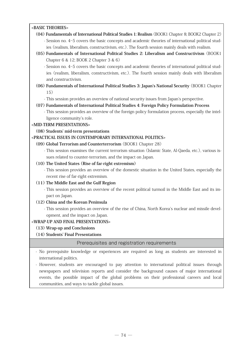#### **<BASIC THEORIES>**

- **(04) Fundamentals of International Political Studies 1: Realism** (BOOK1 Chapter 8; BOOK2 Chapter 2) - Session no. 4-5 covers the basic concepts and academic theories of international political studies (realism, liberalism, constructivism, etc.). The fourth session mainly deals with realism.
- **(05) Fundamentals of International Political Studies 2: Liberalism and Constructivism** (BOOK1 Chapter 6 & 12; BOOK 2 Chapter 3 & 6)

 - Session no. 4-5 covers the basic concepts and academic theories of international political studies (realism, liberalism, constructivism, etc.). The fourth session mainly deals with liberalism and constructivism.

- **(06) Fundamentals of International Political Studies 3: Japan's National Security** (BOOK1 Chapter 15)
	- This session provides an overview of national security issues from Japan's perspective.

#### **(07) Fundamentals of International Political Studies 4: Foreign Policy Formulation Process**

 - This session provides an overview of the foreign policy formulation process, especially the intelligence community's role.

#### **<MID-TERM PRESENTATIONS>**

#### **(08) Students' mid-term presentations**

#### **<PRACTICAL ISSUES IN CONTEMPORARY INTERNATIONAL POLITICS>**

- **(09) Global Terrorism and Counterterrorism** (BOOK1 Chapter 28)
	- This session examines the current terrorism situation (Islamic State, Al-Qaeda, etc.), various issues related to counter-terrorism, and the impact on Japan.

#### **(10) The United States (Rise of far-right extremism)**

 - This session provides an overview of the domestic situation in the United States, especially the recent rise of far-right extremism.

#### **(11) The Middle East and the Gulf Region**

 - This session provides an overview of the recent political turmoil in the Middle East and its impact on Japan.

#### **(12) China and the Korean Peninsula**

 - This session provides an overview of the rise of China, North Korea's nuclear and missile development, and the impact on Japan.

#### **<WRAP-UP AND FINAL PRESENTATIONS>**

 **(13) Wrap-up and Conclusions**

#### **(14) Students' Final Presentations**

Prerequisites and registration requirements

- No prerequisite knowledge or experiences are required as long as students are interested in international politics.
- However, students are encouraged to pay attention to international political issues through newspapers and television reports and consider the background causes of major international events, the possible impact of the global problems on their professional careers and local communities, and ways to tackle global issues.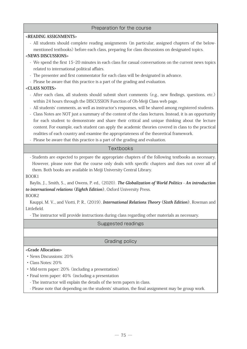#### Preparation for the course

#### **<READING ASSIGNMENTS>**

- All students should complete reading assignments (in particular, assigned chapters of the belowmentioned textbooks) before each class, preparing for class discussions on designated topics.

#### **<NEWS DISCUSSIONS>**

- We spend the first 15-20 minutes in each class for casual conversations on the current news topics related to international political affairs.
- The presenter and first commentator for each class will be designated in advance.
- Please be aware that this practice is a part of the grading and evaluation.

#### **<CLASS NOTES>**

- After each class, all students should submit short comments (e.g., new findings, questions, etc.) within 24 hours through the DISCUSSION Function of Oh-Meiji Class web page.
- All students' comments, as well as instructor's responses, will be shared among registered students.
- Class Notes are NOT just a summary of the content of the class lectures. Instead, it is an opportunity for each student to demonstrate and share their critical and unique thinking about the lecture content. For example, each student can apply the academic theories covered in class to the practical realities of each country and examine the appropriateness of the theoretical framework.
- Please be aware that this practice is a part of the grading and evaluation.

#### **Textbooks**

- Students are expected to prepare the appropriate chapters of the following textbooks as necessary. However, please note that the course only deals with specific chapters and does not cover all of them. Both books are available in Meiji University Central Library.

BOOK1

Baylis, J.., Smith, S.., and Owens, P. ed., (2020). **The Globalization of World Politics - An introduction to international relations (Eighth Edition)**, Oxford University Press.

BOOK2

Kauppi, M. V.., and Viotti, P. R., (2019). **International Relations Theory (Sixth Edition)**, Rowman and Littlefield.

- The instructor will provide instructions during class regarding other materials as necessary.

Suggested readings

#### Grading policy

#### **<Grade Allocation>**

- ・ News Discussions: 20%
- ・ Class Notes: 20%
- ・ Mid-term paper: 20% (including a presentation)
- ・ Final term paper: 40% (including a presentation
- The instructor will explain the details of the term papers in class.
- Please note that depending on the students' situation, the final assignment may be group work.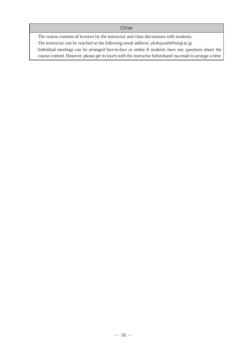#### **Other**

- The course consists of lectures by the instructor and class discussions with students.

- The instructor can be reached at the following email address: ykobayashi@meiji.ac.jp

- Individual meetings can be arranged face-to-face or online if students have any questions about the course content. However, please get in touch with the instructor beforehand via email to arrange a time.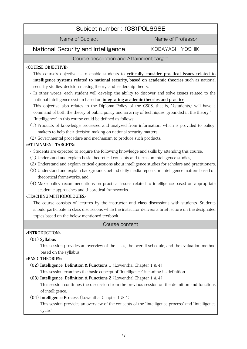# Subject number : (GS)POL698E

Name of Subject Name of Professor

National Security and Intelligence | KOBAYASHI YOSHIKI

#### Course description and Attainment target

#### **<COURSE OBJECTIVE>**

- This course's objective is to enable students to **critically consider practical issues related to intelligence systems related to national security, based on academic theories** such as national security studies, decision-making theory, and leadership theory.
- In other words, each student will develop the ability to discover and solve issues related to the national intelligence system based on **integrating academic theories and practice**.
- This objective also relates to the Diploma Policy of the GSGS, that is, "(students) will have a command of both the theory of public policy and an array of techniques, grounded in the theory."
- "Intelligence" in this course could be defined as follows;
- (1) Products of knowledge processed and analyzed from information, which is provided to policymakers to help their decision-making on national security matters,
- (2) Governmental procedure and mechanism to produce such products.

#### **<ATTAINMENT TARGETS>**

- Students are expected to acquire the following knowledge and skills by attending this course.
- (1) Understand and explain basic theoretical concepts and terms on intelligence studies,
- (2) Understand and explain critical questions about intelligence studies for scholars and practitioners,
- (3) Understand and explain backgrounds behind daily media reports on intelligence matters based on theoretical frameworks, and
- (4) Make policy recommendations on practical issues related to intelligence based on appropriate academic approaches and theoretical frameworks.

#### **<TEACHING METHODOLOGIES>**

- The course consists of lectures by the instructor and class discussions with students. Students should participate in class discussions while the instructor delivers a brief lecture on the designated topics based on the below-mentioned textbook.

#### Course content

#### **<INTRODUCTION>**

#### **(01) Syllabus**

 - This session provides an overview of the class, the overall schedule, and the evaluation method based on the syllabus.

#### **<BASIC THEORIES>**

- **(02) Intelligence: Definition & Functions 1** (Lowenthal Chapter 1 & 4)
	- This session examines the basic concept of "intelligence" including its definition.
- **(03) Intelligence: Definition & Functions 2** (Lowenthal Chapter 1 & 4)
	- This session continues the discussion from the previous session on the definition and functions of intelligence.
- **(04) Intelligence Process** (Lowenthal Chapter 1 & 4)
	- This session provides an overview of the concepts of the "intelligence process" and "intelligence cycle."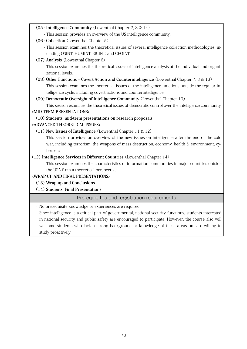- **(05) Intelligence Community** (Lowenthal Chapter 2, 3 & 14)
	- This session provides an overview of the US intelligence community.
- **(06) Collection** (Lowenthal Chapter 5)
	- This session examines the theoretical issues of several intelligence collection methodologies, including OSINT, HUMINT, SIGINT, and GEOINT.
- **(07) Analysis** (Lowenthal Chapter 6)
	- This session examines the theoretical issues of intelligence analysis at the individual and organizational levels.
- **(08) Other Functions Covert Action and Counterintelligence** (Lowenthal Chapter 7, 8 & 13)
	- This session examines the theoretical issues of the intelligence functions outside the regular intelligence cycle, including covert actions and counterintelligence.
- **(09) Democratic Oversight of Intelligence Community** (Lowenthal Chapter 10)

- This session examines the theoretical issues of democratic control over the intelligence community.

#### **<MID-TERM PRESENTATIONS>**

#### **(10) Students' mid-term presentations on research proposals**

#### **<ADVANCED THEORETICAL ISSUES>**

- **(11) New Issues of Intelligence** (Lowenthal Chapter 11 & 12)
	- This session provides an overview of the new issues on intelligence after the end of the cold war, including terrorism, the weapons of mass destruction, economy, health & environment, cyber, etc.
- **(12) Intelligence Services in Different Countries** (Lowenthal Chapter 14)
	- This session examines the characteristics of information communities in major countries outside the USA from a theoretical perspective.

#### **<WRAP-UP AND FINAL PRESENTATIONS>**

- **(13) Wrap-up and Conclusions**
- **(14) Students' Final Presentations**

#### Prerequisites and registration requirements

- No prerequisite knowledge or experiences are required.
- Since intelligence is a critical part of governmental, national security functions, students interested in national security and public safety are encouraged to participate. However, the course also will welcome students who lack a strong background or knowledge of these areas but are willing to study proactively.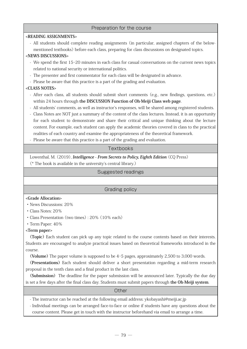#### Preparation for the course

#### **<READING ASSIGNMENTS>**

- All students should complete reading assignments (in particular, assigned chapters of the belowmentioned textbooks) before each class, preparing for class discussions on designated topics.

#### **<NEWS DISCUSSIONS>**

- We spend the first 15-20 minutes in each class for casual conversations on the current news topics related to national security or international politics.
- The presenter and first commentator for each class will be designated in advance.
- Please be aware that this practice is a part of the grading and evaluation.

#### **<CLASS NOTES>**

- After each class, all students should submit short comments (e.g., new findings, questions, etc.) within 24 hours through **the DISCUSSION Function of Oh-Meiji Class web page**.
- All students' comments, as well as instructor's responses, will be shared among registered students.
- Class Notes are NOT just a summary of the content of the class lectures. Instead, it is an opportunity for each student to demonstrate and share their critical and unique thinking about the lecture content. For example, each student can apply the academic theories covered in class to the practical realities of each country and examine the appropriateness of the theoretical framework.
- Please be aware that this practice is a part of the grading and evaluation.

#### **Textbooks**

Lowenthal, M. (2019), **Intelligence - From Secrets to Policy, Eighth Edition** (CQ Press)

(\* The book is available in the university's central library.)

#### Suggested readings

#### Grading policy

#### **<Grade Allocation>**

- ・ News Discussions: 20%
- ・ Class Notes: 20%
- ・ Class Presentation (two times) : 20% (10% each)
- ・ Term Paper: 40%

#### **<Term paper>**

**(Topic)** Each student can pick up any topic related to the course contents based on their interests. Students are encouraged to analyze practical issues based on theoretical frameworks introduced in the course.

**(Volume)** The paper volume is supposed to be 4-5 pages, approximately 2,500 to 3,000 words.

**(Presentations)** Each student should deliver a short presentation regarding a mid-term research proposal in the tenth class and a final product in the last class.

**(Submission)** The deadline for the paper submission will be announced later. Typically the due day is set a few days after the final class day. Students must submit papers through **the Oh-Meiji system**.

#### **Other**

- The instructor can be reached at the following email address: ykobayashi@meiji.ac.jp

- Individual meetings can be arranged face-to-face or online if students have any questions about the course content. Please get in touch with the instructor beforehand via email to arrange a time.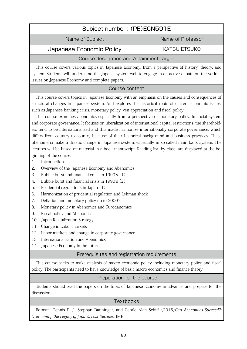# Subject number : (PE)ECN591E

Name of Subject Name of Professor

Japanese Economic Policy Fig. And KATSU ETSUKO

#### Course description and Attainment target

This course covers various topics in Japanese Economy, from a perspective of history, theory, and system. Students will understand the Japan's system well to engage in an active debate on the various issues on Japanese Economy and complete papers.

#### Course content

 This course covers topics in Japanese Economy with an emphasis on the causes and consequences of structural changes in Japanese system. And explores the historical roots of current economic issues, such as Japanese banking crisis, monetary policy, yen appreciation and fiscal policy.

 This course examines abenomics especially from a perspective of monetary policy, financial system and corporate governance. It focuses on liberalization of international capital restrictions, the shareholders tend to be internationalized and this made harmonize internationally corporate governance, which differs from country to country because of their historical background and business practices. These phenomena make a drastic change in Japanese system, especially in so-called main bank system. The lectures will be based on material in a book manuscript. Reading list, by class, are displayed at the beginning of the course.

- 1. Introduction
- 2. Overview of the Japanese Economy and Abenomics
- 3. Bubble burst and financial crisis in 1990's (1)
- 4. Bubble burst and financial crisis in 1990's (2)
- 5. Prudential regulations in Japan (1)
- 6. Harmonization of prudential regulation and Lehman shock
- 7. Deflation and monetary policy up to 2000's
- 8. Monetary policy in Abenomics and Kurodanomics
- 9. Fiscal policy and Abenomics
- 10. Japan Revitalization Strategy
- 11. Change in Labor markets
- 12. Labor markets and change in corporate governance
- 13. Internationalization and Abenomics
- 14. Japanese Economy in the future

#### Prerequisites and registration requirements

This course seeks to make analysis of macro economic policy including monetary policy and fiscal policy. The participants need to have knowledge of basic macro economics and finance theory.

#### Preparation for the course

Students should read the papers on the topic of Japanese Economy in advance, and prepare for the discussion.

#### **Textbooks**

Botman, Dennis P. J., Stephan Danninger, and Gerald Alan Schiff (2015)Can Abenomics Succeed?: Overcoming the Legacy of Japan's Lost Decades, IMF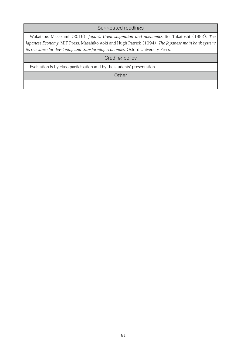#### Suggested readings

Wakatabe, Masazumi (2016), Japan's Great stagnation and abenomics Ito, Takatoshi (1992), The Japanese Economy, MIT Press. Masahiko Aoki and Hugh Patrick (1994), The Japanese main bank system: its relevance for developing and transforming economies, Oxford University Press.

#### Grading policy

Evaluation is by class participation and by the students' presentation.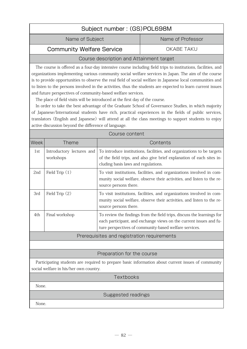# Subject number : (GS)POL698M

Name of Subject Name of Professor

### Community Welfare Service **COMMUNIC COMMUNIC** COMMUNIC

#### Course description and Attainment target

The course is offered as a four-day intensive course including field trips to institutions, facilities, and organizations implementing various community social welfare services in Japan. The aim of the course is to provide opportunities to observe the real field of social welfare in Japanese local communities and to listen to the persons involved in the activities, thus the students are expected to learn current issues and future perspectives of community-based welfare services.

The place of field visits will be introduced at the first day of the course.

In order to take the best advantage of the Graduate School of Governance Studies, in which majority of Japanese/International students have rich, practical experiences in the fields of public services, translators (English and Japanese) will attend at all the class meetings to support students to enjoy active discussion beyond the difference of language.

| Course content                                                                                                                               |                                             |                                                                                                                                                                                                        |  |
|----------------------------------------------------------------------------------------------------------------------------------------------|---------------------------------------------|--------------------------------------------------------------------------------------------------------------------------------------------------------------------------------------------------------|--|
| Week                                                                                                                                         | Theme                                       | Contents                                                                                                                                                                                               |  |
| 1st                                                                                                                                          | Introductory lectures and<br>workshops      | To introduce institutions, facilities, and organizations to be targets<br>of the field trips, and also give brief explanation of each sites in-<br>cluding basis laws and regulations.                 |  |
| 2 <sub>nd</sub>                                                                                                                              | Field Trip $(1)$                            | To visit institutions, facilities, and organizations involved in com-<br>munity social welfare, observe their activities, and listen to the re-<br>source persons there.                               |  |
| 3rd                                                                                                                                          | Field Trip (2)                              | To visit institutions, facilities, and organizations involved in com-<br>munity social welfare, observe their activities, and listen to the re-<br>source persons there.                               |  |
| 4th                                                                                                                                          | Final workshop                              | To review the findings from the field trips, discuss the learnings for<br>each participant, and exchange views on the current issues and fu-<br>ture perspectives of community-based welfare services. |  |
|                                                                                                                                              | Prerequisites and registration requirements |                                                                                                                                                                                                        |  |
|                                                                                                                                              |                                             |                                                                                                                                                                                                        |  |
| Preparation for the course                                                                                                                   |                                             |                                                                                                                                                                                                        |  |
| Participating students are required to prepare basic information about current issues of community<br>social welfare in his/her own country. |                                             |                                                                                                                                                                                                        |  |
|                                                                                                                                              | <b>Textbooks</b>                            |                                                                                                                                                                                                        |  |

None.

#### Suggested readings

None.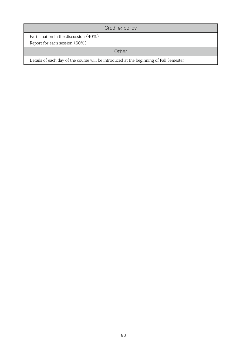## Grading policy

Participation in the discussion (40%)

Report for each session (60%)

### **Other**

Details of each day of the course will be introduced at the beginning of Fall Semester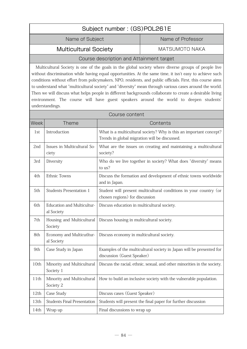| Subject number: (GS)POL261E               |                |  |
|-------------------------------------------|----------------|--|
| Name of Subject<br>Name of Professor      |                |  |
| <b>Multicultural Society</b>              | MATSUMOTO NAKA |  |
| Course deparintion and Attainment terrest |                |  |

#### Course description and Attainment target

Multicultural Society is one of the goals in the global society where diverse groups of people live without discrimination while having equal opportunities. At the same time, it isn't easy to achieve such conditions without effort from policymakers, NPO, residents, and public officials. First, this course aims to understand what "multicultural society" and "diversity" mean through various cases around the world. Then we will discuss what helps people in different backgrounds collaborate to create a desirable living environment. The course will have guest speakers around the world to deepen students' understandings.

|             | Course content                                  |                                                                                                                     |  |
|-------------|-------------------------------------------------|---------------------------------------------------------------------------------------------------------------------|--|
| <b>Week</b> | <b>Theme</b>                                    | Contents                                                                                                            |  |
| 1st         | Introduction                                    | What is a multicultural society? Why is this an important concept?<br>Trends in global migration will be discussed. |  |
| 2nd         | Issues in Multicultural So-<br>ciety            | What are the issues on creating and maintaining a multicultural<br>society?                                         |  |
| 3rd         | Diversity                                       | Who do we live together in society? What does "diversity" means<br>to us?                                           |  |
| 4th         | <b>Ethnic Towns</b>                             | Discuss the formation and development of ethnic towns worldwide<br>and in Japan.                                    |  |
| 5th         | <b>Students Presentation 1</b>                  | Student will present multicultural conditions in your country (or<br>chosen regions) for discussion                 |  |
| 6th         | <b>Education and Multicultur-</b><br>al Society | Discuss education in multicultural society.                                                                         |  |
| 7th         | Housing and Multicultural<br>Society            | Discuss housing in multicultural society.                                                                           |  |
| 8th         | Economy and Multicutltur-<br>al Society         | Discuss economy in multicultural society.                                                                           |  |
| 9th         | Case Study in Japan                             | Examples of the multicultural society in Japan will be presented for<br>discussion (Guest Speaker)                  |  |
| 10th        | Minority and Multicultural<br>Society 1         | Discuss the racial, ethnic, sexual, and other minorities in the society.                                            |  |
| 11th        | Minority and Multicultural<br>Society 2         | How to build an inclusive society with the vulnerable population.                                                   |  |
| 12th        | Case Study                                      | Discuss cases (Guest Speaker)                                                                                       |  |
| 13th        | <b>Students Final Presentation</b>              | Students will present the final paper for further discussion                                                        |  |
| 14th        | Wrap up                                         | Final discussions to wrap up                                                                                        |  |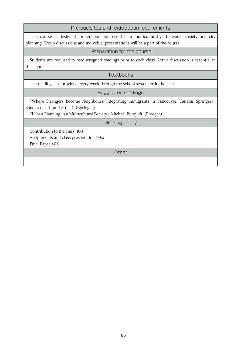#### Prerequisites and registration requirements

This course is designed for students interested in a multicultural and diverse society and city planning. Group discussions and individual presentations will be a part of the course.

#### Preparation for the course

Students are required to read assigned readings prior to each class. Active discussion is essential in this course.

#### **Textbooks**

The readings are provided every week through the school system or in the class.

#### Suggested readings

『Where Strangers Become Neighbours: integrating immigrants in Vancouver, Canada, Springer』 Sandercock, L. and Attili, G (Springer)

『Urban Planning in a Multicultural Society』Michael Burayidi(Praeger)

#### Grading policy

Contribution to the class 40%

Assignments and class presentation 20%

Final Paper 40%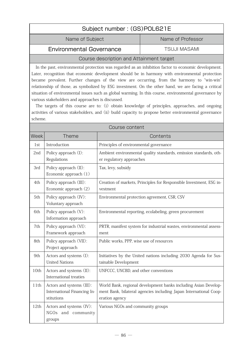# Subject number : (GS)POL621E Name of Subject Name of Professor

### Environmental Governance The TSUJI MASAMI

# Course description and Attainment target

In the past, environmental protection was regarded as an inhibition factor to economic development. Later, recognition that economic development should be in harmony with environmental protection became prevalent. Further changes of the view are occurring, from the harmony to "win-win" relationship of those, as symbolized by ESG investment. On the other hand, we are facing a critical situation of environmental issues such as global warming. In this course, environmental governance by various stakeholders and approaches is discussed.

The targets of this course are to: (i) obtain knowledge of principles, approaches, and ongoing activities of various stakeholders, and (ii) build capacity to propose better environmental governance scheme.

|      | Course content                                                         |                                                                                                                                                        |  |
|------|------------------------------------------------------------------------|--------------------------------------------------------------------------------------------------------------------------------------------------------|--|
| Week | <b>Theme</b>                                                           | Contents                                                                                                                                               |  |
| 1st  | Introduction                                                           | Principles of environmental governance                                                                                                                 |  |
| 2nd  | Policy approach (I):<br>Regulations                                    | Ambient environmental quality standards, emission standards, oth-<br>er regulatory approaches                                                          |  |
| 3rd  | Policy approach (II):<br>Economic approach (1)                         | Tax, levy, subsidy                                                                                                                                     |  |
| 4th  | Policy approach (III):<br>Economic approach (2)                        | Creation of markets, Principles for Responsible Investment, ESG in-<br>vestment                                                                        |  |
| 5th  | Policy approach (IV):<br>Voluntary approach                            | Environmental protection agreement, CSR, CSV                                                                                                           |  |
| 6th  | Policy approach (V):<br>Information approach                           | Environmental reporting, ecolabeling, green procurement                                                                                                |  |
| 7th  | Policy approach (VI):<br>Framework approach                            | PRTR, manifest system for industrial wastes, environmental assess-<br>ment                                                                             |  |
| 8th  | Policy approach (VII):<br>Project approach                             | Public works, PPP, wise use of resources                                                                                                               |  |
| 9th  | Actors and systems (I):<br><b>United Nations</b>                       | Initiatives by the United nations including 2030 Agenda for Sus-<br>tainable Development                                                               |  |
| 10th | Actors and systems (II):<br>International treaties                     | UNFCCC, UNCBD, and other conventions                                                                                                                   |  |
| 11th | Actors and systems (III):<br>International Financing In-<br>stitutions | World Bank, regional development banks including Asian Develop-<br>ment Bank, bilateral agencies including Japan International Coop-<br>eration agency |  |
| 12th | Actors and systems (IV):<br>NGOs and community<br>groups               | Various NGOs and community groups                                                                                                                      |  |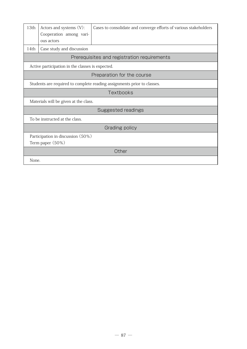| 13th  | Actors and systems (V):<br>Cooperation among vari-<br>ous actors        | Cases to consolidate and converge efforts of various stakeholders |  |
|-------|-------------------------------------------------------------------------|-------------------------------------------------------------------|--|
| 14th  | Case study and discussion                                               |                                                                   |  |
|       |                                                                         | Prerequisites and registration requirements                       |  |
|       | Active participation in the classes is expected.                        |                                                                   |  |
|       | Preparation for the course                                              |                                                                   |  |
|       | Students are required to complete reading assignments prior to classes. |                                                                   |  |
|       | <b>Textbooks</b>                                                        |                                                                   |  |
|       | Materials will be given at the class.                                   |                                                                   |  |
|       | Suggested readings                                                      |                                                                   |  |
|       | To be instructed at the class.                                          |                                                                   |  |
|       | Grading policy                                                          |                                                                   |  |
|       | Participation in discussion (50%)<br>Term paper (50%)                   |                                                                   |  |
|       | Other                                                                   |                                                                   |  |
| None. |                                                                         |                                                                   |  |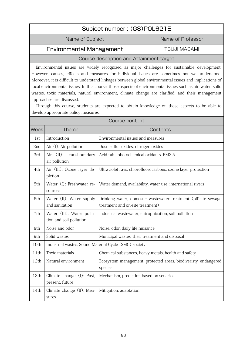# Subject number : (GS)POL621E

Name of Subject Name of Professor

### Environmental Management TSUJI MASAMI

#### Course description and Attainment target

Environmental issues are widely recognized as major challenges for sustainable development. However, causes, effects and measures for individual issues are sometimes not well-understood. Moreover, it is difficult to understand linkages between global environmental issues and implications of local environmental issues. In this course, those aspects of environmental issues such as air, water, solid wastes, toxic materials, natural environment, climate change are clarified, and their management approaches are discussed.

Through this course, students are expected to obtain knowledge on those aspects to be able to develop appropriate policy measures.

| Course content |                                                       |                                                                                                    |
|----------------|-------------------------------------------------------|----------------------------------------------------------------------------------------------------|
| <b>Week</b>    | Theme                                                 | Contents                                                                                           |
| 1st            | Introduction                                          | Environmental issues and measures                                                                  |
| 2nd            | Air $(I)$ : Air pollution                             | Dust, sulfur oxides, nitrogen oxides                                                               |
| 3rd            | Air (II): Transboundary<br>air pollution              | Acid rain, photochemical oxidants, PM2.5                                                           |
| 4th            | Air (III): Ozone layer de-<br>pletion                 | Ultraviolet rays, chlorofluorocarbons, ozone layer protection                                      |
| 5th            | Water (I): Freshwater re-<br>sources                  | Water demand, availability, water use, international rivers                                        |
| 6th            | Water (II): Water supply<br>and sanitation            | Drinking water, domestic wastewater treatment (off-site sewage<br>treatment and on-site treatment) |
| 7th            | Water (III): Water pollu-<br>tion and soil pollution  | Industrial wastewater, eutrophication, soil pollution                                              |
| 8th            | Noise and odor                                        | Noise, odor, daily life nuisance                                                                   |
| 9th            | Solid wastes                                          | Municipal wastes, their treatment and disposal                                                     |
| 10th           | Industrial wastes, Sound Material-Cycle (SMC) society |                                                                                                    |
| 11th           | Toxic materials                                       | Chemical substances, heavy metals, health and safety                                               |
| 12th           | Natural environment                                   | Ecosystem management, protected areas, biodiveristy, endangered<br>species                         |
| 13th           | Climate change (I): Past,<br>present, future          | Mechanism, prediction based on senarios                                                            |
| 14th           | Climate change (II): Mea-<br>sures                    | Mitigation, adaptation                                                                             |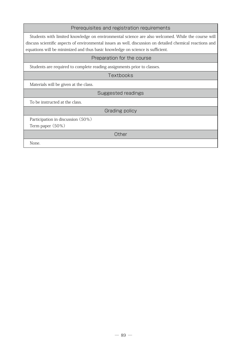| Prerequisites and registration requirements |  |  |
|---------------------------------------------|--|--|

Students with limited knowledge on environmental science are also welcomed. While the course will discuss scientific aspects of environmental issues as well, discussion on detailed chemical reactions and equations will be minimized and thus basic knowledge on science is sufficient.

#### Preparation for the course

Students are required to complete reading assignments prior to classes.

**Textbooks** 

Materials will be given at the class.

Suggested readings

To be instructed at the class.

Grading policy

Participation in discussion (50%)

Term paper (50%)

**Other** 

None.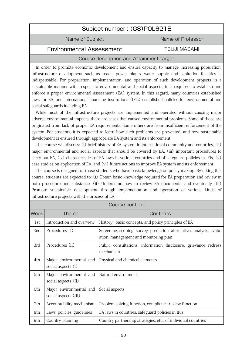| Subject number: (GS)POL621E          |                     |  |
|--------------------------------------|---------------------|--|
| Name of Professor<br>Name of Subject |                     |  |
| <b>Environmental Assessment</b>      | <b>TSUJI MASAMI</b> |  |
|                                      |                     |  |

#### Course description and Attainment target

In order to promote economic development and ensure capacity to manage increasing population, infrastructure development such as roads, power plants, water supply and sanitation facilities is indispensable. For preparation, implementation, and operation of such development projects in a sustainable manner with respect to environmental and social aspects, it is required to establish and enforce a proper environmental assessment (EA) system. In this regard, many countries established laws for EA, and international financing institutions (IFIs) established policies for environmental and social safeguards including EA.

While most of the infrastructure projects are implemented and operated without causing major adverse environmental impacts, there are cases that caused environmental problems. Some of those are originated from lack of proper EA requirements. Some others are from insufficient enforcement of the system. For students, it is expected to learn how such problems are prevented, and how sustainable development is ensured through appropriate EA system and its enforcement.

This course will discuss: (i) brief history of EA system in international community and countries, (ii) major environmental and social aspects that should be covered by EA, (iii) important procedures to carry out EA, (iv) characteristics of EA laws in various countries and of safeguard policies in IFIs, (v) case studies on application of EA, and (vi) future actions to improve EA system and its enforcement.

The course is designed for those students who have basic knowledge on policy making. By taking this course, students are expected to: (i) Obtain basic knowledge required for EA preparation and review in both procedure and substance, (ii) Understand how to review EA documents, and eventually (iii) Promote sustainable development through implementation and operation of various kinds of infrastructure projects with the process of EA.

|             | Course content                                  |                                                                                                                |  |
|-------------|-------------------------------------------------|----------------------------------------------------------------------------------------------------------------|--|
| <b>Week</b> | <b>Theme</b>                                    | Contents                                                                                                       |  |
| 1st.        | Introduction and overview                       | History, basic concepts, and policy principles of EA                                                           |  |
| 2nd         | Procedures (I)                                  | Screening, scoping, survey, prediction, alternatives analysis, evalu-<br>ation, management and monitoring plan |  |
| 3rd         | Procedures (II)                                 | Public consultations, information disclosure, grievance redress<br>mechanism                                   |  |
| 4th         | Major environmental and<br>social aspects (I)   | Physical and chemical elements                                                                                 |  |
| 5th         | Major environmental and<br>social aspects (II)  | Natural environment                                                                                            |  |
| 6th         | Major environmental and<br>social aspects (III) | Social aspects                                                                                                 |  |
| 7th         | Accountability mechanism                        | Problem solving function, compliance review function                                                           |  |
| 8th         | Laws, policies, guidelines                      | EA laws in countries, safeguard policies in IFIs                                                               |  |
| 9th         | Country planning                                | Country partnership strategies, etc., of individual countries                                                  |  |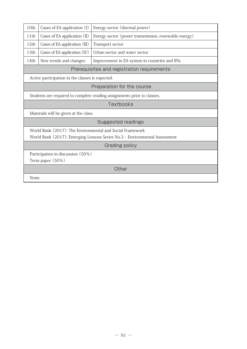| 10th                                                                       | Cases of EA application (I)                                             | Energy sector (thermal power)                        |  |
|----------------------------------------------------------------------------|-------------------------------------------------------------------------|------------------------------------------------------|--|
| 11th                                                                       | Cases of EA application (II)                                            | Energy sector (power transmission, renewable energy) |  |
| 12th                                                                       | Cases of EA application (III)                                           | Transport sector                                     |  |
| 13th                                                                       | Cases of EA application (IV)                                            | Urban sector and water sector                        |  |
| 14th                                                                       | New trends and changes                                                  | Improvement in EA system in countries and IFIs       |  |
|                                                                            |                                                                         | Prerequisites and registration requirements          |  |
|                                                                            | Active participation in the classes is expected.                        |                                                      |  |
|                                                                            | Preparation for the course                                              |                                                      |  |
|                                                                            | Students are required to complete reading assignments prior to classes. |                                                      |  |
|                                                                            | Textbooks                                                               |                                                      |  |
|                                                                            | Materials will be given at the class.                                   |                                                      |  |
| Suggested readings                                                         |                                                                         |                                                      |  |
| World Bank (2017): The Environmental and Social Framework                  |                                                                         |                                                      |  |
| World Bank (2017): Emerging Lessons Series No.3 - Environmental Assessment |                                                                         |                                                      |  |
| Grading policy                                                             |                                                                         |                                                      |  |
| Participation in discussion (50%)                                          |                                                                         |                                                      |  |
|                                                                            | Term paper (50%)                                                        |                                                      |  |
|                                                                            | Other                                                                   |                                                      |  |
| None.                                                                      |                                                                         |                                                      |  |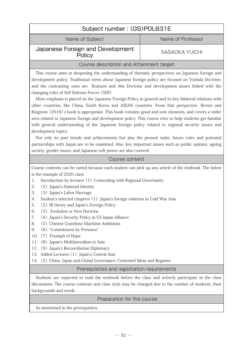| Subject number: (GS)POL631E                                                                                                                                                                                                                                                                                                                                                                                                                                                                                                                                                                                                                                                                                                                                                                                                                                                                                                                                                                                                                                                                                                                                                                           |                       |  |
|-------------------------------------------------------------------------------------------------------------------------------------------------------------------------------------------------------------------------------------------------------------------------------------------------------------------------------------------------------------------------------------------------------------------------------------------------------------------------------------------------------------------------------------------------------------------------------------------------------------------------------------------------------------------------------------------------------------------------------------------------------------------------------------------------------------------------------------------------------------------------------------------------------------------------------------------------------------------------------------------------------------------------------------------------------------------------------------------------------------------------------------------------------------------------------------------------------|-----------------------|--|
| Name of Subject<br>Name of Professor                                                                                                                                                                                                                                                                                                                                                                                                                                                                                                                                                                                                                                                                                                                                                                                                                                                                                                                                                                                                                                                                                                                                                                  |                       |  |
| Japanese Foreign and Development<br>Policy                                                                                                                                                                                                                                                                                                                                                                                                                                                                                                                                                                                                                                                                                                                                                                                                                                                                                                                                                                                                                                                                                                                                                            | <b>SASAOKA YUICHI</b> |  |
| Course description and Attainment target                                                                                                                                                                                                                                                                                                                                                                                                                                                                                                                                                                                                                                                                                                                                                                                                                                                                                                                                                                                                                                                                                                                                                              |                       |  |
| This course aims at deepening the understanding of thematic perspectives on Japanese foreign and<br>development policy. Traditional views about Japanese foreign policy are focused on Yoshida Doctrine,<br>and the contrasting ones are Koizumi and Abe Doctrine and development issues linked with the<br>changing roles of Self Defense Forces (SDF).<br>More emphasis is placed on the Japanese Foreign Policy in general and its key bilateral relations with<br>other countries, like China, South Korea and ASEAN countries. From that perspective, Brown and<br>Kingston (2018)'s book is appropriate. This book contains good and new elements, and covers a wider<br>area related to Japanese foreign and development policy. This course tries to help students get familiar<br>with general understanding of the Japanese foreign policy related to regional security issues and<br>development topics.<br>Not only its past trends and achievements but also the present tasks, future roles and potential<br>partnerships with Japan are to be examined. Also, key important issues such as public opinion, ageing<br>society, gender issues, and Japanese soft power are also covered. |                       |  |
| Course content                                                                                                                                                                                                                                                                                                                                                                                                                                                                                                                                                                                                                                                                                                                                                                                                                                                                                                                                                                                                                                                                                                                                                                                        |                       |  |
| Course contents can be varied because each student can pick up any article of the textbook. The below<br>is the example of 2020 class.<br>Introduction by lecturer (1): Contending with Regional Uncertainty<br>1.<br>(2): Japan's National Identity<br>2.<br>3.<br>(3): Japan's Labor Shortage<br>Student's selected chapters (1): Japan's foreign relations in Cold War Asia<br>4.<br>5.<br>(2): IR theory and Japan's Foreign Policy<br>(3): Evolution or New Doctrine<br>6.<br>(4): Japan's Security Policy in US-Japan Alliance<br>7.<br>(5): Chinese Grandiose Maritime Ambitions<br>8.<br>(6): "Commitment by Presence"<br>9.<br>(7): Triumph of Hope<br>10.<br>(8): Japan's Multilateralism in Asia<br>11.<br>(9): Japan's Reconciliation Diplomacy<br>12.<br>Added Lectures (1): Japan's Central Asia<br>13.<br>(2): China, Japan and Global Governance: Contested Ideas and Regimes<br>14.                                                                                                                                                                                                                                                                                                  |                       |  |
| Prerequisites and registration requirements                                                                                                                                                                                                                                                                                                                                                                                                                                                                                                                                                                                                                                                                                                                                                                                                                                                                                                                                                                                                                                                                                                                                                           |                       |  |
| Students are expected to read the textbook before the class and actively participate in the class<br>discussions. The course contents and class style may be changed due to the number of students, their<br>backgrounds and needs.                                                                                                                                                                                                                                                                                                                                                                                                                                                                                                                                                                                                                                                                                                                                                                                                                                                                                                                                                                   |                       |  |
| Preparation for the course                                                                                                                                                                                                                                                                                                                                                                                                                                                                                                                                                                                                                                                                                                                                                                                                                                                                                                                                                                                                                                                                                                                                                                            |                       |  |
| As mentioned in the prerequisites.                                                                                                                                                                                                                                                                                                                                                                                                                                                                                                                                                                                                                                                                                                                                                                                                                                                                                                                                                                                                                                                                                                                                                                    |                       |  |
|                                                                                                                                                                                                                                                                                                                                                                                                                                                                                                                                                                                                                                                                                                                                                                                                                                                                                                                                                                                                                                                                                                                                                                                                       |                       |  |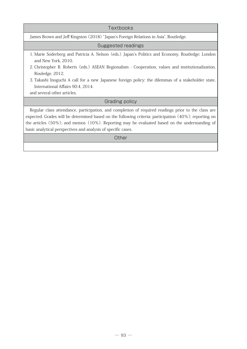| Textbooks                                                                                                                                                                                                                                                                                                                                                                           |
|-------------------------------------------------------------------------------------------------------------------------------------------------------------------------------------------------------------------------------------------------------------------------------------------------------------------------------------------------------------------------------------|
| James Brown and Jeff Kingston (2018) "Japan's Foreign Relations in Asia", Routledge.                                                                                                                                                                                                                                                                                                |
| Suggested readings                                                                                                                                                                                                                                                                                                                                                                  |
| 1. Marie Soderberg and Patricia A. Nelson (eds.) Japan's Politics and Economy, Routledge: London<br>and New York, 2010.                                                                                                                                                                                                                                                             |
| 2. Christopher B. Roberts (eds.) ASEAN Regionalism - Cooperation, values and institutionalization,<br>Rouledge, 2012.                                                                                                                                                                                                                                                               |
| 3. Takashi Inoguchi A call for a new Japanese foreign policy: the dilemmas of a stakeholder state,<br>International Affairs 90:4, 2014.<br>and several other articles.                                                                                                                                                                                                              |
| Grading policy                                                                                                                                                                                                                                                                                                                                                                      |
| Regular class attendance, participation, and completion of required readings prior to the class are<br>expected. Grades will be determined based on the following criteria: participation $(40\%)$ ; reporting on<br>the articles (50%); and memos (10%). Reporting may be evaluated based on the understanding of<br>basic analytical perspectives and analysis of specific cases. |
| Other                                                                                                                                                                                                                                                                                                                                                                               |
|                                                                                                                                                                                                                                                                                                                                                                                     |

 $\overline{\phantom{a}}$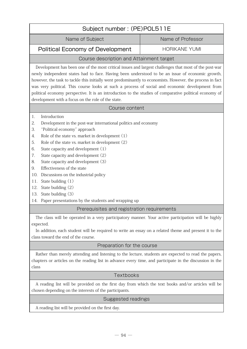| Subject number: (PE)POL511E                                                                                                                                                                                                                                                                                                                                                                                                                                                                                                                                                                                                        |                      |  |
|------------------------------------------------------------------------------------------------------------------------------------------------------------------------------------------------------------------------------------------------------------------------------------------------------------------------------------------------------------------------------------------------------------------------------------------------------------------------------------------------------------------------------------------------------------------------------------------------------------------------------------|----------------------|--|
| Name of Subject                                                                                                                                                                                                                                                                                                                                                                                                                                                                                                                                                                                                                    | Name of Professor    |  |
| <b>Political Economy of Development</b>                                                                                                                                                                                                                                                                                                                                                                                                                                                                                                                                                                                            | <b>HORIKANE YUMI</b> |  |
| Course description and Attainment target                                                                                                                                                                                                                                                                                                                                                                                                                                                                                                                                                                                           |                      |  |
| Development has been one of the most critical issues and largest challenges that most of the post-war<br>newly independent states had to face. Having been understood to be an issue of economic growth,<br>however, the task to tackle this initially went predominantly to economists. However, the process in fact<br>was very political. This course looks at such a process of social and economic development from<br>political economy perspective. It is an introduction to the studies of comparative political economy of<br>development with a focus on the role of the state.                                          |                      |  |
| Course content                                                                                                                                                                                                                                                                                                                                                                                                                                                                                                                                                                                                                     |                      |  |
| Introduction<br>1.<br>2.<br>Development in the post-war international politics and economy<br>"Political economy" approach<br>3.<br>Role of the state vs. market in development $(1)$<br>4.<br>5.<br>Role of the state vs. market in development (2)<br>State capacity and development (1)<br>6.<br>State capacity and development (2)<br>7.<br>State capacity and development (3)<br>8.<br>Effectiveness of the state<br>9.<br>10.<br>Discussions on the industrial policy<br>State building $(1)$<br>11.<br>State building (2)<br>12.<br>State building (3)<br>13.<br>Paper presentations by the students and wrapping up<br>14. |                      |  |
| Prerequisites and registration requirements                                                                                                                                                                                                                                                                                                                                                                                                                                                                                                                                                                                        |                      |  |
| The class will be operated in a very participatory manner. Your active participation will be highly<br>expected.<br>In addition, each student will be required to write an essay on a related theme and present it to the<br>class toward the end of the course.                                                                                                                                                                                                                                                                                                                                                                   |                      |  |
| Preparation for the course                                                                                                                                                                                                                                                                                                                                                                                                                                                                                                                                                                                                         |                      |  |
| Rather than merely attending and listening to the lecture, students are expected to read the papers,<br>chapters or articles on the reading list in advance every time, and participate in the discussion in the<br>class                                                                                                                                                                                                                                                                                                                                                                                                          |                      |  |
| Textbooks                                                                                                                                                                                                                                                                                                                                                                                                                                                                                                                                                                                                                          |                      |  |
| A reading list will be provided on the first day from which the text books and/or articles will be<br>chosen depending on the interests of the participants.                                                                                                                                                                                                                                                                                                                                                                                                                                                                       |                      |  |
| Suggested readings                                                                                                                                                                                                                                                                                                                                                                                                                                                                                                                                                                                                                 |                      |  |
| A reading list will be provided on the first day.                                                                                                                                                                                                                                                                                                                                                                                                                                                                                                                                                                                  |                      |  |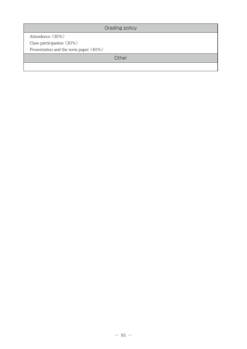Grading policy

Attendence (30%) Class participation (30%)

Presentation and the term paper (40%)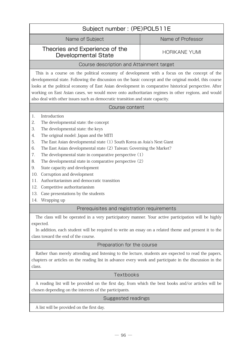# Subject number : (PE)POL511E

Name of Subject Name of Professor

#### Theories and Experience of the Thes and Experience of the HORIKANE YUMI<br>Developmental State

#### Course description and Attainment target

This is a course on the political economy of development with a focus on the concept of the developmental state. Following the discussion on the basic concept and the original model, this course looks at the political economy of East Asian development in comparative historical perspective. After working on East Asian cases, we would move onto authoritarian regimes in other regions, and would also deal with other issues such as democratic transition and state capacity.

#### Course content

- 1. Introduction
- 2. The developmental state: the concept
- 3. The developmental state: the keys
- 4. The original model: Japan and the MITI
- 5. The East Asian developmental state (1) South Korea as Asia's Next Giant
- 6. The East Asian developmental state (2) Taiwan: Governing the Market?
- 7. The developmental state in comparative perspective (1)
- 8. The developmental state in comparative perspective (2)
- 9. State capacity and development
- 10. Corruption and development
- 11. Authoritarianism and democratic transition
- 12. Competitive authoritarianism
- 13. Case presentations by the students
- 14. Wrapping up

#### Prerequisites and registration requirements

The class will be operated in a very participatory manner. Your active participation will be highly expected.

In addition, each student will be required to write an essay on a related theme and present it to the class toward the end of the course.

### Preparation for the course

Rather than merely attending and listening to the lecture, students are expected to read the papers, chapters or articles on the reading list in advance every week and participate in the discussion in the class.

### **Textbooks**

A reading list will be provided on the first day, from which the bext books and/or articles will be chosen depending on the interests of the participants.

#### Suggested readings

A list will be provided on the first day.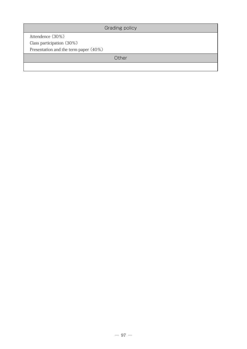Grading policy

Attendence (30%) Class participation (30%) Presentation and the term paper (40%)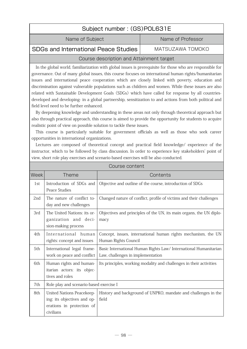# Subject number : (GS)POL631E

Name of Subject Name of Professor

### SDGs and International Peace Studies MATSUZAWA TOMOKO

### Course description and Attainment target

In the global world, familiarization with global issues is prerequisite for those who are responsible for governance. Out of many global issues, this course focuses on international human rights/humanitarian issues and international peace cooperation which are closely linked with poverty, education and discrimination against vulnerable populations such as children and women. While these issues are also related with Sustainable Development Goals (SDGs) which have called for response by all countriesdeveloped and developing- in a global partnership, sensitization to and actions from both political and field level need to be further enhanced.

By deepening knowledge and understanding in these areas not only through theoretical approach but also through practical approach, this course is aimed to provide the opportunity for students to acquire realistic point of view on possible solution to tackle these issues.

This course is particularly suitable for government officials as well as those who seek career opportunities in international organizations.

Lectures are composed of theoretical concept and practical field knowledge/ experience of the instructor, which to be followed by class discussion. In order to experience key stakeholders' point of view, short role play exercises and scenario-based exercises will be also conducted.

|                   | Course content                                                                                     |                                                                                                       |  |
|-------------------|----------------------------------------------------------------------------------------------------|-------------------------------------------------------------------------------------------------------|--|
| Week <sup> </sup> | <b>Theme</b>                                                                                       | Contents                                                                                              |  |
| 1st               | Introduction of SDGs and<br>Peace Studies                                                          | Objective and outline of the course, introduction of SDGs                                             |  |
| 2nd               | The nature of conflict to-<br>day and new challenges                                               | Changed nature of conflict, profile of victims and their challenges                                   |  |
| 3rd               | The United Nations: its or-<br>ganization and deci-<br>sion-making process                         | Objectives and principles of the UN, its main organs, the UN diplo-<br>macy                           |  |
| 4th               | International human<br>rights: concept and issues                                                  | Concept, issues, international human rights mechanism, the UN<br>Human Rights Council                 |  |
| 5th               | International legal frame-<br>work on peace and conflict                                           | Basic International Human Rights Law/ International Humanitarian<br>Law, challenges in implementation |  |
| 6th               | Human rights and human-<br>itarian actors: its objec-<br>tives and roles                           | Its principles, working modality and challenges in their activities                                   |  |
| 7th               | Role play and scenario-based exercise I                                                            |                                                                                                       |  |
| 8th               | United Nations Peacekeep-<br>ing: its objectives and op-<br>erations in protection of<br>civilians | History and background of UNPKO, mandate and challenges in the<br>field                               |  |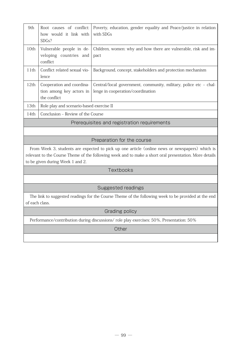| 9th  | Root causes of conflict:<br>how would it link with<br>SDGs?           | Poverty, education, gender equality and Peace/justice in relation<br>with SDGs                         |  |
|------|-----------------------------------------------------------------------|--------------------------------------------------------------------------------------------------------|--|
| 10th | Vulnerable people in de-<br>veloping countries and<br>conflict        | Children, women: why and how there are vulnerable, risk and im-<br>pact                                |  |
| 11th | Conflict related sexual vio-<br>lence                                 | Background, concept, stakeholders and protection mechanism                                             |  |
| 12th | Cooperation and coordina-<br>tion among key actors in<br>the conflict | Central/local government, community, military, police etc – chal-<br>lenge in cooperation/coordination |  |
| 13th | Role play and scenario-based exercise II                              |                                                                                                        |  |
| 14th | Conclusion – Review of the Course                                     |                                                                                                        |  |
|      | Prerequisites and registration requirements                           |                                                                                                        |  |

#### Preparation for the course

From Week 3, students are expected to pick up one article (online news or newspapers) which is relevant to the Course Theme of the following week and to make a short oral presentation. More details to be given during Week 1 and 2.

#### **Textbooks**

#### Suggested readings

The link to suggested readings for the Course Theme of the following week to be provided at the end of each class.

#### Grading policy

Performance/contribution during discussions/ role play exercises: 50%, Presentation: 50%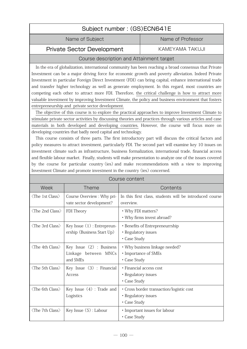# Subject number : (GS)ECN641E

Name of Subject Name of Professor

### Private Sector Development KAMEYAMA TAKUJI

#### Course description and Attainment target

In the era of globalization, international community has been reaching a broad consensus that Private Investment can be a major driving force for economic growth and poverty alleviation. Indeed Private Investment in particular Foreign Direct Investment (FDI) can bring capital, enhance international trade and transfer higher technology as well as generate employment. In this regard, most countries are competing each other to attract more FDI. Therefore, the critical challenge is how to attract more valuable investment by improving Investment Climate, the policy and business environment that fosters entrepreneurship and private sector development.

The objective of this course is to explore the practical approaches to improve Investment Climate to stimulate private sector activities by discussing theories and practices through various articles and case materials in both developed and developing countries. However, the course will focus more on developing countries that badly need capital and technology.

This course consists of three parts. The first introductory part will discuss the critical factors and policy measures to attract investment, particularly FDI. The second part will examine key 10 issues on investment climate such as infrastructure, business formalization, international trade, financial access and flexible labour market. Finally, students will make presentation to analyze one of the issues covered by the course for particular country (ies) and make recommendations with a view to improving Investment Climate and promote investment in the country (ies) concerned.

| Week                              | Theme                                                          | Contents                                                                        |  |
|-----------------------------------|----------------------------------------------------------------|---------------------------------------------------------------------------------|--|
| $\langle$ The 1st Class $\rangle$ | Course Overview : Why pri-<br>vate sector development?         | In this first class, students will be introduced course<br>overview.            |  |
| $\langle$ The 2nd Class $\rangle$ | FDI Theory                                                     | • Why FDI matters?<br>• Why firms invest abroad?                                |  |
| $\langle$ The 3rd Class $\rangle$ | Key Issue (1) : Entrepreun-<br>ership (Business Start Up)      | • Benefits of Entrepreneurrship<br>• Regulatory issues<br>• Case Study          |  |
| $\langle$ The 4th Class $\rangle$ | Key Issue $(2)$ : Business<br>Linkage between MNCs<br>and SMEs | • Why business linkage needed?<br>• Importance of SMEs<br>• Case Study          |  |
| $\langle$ The 5th Class $\rangle$ | Key Issue $(3)$ : Financial<br>Access                          | · Financial access cost<br>• Regulatory issues<br>• Case Study                  |  |
| $\langle$ The 6th Class $\rangle$ | Key Issue $(4)$ : Trade and<br>Logistics                       | • Cross border transaction/logistic cost<br>• Regulatory issues<br>• Case Study |  |
| $\langle$ The 7th Class $\rangle$ | Key Issue (5) : Labour                                         | · Important issues for labour<br>• Case Study                                   |  |

#### Course content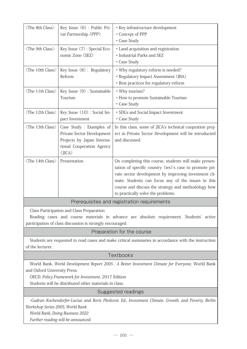| $\langle$ The 8th Class $\rangle$                                                                                       | Key Issue (6) : Public Pri-<br>vat Partnership (PPP)                                                                        | · Key infrastructure development<br>• Concept of PPP<br>• Case Study                                                                                                                                                                                                                                                        |
|-------------------------------------------------------------------------------------------------------------------------|-----------------------------------------------------------------------------------------------------------------------------|-----------------------------------------------------------------------------------------------------------------------------------------------------------------------------------------------------------------------------------------------------------------------------------------------------------------------------|
| $\langle$ The 9th Class $\rangle$                                                                                       | Key Issue (7): Special Eco-<br>nomic Zone (SEZ)                                                                             | • Land acquisition and registration<br>· Industrial Parks and SEZ<br>• Case Study                                                                                                                                                                                                                                           |
| $\langle$ The 10th Class $\rangle$                                                                                      | Key Issue (8) : Regulatory<br>Reform                                                                                        | • Why regulatory reform is needed?<br>· Regulatory Impact Assessment (RIA)<br>· Best practices for regulatory reform                                                                                                                                                                                                        |
| $\langle$ The 11th Class $\rangle$                                                                                      | Key Issue (9) : Sustainable<br>Tourism                                                                                      | • Why tourism?<br>• How to promote Sustainable Tourism<br>• Case Study                                                                                                                                                                                                                                                      |
| $\langle$ The 12th Class $\rangle$                                                                                      | Key Issue (10) : Social Im-<br>pact Investment                                                                              | · SDGs and Social Impact Investment<br>• Case Study                                                                                                                                                                                                                                                                         |
| $\langle$ The 13th Class $\rangle$                                                                                      | Case Study : Examples of<br>Private Sector Development<br>Projects by Japan Interna-<br>tional Cooperation Agency<br>(JICA) | In this class, some of JICA's technical coopration proj-<br>ect in Private Sector Development will be introducted<br>and discussed.                                                                                                                                                                                         |
| $\langle$ The 14th Class $\rangle$                                                                                      | Presentation                                                                                                                | On completing this course, students will make presen-<br>tation of specific country (ies)'s case to promote pri-<br>vate sector development by improving investment cli-<br>mate. Students can focus any of the issues in this<br>course and discuss the strategy and methodology how<br>to practically solve the problems. |
|                                                                                                                         |                                                                                                                             | Prerequisites and registration requirements                                                                                                                                                                                                                                                                                 |
|                                                                                                                         | Class Participation and Class Preparation<br>participation of class discussion is strongly encouraged.                      | Reading cases and course materials in advance are absolute requirement. Students' active                                                                                                                                                                                                                                    |
|                                                                                                                         |                                                                                                                             | Preparation for the course                                                                                                                                                                                                                                                                                                  |
| Students are requested to read cases and make critical summaries in accordance with the instruction<br>of the lecturer. |                                                                                                                             |                                                                                                                                                                                                                                                                                                                             |
|                                                                                                                         |                                                                                                                             | Textbooks                                                                                                                                                                                                                                                                                                                   |
| and Oxford University Press.                                                                                            | OECD, Policy Framework for Investment, 2017 Edition<br>Students will be distributed other materials in class.               | World Bank, World Development Report 2005 : A Better Investment Climate for Everyone, World Bank                                                                                                                                                                                                                            |
|                                                                                                                         |                                                                                                                             | <b>Suggested readings</b>                                                                                                                                                                                                                                                                                                   |
| Workshop Series 2005, World Bank                                                                                        | World Bank, Doing Business 2022<br>Further reading will be announced.                                                       | -Gudrun Kochendorfer-Lucius and Boris Pleskovic Ed., Investment Climate, Growth, and Poverty, Berlin                                                                                                                                                                                                                        |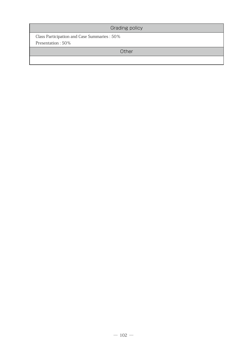| Grading policy                               |  |
|----------------------------------------------|--|
| Class Participation and Case Summaries : 50% |  |
| Presentation: 50%                            |  |
| Other                                        |  |
|                                              |  |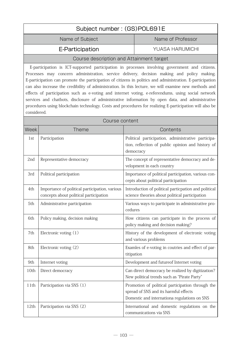| Subject number: (GS)POL691E                                                                                 |                        |  |
|-------------------------------------------------------------------------------------------------------------|------------------------|--|
| Name of Subject                                                                                             | Name of Professor      |  |
| E-Participation                                                                                             | <b>YUASA HARUMICHI</b> |  |
| Course description and Attainment target                                                                    |                        |  |
| E-participation is ICT-supported participation in processes involving government and citizens.              |                        |  |
| Processes may concern administration, service delivery, decision making and policy making.                  |                        |  |
| E-participation can promote the participation of citizens in politics and administration. E-participation b |                        |  |

E-participation can promote the participation of citizens in politics and administration. E-participation can also increase the credibility of administration. In this lecture, we will examine new methods and effects of participation such as e-voting and internet voting, e-referendums, using social network services and chatbots, disclosure of administrative information by open data, and administrative procedures using blockchain technology. Costs and procedures for realizing E-participation will also be considered.

|      | Course content                                                                           |                                                                                                                                           |  |
|------|------------------------------------------------------------------------------------------|-------------------------------------------------------------------------------------------------------------------------------------------|--|
| Week | Theme                                                                                    | Contents                                                                                                                                  |  |
| 1st  | Participation                                                                            | Political participation, administrative participa-<br>tion, reflection of public opinion and history of<br>democracy                      |  |
| 2nd  | Representative democracy                                                                 | The concept of representative democracy and de-<br>velopment in each country                                                              |  |
| 3rd  | Political participation                                                                  | Importance of political participation, various con-<br>cepts about political participation                                                |  |
| 4th  | Importance of political participation, various<br>concepts about political participation | Introduction of political particpation and political<br>science theories about political participation                                    |  |
| 5th  | Administrative participation                                                             | Various ways to participate in administrative pro-<br>cedures                                                                             |  |
| 6th  | Policy making, decision making                                                           | How citizens can participate in the process of<br>policy making and decision making?                                                      |  |
| 7th  | Electronic voting $(1)$                                                                  | History of the development of electronic voting<br>and various problems                                                                   |  |
| 8th  | Electronic voting (2)                                                                    | Examles of e-voting in coutries and effect of par-<br>titipation                                                                          |  |
| 9th  | Internet voting                                                                          | Development and futureof Internet voting                                                                                                  |  |
| 10th | Direct democracy                                                                         | Can direct democracy be realized by digitization?<br>New political trends such as "Pirate Party"                                          |  |
| 11th | Participation via SNS (1)                                                                | Promotion of political participation through the<br>spread of SNS and its harmful effects<br>Domestic and internationa regulations on SNS |  |
| 12th | Participation via SNS (2)                                                                | International and domestic regulations on the<br>communications via SNS                                                                   |  |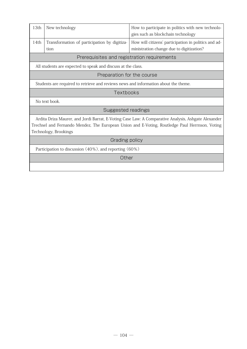| 13th                                                                                                                                                                                                                           | New technology                                                                      | How to participate in politics with new technolo-<br>gies such as blockchain technology          |  |
|--------------------------------------------------------------------------------------------------------------------------------------------------------------------------------------------------------------------------------|-------------------------------------------------------------------------------------|--------------------------------------------------------------------------------------------------|--|
| 14th                                                                                                                                                                                                                           | Transformation of participation by digitiza-<br>tion                                | How will citizens' participation in politics and ad-<br>ministration change due to digitization? |  |
|                                                                                                                                                                                                                                | Prerequisites and registration requirements                                         |                                                                                                  |  |
|                                                                                                                                                                                                                                | All students are expected to speak and discuss at the class.                        |                                                                                                  |  |
|                                                                                                                                                                                                                                | Preparation for the course                                                          |                                                                                                  |  |
|                                                                                                                                                                                                                                | Students are required to retrieve and reviews news and information about the theme. |                                                                                                  |  |
| Textbooks                                                                                                                                                                                                                      |                                                                                     |                                                                                                  |  |
|                                                                                                                                                                                                                                | No text book.                                                                       |                                                                                                  |  |
| Suggested readings                                                                                                                                                                                                             |                                                                                     |                                                                                                  |  |
| Ardita Driza Maurer, and Jordi Barrat, E-Voting Case Law: A Comparative Analysis, Ashgate Alexander<br>Trechsel and Fernando Mendez, The European Union and E-Voting, Routledge Paul Herrnson, Voting<br>Technology, Brookings |                                                                                     |                                                                                                  |  |
| Grading policy                                                                                                                                                                                                                 |                                                                                     |                                                                                                  |  |
| Participation to discussion (40%), and reporting (60%)                                                                                                                                                                         |                                                                                     |                                                                                                  |  |
| Other                                                                                                                                                                                                                          |                                                                                     |                                                                                                  |  |
|                                                                                                                                                                                                                                |                                                                                     |                                                                                                  |  |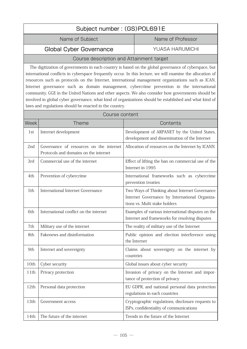# Subject number : (GS)POL691E Name of Subject Name of Professor Global Cyber Governance The YUASA HARUMICHI

#### Course description and Attainment target

The digitization of governments in each country is based on the global governance of cyberspace, but international conflicts in cyberspace frequently occur. In this lecture, we will examine the allocation of resources such as protocols on the Internet, international management organizations such as ICAN, Internet governance such as domain management, cybercrime prevention in the international community, GGE in the United Nations and other aspects. We also consider how governments should be involved in global cyber governance, what kind of organizations should be established and what kind of laws and regulations should be enacted in the country.

| Course content |                                                                                  |                                                                                                                                   |
|----------------|----------------------------------------------------------------------------------|-----------------------------------------------------------------------------------------------------------------------------------|
| Week           | <b>Theme</b>                                                                     | Contents                                                                                                                          |
| 1st            | Internet development                                                             | Development of ARPANET by the United States,<br>development and dissemination of the Internet                                     |
| 2nd            | Governance of resources on the internet<br>Protocols and domains on the internet | Allocation of resources on the Internet by ICANN                                                                                  |
| 3rd            | Commercial use of the internet                                                   | Effect of lifting the ban on commercial use of the<br>Internet in 1995                                                            |
| 4th            | Prevention of cybercrime                                                         | International frameworks such as cybercrime<br>prevention treaties                                                                |
| 5th            | <b>International Internet Governance</b>                                         | Two Ways of Thinking about Internet Governance<br>Internet Governance by International Organiza-<br>tions vs. Multi stake holders |
| 6th            | International conflict on the internet                                           | Examples of various international disputes on the<br>Internet and frameworks for resolving disputes                               |
| 7th            | Military use of the internet                                                     | The reality of military use of the Internet                                                                                       |
| 8th.           | Fakenews and disinformation                                                      | Public opinion and election interference using<br>the Internet                                                                    |
| 9th            | Internet and sovereignty                                                         | Claims about sovereignty on the internet by<br>countries                                                                          |
| 10th           | Cyber security                                                                   | Global issues about cyber security                                                                                                |
| 11th           | Privacy protection                                                               | Invasion of privacy on the Internet and impor-<br>tance of protection of privacy                                                  |
| 12th           | Personal data protection                                                         | EU GDPR, and national personal data protection<br>regulations in each countries                                                   |
| 13th           | Government access                                                                | Cryptographic regulations, disclosure requests to<br>ISPs, confidentiality of communications                                      |
| 14th           | The future of the internet                                                       | Trends in the future of the Internet                                                                                              |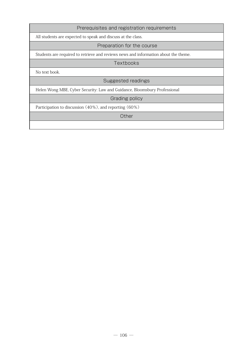#### Prerequisites and registration requirements

All students are expected to speak and discuss at the class.

#### Preparation for the course

Students are required to retrieve and reviews news and information about the theme.

Textbooks

No text book.

Suggested readings

Helen Wong MBE, Cyber Security: Law and Guidance, Bloomsbury Professional

Grading policy

Participation to discussion (40%), and reporting (60%)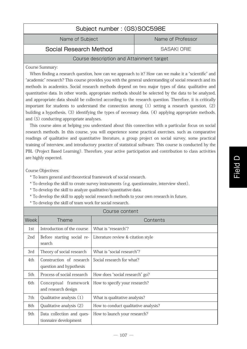# Subject number : (GS)SOC598E

Name of Subject Name of Professor

Social Research Method SASAKI ORIE

#### Course description and Attainment target

Course Summary:

When finding a research question, how can we approach to it? How can we make it a "scientific" and "academic" research? This course provides you with the general understanding of social research and its methods in academics. Social research methods depend on two major types of data: qualitative and quantitative data. In other words, appropriate methods should be selected by the data to be analyzed, and appropriate data should be collected according to the research question. Therefore, it is critically important for students to understand the connection among  $(1)$  setting a research question,  $(2)$ building a hypothesis, (3) identifying the types of necessary data, (4) applying appropriate methods, and (5) conducting appropriate analyses.

This course aims at helping you understand about this connection with a particular focus on social research methods. In this course, you will experience some practical exercises, such as comparative readings of qualitative and quantitative literature, a group project on social survey, some practical training of interview, and introductory practice of statistical software. This course is conducted by the PBL (Project Based Learning). Therefore, your active participation and contribution to class activities are highly expected.

Course Objectives:

- \* To learn general and theoretical framework of social research.
- \* To develop the skill to create survey instruments (e.g. questionnaire, interview sheet).
- \* To develop the skill to analyze qualitative/quantitative data.
- \* To develop the skill to apply social research methods to your own research in future.
- \* To develop the skill of team work for social research.

| Week | Theme                                               | Contents                             |
|------|-----------------------------------------------------|--------------------------------------|
| 1st  | Introduction of the course                          | What is "research"?                  |
| 2nd  | Before starting social re-<br>search                | Literature review & citation style   |
| 3rd  | Theory of social research                           | What is "social research"?           |
| 4th  | Construction of research<br>question and hypothesis | Social research for what?            |
| 5th  | Process of social research                          | How does "social research" go?       |
| 6th  | Conceptual framework<br>and research design         | How to specify your research?        |
| 7th  | Qualitative analysis (1)                            | What is qualitative analysis?        |
| 8th  | Qualitative analysis (2)                            | How to conduct qualitative analysis? |
| 9th  | Data collection and ques-<br>tionnaire development  | How to launch your research?         |

Course content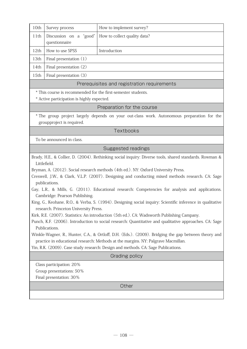| 10th                                                                                       | Survey process                                         | How to implement survey? |  |
|--------------------------------------------------------------------------------------------|--------------------------------------------------------|--------------------------|--|
| 11th                                                                                       | Discussion on a "good"<br>How to collect quality data? |                          |  |
|                                                                                            | questionnaire                                          |                          |  |
| 12th                                                                                       | How to use SPSS                                        | Introduction             |  |
| 13th                                                                                       | Final presentation $(1)$                               |                          |  |
| 14th                                                                                       | Final presentation (2)                                 |                          |  |
| 15th                                                                                       | Final presentation (3)                                 |                          |  |
| Prerequisites and registration requirements                                                |                                                        |                          |  |
| * This course is recommended for the first-semester students.                              |                                                        |                          |  |
| * Active participation is highly expected.                                                 |                                                        |                          |  |
| Preparation for the course                                                                 |                                                        |                          |  |
| * The group project largely depends on your out-class work. Autonomous preparation for the |                                                        |                          |  |

The group project largely depends on your out-class work. Autonomous preparation for the groupproject is required.

**Textbooks** 

To be announced in class.

## Suggested readings

Brady, H.E., & Collier, D. (2004). Rethinking social inquiry: Diverse tools, shared standards. Rowman & Littlefield.

Bryman, A. (2012). Social research methods (4th ed.). NY: Oxford University Press.

Creswell, J.W., & Clark, V.L.P. (2007). Designing and conducting mixed methods research. CA: Sage publications.

Gay, L.R., & Mills, G. (2011). Educational research: Competencies for analysis and applications. Cambridge: Pearson Publishing.

King, G., Keohane, R.O., & Verba, S. (1994). Designing social inquiry: Scientific inference in qualitative research. Princeton University Press.

Kirk, R.E. (2007). Statistics: An introduction (5th ed.). CA: Wadsworth Publishing Campany.

Punch, K.F. (2006). Introduction to social research: Quantitative and qualitative approaches. CA: Sage Publications.

Winkle-Wagner, R., Hunter, C.A., & Ortloff, D.H. (Eds.). (2009). Bridging the gap between theory and practice in educational research: Methods at the margins. NY: Palgrave Macmillan.

Yin, R.K. (2009). Case study research: Design and methods. CA: Sage Publications.

Grading policy

Class participation: 20%

Group presentations: 50%

Final presentation: 30%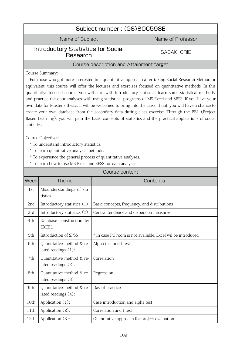| Subject number: (GS)SOC598E                           |                    |  |
|-------------------------------------------------------|--------------------|--|
| Name of Professor<br>Name of Subject                  |                    |  |
| <b>Introductory Statistics for Social</b><br>Research | <b>SASAKI ORIE</b> |  |
| Course description and Attainment target              |                    |  |
|                                                       |                    |  |

Course Summary:

For those who got more interested in a quantitative approach after taking Social Research Method or equivalent, this course will offer the lectures and exercises focused on quantitative methods. In this quantitative-focused course, you will start with introductory statistics, learn some statistical methods, and practice the data analyses with using statistical programs of MS-Excel and SPSS. If you have your own data for Master's thesis, it will be welcomed to bring into the class. If not, you will have a chance to create your own database from the secondary data during class exercise. Through the PBL (Project Based Learning), you will gain the basic concepts of statistics and the practical applications of social statistics.

Course Objectives:

- \* To understand introductory statistics.
- \* To learn quantitative analysis methods.
- \* To experience the general process of quantitative analyses.
- \* To learn how to use MS-Excel and SPSS for data analyses.

| Course content  |                                                     |                                                              |  |
|-----------------|-----------------------------------------------------|--------------------------------------------------------------|--|
| <b>Week</b>     | <b>Theme</b>                                        | Contents                                                     |  |
| 1st             | Misunderstandings of sta-<br>tistics                |                                                              |  |
| 2 <sub>nd</sub> | Introductory statistics (1)                         | Basic concepts, frequency, and distributions                 |  |
| 3rd             | Introductory statistics (2)                         | Central tendency and dispersion measures                     |  |
| 4th             | Database construction by<br><b>EXCEL</b>            |                                                              |  |
| 5th             | Introduction of SPSS                                | * In case PC room is not available, Excel wil be introduced. |  |
| 6th             | Quantitative method & re-<br>lated readings $(1)$ : | Alpha-test and t-test                                        |  |
| 7th             | Quantitative method & re-<br>lated readings $(2)$ : | Correlation                                                  |  |
| 8th             | Quantitative method & re-<br>lated readings (3)     | Regression                                                   |  |
| 9th             | Quantitative method & re-<br>lated readings $(4)$ : | Day of practice                                              |  |
| 10th            | Application (1):                                    | Case introduction and alpha test                             |  |
| 11th            | Application $(2)$ :                                 | Correlation and t-test                                       |  |
| 12th            | Application (3):                                    | Quantitative approach for project evaluation                 |  |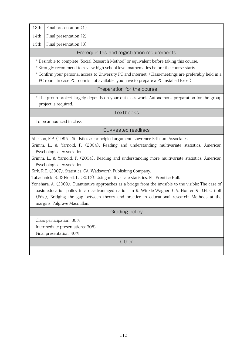| 13th $\vert$ Final presentation $(1)$ |  |  |
|---------------------------------------|--|--|
|---------------------------------------|--|--|

14th Final presentation  $(2)$ 

15th Final presentation  $(3)$ 

# Prerequisites and registration requirements

\* Desirable to complete "Social Research Method" or equivalent before taking this course.

- \* Strongly recommend to review high-school level mathematics before the course starts.
- \* Confirm your personal access to University PC and internet(Class-meetings are preferably held in a PC room. In case PC room is not available, you have to prepare a PC installed Excel).

# Preparation for the course

\* The group project largely depends on your out-class work. Autonomous preparation for the group project is required.

# Textbooks

To be announced in class.

Suggested readings

Abelson, R.P. (1995). Statistics as principled argument. Lawrence Erlbaum Associates.

Grimm, L., & Yarnold, P. (2004). Reading and understanding multivariate statistics. American Psychological Association.

Grimm, L., & Yarnold, P. (2004). Reading and understanding more multivariate statistics. American Psychological Association.

Kirk, R.E. (2007). Statistics. CA: Wadsworth Publishing Company.

Tabachnick, B., & Fidell, L. (2012). Using multivariate statistics. NJ: Prentice Hall.

Yonehara, A. (2009). Quantitative approaches as a bridge from the invisible to the visible: The case of basic education policy in a disadvantaged nation. In R. Winkle-Wagner, C.A. Hunter & D.H. Ortloff (Eds.), Bridging the gap between theory and practice in educational research: Methods at the margins. Palgrave Macmillan.

Grading policy

Class participation: 30%

Intermediate presentations: 30%

Final presentation: 40%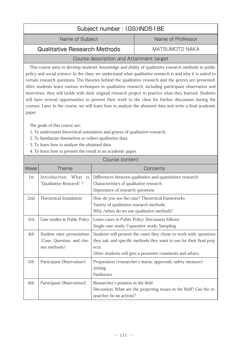| Subject number: (GS)IND518E  |                   |  |  |
|------------------------------|-------------------|--|--|
| Name of Subject              | Name of Professor |  |  |
| Qualitative Research Methods | MATSUMOTO NAKA    |  |  |

This course aims to develop students' knowledge and ability of qualitative research methods in public policy and social science. In the class, we understand what qualitative research is and why it is suited to certain research questions. The theories behind the qualitative research and the genres are presented. After students learn various techniques in qualitative research, including participant observation and interviews, they will tackle with their original research project to practice what they learned. Students will have several opportunities to present their work to the class for further discussion during the courses. Later in the course, we will learn how to analyze the obtained data and write a final academic paper.

The goals of this course are:

- 1. To understand theoretical orientation and genres of qualitative research.
- 2. To familiarize themselves to collect qualitative data.
- 3. To learn how to analyze the obtained data.
- 4. To learn how to present the result in an academic paper.

|                 | טרווויסט פאזונפוונ                                                     |                                                                                                                                                                                                                   |  |
|-----------------|------------------------------------------------------------------------|-------------------------------------------------------------------------------------------------------------------------------------------------------------------------------------------------------------------|--|
| Week            | <b>Theme</b>                                                           | Contents                                                                                                                                                                                                          |  |
| 1st             | Introduction: What is<br>"Qualitative Research"?                       | Differences between qualitative and quantitative research<br>Characteristics of qualitative research<br>Importance of research questions                                                                          |  |
| 2 <sub>nd</sub> | Theoretical foundation                                                 | How do you see the case? Theoretical frameworks<br>Variety of qualitative research methods<br>Why /when do we use qualitative methods?                                                                            |  |
| 3rd             | Case studies in Public Policy                                          | Learn cases in Public Policy. Discussion follows<br>Single case study, Coparative study, Sampling                                                                                                                 |  |
| 4th             | Student mini presentation<br>(Case, Question, and cho-<br>sen methods) | Students will present the cases they chose to work with, questions<br>they ask, and specific methods they want to use for their final proj-<br>ects.<br>Other students will give a presenter comments and advice. |  |
| 5th             | Participant Observation1                                               | Preparation (researcher's status, approvals, safety measure)<br>Jotting<br>Fieldnotes                                                                                                                             |  |
| 6th             | Participant Observation2                                               | Researcher's position in the field<br>Discussion: What are the projecting issues in the field? Can the re-<br>searcher be an activist?                                                                            |  |

Course content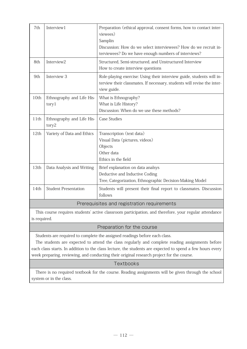| 7th  | Interview1                                  | Preparation (ethical approval, consent forms, how to contact inter-<br>viewees)<br>Samplin<br>Discussion: How do we select interviewees? How do we recruit in-<br>terviewees? Do we have enough numbers of interviews? |  |
|------|---------------------------------------------|------------------------------------------------------------------------------------------------------------------------------------------------------------------------------------------------------------------------|--|
| 8th  | Interview2                                  | Structured, Semi-structured, and Unstructured Interview<br>How to create interview questions                                                                                                                           |  |
| 9th  | Interview 3                                 | Role-playing exercise: Using their interview guide, students will in-<br>terview their classmates. If necessary, students will revise the inter-<br>view guide.                                                        |  |
| 10th | Ethnography and Life His-<br>tory1          | What is Ethnography?<br>What is Life History?<br>Discussion: When do we use these methods?                                                                                                                             |  |
| 11th | Ethnography and Life His-<br>tory2          | <b>Case Studies</b>                                                                                                                                                                                                    |  |
| 12th | Variety of Data and Ethics                  | Transcription (text data)<br>Visual Data (pictures, videos)<br>Objects<br>Other data<br>Ethics in the field                                                                                                            |  |
| 13th | Data Analysis and Writing                   | Brief explanation on data analsys<br>Deductive and Inductive Coding<br>Tree, Categorization, Ethnographic Decision-Making Model                                                                                        |  |
| 14th | <b>Student Presentation</b>                 | Students will present their final report to classmates. Discussion<br>follows                                                                                                                                          |  |
|      | Prerequisites and registration requirements |                                                                                                                                                                                                                        |  |

This course requires students' active classroom participation, and therefore, your regular attendance is required.

# Preparation for the course

Students are required to complete the assigned readings before each class.

The students are expected to attend the class regularly and complete reading assignments before each class starts. In addition to the class lecture, the students are expected to spend a few hours every week preparing, reviewing, and conducting their original research project for the course.

# Textbooks

There is no required textbook for the course. Reading assignments will be given through the school system or in the class.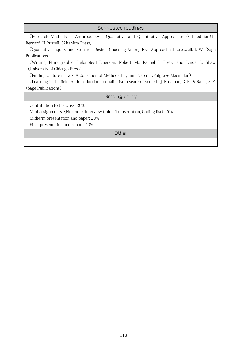| Suggested readings                                                                                         |  |  |  |
|------------------------------------------------------------------------------------------------------------|--|--|--|
| <b>TResearch Methods in Anthropology : Qualitative and Quantitative Approaches (6th edition)</b>           |  |  |  |
| Bernard, H Russell. (AltaMira Press)                                                                       |  |  |  |
| "Qualitative Inquiry and Research Design: Choosing Among Five Approaches』Creswell, J. W. (Sage             |  |  |  |
| Publications)                                                                                              |  |  |  |
| Writing Ethnographic Fieldnotes』Emerson, Robert M., Rachel I. Fretz, and Linda L. Shaw                     |  |  |  |
| (University of Chicago Press)                                                                              |  |  |  |
| <b>Frinding Culture in Talk: A Collection of Methods.</b> Quinn, Naomi. (Palgrave Macmillan)               |  |  |  |
| [Learning in the field: An introduction to qualitative research (2nd ed.)] Rossman, G. B., & Rallis, S. F. |  |  |  |
| (Sage Publications)                                                                                        |  |  |  |
| Grading policy                                                                                             |  |  |  |
| Contribution to the class: 20%                                                                             |  |  |  |
| Mini-assignments (Fieldnote, Interview Guide, Transcription, Coding list) 20%                              |  |  |  |
| Midterm presentation and paper: 20%                                                                        |  |  |  |
| Final presentation and report: 40%                                                                         |  |  |  |
| Other                                                                                                      |  |  |  |
|                                                                                                            |  |  |  |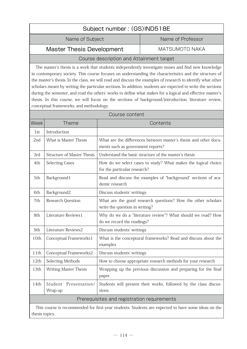| Subject number: (GS)IND518E                        |  |  |
|----------------------------------------------------|--|--|
| Name of Professor<br>Name of Subject               |  |  |
| <b>Master Thesis Development</b><br>MATSUMOTO NAKA |  |  |
| Course deparintion and Attainment terrest          |  |  |

The master's thesis is a work that students independently investigate issues and find new knowledge in contemporary society. This course focuses on understanding the characteristics and the structure of the master's thesis. In the class, we will read and discuss the examples of research to identify what other scholars meant by writing the particular sections. In addition, students are expected to write the sections during the semester, and read the others' works to define what makes for a logical and effective master's thesis. In this course, we will focus on the sections of background/introduction, literature review, conceptual frameworks, and methodology.

| Course content                              |                                                                                                     |                                                                                                       |  |
|---------------------------------------------|-----------------------------------------------------------------------------------------------------|-------------------------------------------------------------------------------------------------------|--|
| Week                                        | Theme<br>Contents                                                                                   |                                                                                                       |  |
| 1st                                         | Introduction                                                                                        |                                                                                                       |  |
| 2nd                                         | What is Master Thesis                                                                               | What are the differences between master's thesis and other docu-<br>ments such as government reports? |  |
| 3rd                                         | <b>Structure of Master Thesis</b>                                                                   | Understand the basic stracture of the master's thesis                                                 |  |
| 4th                                         | <b>Selecting Cases</b>                                                                              | How do we select cases to study? What makes the logical choice<br>for the particular research?        |  |
| 5th                                         | Background1                                                                                         | Read and discuss the examples of "background" sections of aca-<br>demic research                      |  |
| 6th                                         | Background2                                                                                         | Discuss students' writings                                                                            |  |
| 7th                                         | Research Question                                                                                   | What are the good research questions? How the other scholars<br>write the question in writing?        |  |
| 8th                                         | Literature Reviews1                                                                                 | Why do we do a "literature review"? What should we read? How<br>do we record the readings?            |  |
| 9th                                         | Literature Reviews2                                                                                 | Discuss students' writings                                                                            |  |
| 10th                                        | Conceptual Frameworks1                                                                              | What is the conceptural frameworks? Read and discuss about the<br>examples                            |  |
| 11th                                        | Conceptual Frameworks2                                                                              | Discuss students' writings                                                                            |  |
| 12th                                        | Selecting Methods                                                                                   | How to choose appropriate research methods for your research                                          |  |
| 13th                                        | <b>Writing Master Thesis</b>                                                                        | Wrapping up the previous discussion and preparing for the final<br>paper.                             |  |
| 14th                                        | Student<br>Presentation/<br>Wrap-up                                                                 | Students will present their works, followed by the class discus-<br>sions.                            |  |
| Prerequisites and registration requirements |                                                                                                     |                                                                                                       |  |
|                                             | This course is recommended for first-year students. Students are expected to have some ideas on the |                                                                                                       |  |

thesis topics.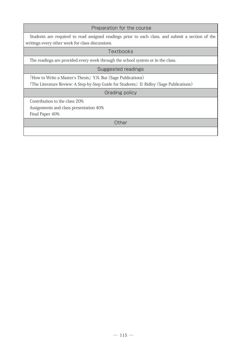| Preparation for the course                                                                       |  |  |  |
|--------------------------------------------------------------------------------------------------|--|--|--|
| Students are required to read assigned readings prior to each class, and submit a section of the |  |  |  |
| writings every other week for class discussions.                                                 |  |  |  |
| Textbooks                                                                                        |  |  |  |
| The readings are provided every week through the school system or in the class.                  |  |  |  |
| Suggested readings                                                                               |  |  |  |
| <b>Thow to Write a Master's Thesis</b> Y.N. Bui (Sage Publications)                              |  |  |  |
| 『The Literature Review: A Step-by-Step Guide for Students』D. Ridley (Sage Publications)          |  |  |  |
| Grading policy                                                                                   |  |  |  |
| Contribution to the class 20%                                                                    |  |  |  |
| Assignments and class presentation 40%                                                           |  |  |  |
| Final Paper 40%                                                                                  |  |  |  |
| Other                                                                                            |  |  |  |
|                                                                                                  |  |  |  |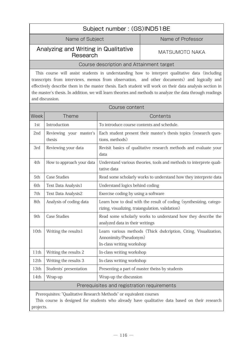| Subject number: (GS)IND518E                                                                                                                                                                                                                                                                                                                                                                                                               |                                                  |                                                                                                                        |                                                |
|-------------------------------------------------------------------------------------------------------------------------------------------------------------------------------------------------------------------------------------------------------------------------------------------------------------------------------------------------------------------------------------------------------------------------------------------|--------------------------------------------------|------------------------------------------------------------------------------------------------------------------------|------------------------------------------------|
|                                                                                                                                                                                                                                                                                                                                                                                                                                           | Name of Subject<br>Name of Professor             |                                                                                                                        |                                                |
|                                                                                                                                                                                                                                                                                                                                                                                                                                           | Analyzing and Writing in Qualitative<br>Research |                                                                                                                        | <b>MATSUMOTO NAKA</b>                          |
|                                                                                                                                                                                                                                                                                                                                                                                                                                           |                                                  | Course description and Attainment target                                                                               |                                                |
| This course will assist students in understanding how to interpret qualitative data (including<br>transcripts from interviews, memos from observation, and other documents) and logically and<br>effectively describe them in the master thesis. Each student will work on their data analysis section in<br>the master's thesis. In addition, we will learn theories and methods to analyze the data through readings<br>and discussion. |                                                  |                                                                                                                        |                                                |
|                                                                                                                                                                                                                                                                                                                                                                                                                                           |                                                  | Course content                                                                                                         |                                                |
| Week                                                                                                                                                                                                                                                                                                                                                                                                                                      | <b>Theme</b>                                     |                                                                                                                        | Contents                                       |
| 1st                                                                                                                                                                                                                                                                                                                                                                                                                                       | Introduction                                     | To introduce course contents and schedule.                                                                             |                                                |
| 2nd                                                                                                                                                                                                                                                                                                                                                                                                                                       | Reviewing your master's<br>thesis                | Each student present their master's thesis topics (research ques-<br>tions, methods)                                   |                                                |
| 3rd                                                                                                                                                                                                                                                                                                                                                                                                                                       | Reviewing your data                              | Revisit basics of qualitative research methods and evaluate your<br>data                                               |                                                |
| 4th                                                                                                                                                                                                                                                                                                                                                                                                                                       | How to approach your data                        | Understand various theories, tools and methods to interprete quali-<br>tative data                                     |                                                |
| 5th                                                                                                                                                                                                                                                                                                                                                                                                                                       | <b>Case Studies</b>                              | Read some scholarly works to understand how they interprete data                                                       |                                                |
| 6th                                                                                                                                                                                                                                                                                                                                                                                                                                       | Text Data Analysis1                              | Understand logics behind coding                                                                                        |                                                |
| 7th                                                                                                                                                                                                                                                                                                                                                                                                                                       | Text Data Analysis2                              | Exercise coding by using a software                                                                                    |                                                |
| 8th                                                                                                                                                                                                                                                                                                                                                                                                                                       | Analysis of coding data                          | Learn how to deal with the result of coding (synthesizing, catego-<br>rizing, visualizing, traiangulation, validation) |                                                |
| 9th                                                                                                                                                                                                                                                                                                                                                                                                                                       | <b>Case Studies</b>                              | Read some scholarly works to understand how they describe the<br>analyzed data in their writings                       |                                                |
| 10th                                                                                                                                                                                                                                                                                                                                                                                                                                      | Writing the results1                             | Learn various methods (Thick dsdcription, Citing, Visualization,<br>Annonimity/Pseudonym)<br>In-class writing workshop |                                                |
| 11th                                                                                                                                                                                                                                                                                                                                                                                                                                      | Writing the results 2                            | In-class writing workshop                                                                                              |                                                |
| 12th                                                                                                                                                                                                                                                                                                                                                                                                                                      | Writing the results 3                            | In-class writing workshop                                                                                              |                                                |
| 13th                                                                                                                                                                                                                                                                                                                                                                                                                                      | Students' presentation                           |                                                                                                                        | Presenting a part of master theiss by students |
| 14th                                                                                                                                                                                                                                                                                                                                                                                                                                      | Wrap-up                                          | Wrap-up the discussion                                                                                                 |                                                |
| Prerequisites and registration requirements                                                                                                                                                                                                                                                                                                                                                                                               |                                                  |                                                                                                                        |                                                |
| Prerequisites: "Qualitative Research Methods" or equivalent courses<br>This course is designed for students who already have qualitative data based on their research<br>projects.                                                                                                                                                                                                                                                        |                                                  |                                                                                                                        |                                                |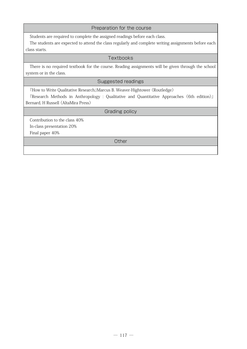#### Preparation for the course

Students are required to complete the assigned readings before each class.

The students are expected to attend the class regularly and complete writing assignments before each class starts.

#### **Textbooks**

There is no required textbook for the course. Reading assignments will be given through the school system or in the class.

#### Suggested readings

『How to Write Qualitative Research』Marcus B. Weaver-Hightower (Routledge)

『Research Methods in Anthropology : Qualitative and Quantitative Approaches (6th edition)』 Bernard, H Russell (AltaMira Press)

Grading policy

Contribution to the class 40% In-class presentation 20%

Final paper 40%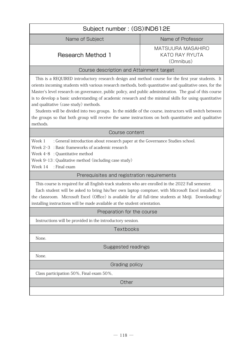| Subject number: (GS)IND612E                                                                                                                                                                                                                                                                                                                                                                                                                                                                                                                                                                                                                                                                                 |                                                                |  |
|-------------------------------------------------------------------------------------------------------------------------------------------------------------------------------------------------------------------------------------------------------------------------------------------------------------------------------------------------------------------------------------------------------------------------------------------------------------------------------------------------------------------------------------------------------------------------------------------------------------------------------------------------------------------------------------------------------------|----------------------------------------------------------------|--|
| Name of Subject                                                                                                                                                                                                                                                                                                                                                                                                                                                                                                                                                                                                                                                                                             | Name of Professor                                              |  |
| <b>Research Method 1</b>                                                                                                                                                                                                                                                                                                                                                                                                                                                                                                                                                                                                                                                                                    | <b>MATSUURA MASAHIRO</b><br><b>KATO RAY RYUTA</b><br>(Omnibus) |  |
| Course description and Attainment target                                                                                                                                                                                                                                                                                                                                                                                                                                                                                                                                                                                                                                                                    |                                                                |  |
| This is a REQUIRED introductory research design and method course for the first year students. It<br>orients incoming students with various research methods, both quantitative and qualitative ones, for the<br>Master's level research on governance, public policy, and public administration. The goal of this course<br>is to develop a basic understanding of academic research and the minimal skills for using quantitative<br>and qualitative (case study) methods.<br>Students will be divided into two groups. In the middle of the course, instructors will switch between<br>the groups so that both group will receive the same instructions on both quantitative and qualitative<br>methods. |                                                                |  |
| Course content                                                                                                                                                                                                                                                                                                                                                                                                                                                                                                                                                                                                                                                                                              |                                                                |  |
| Week 1<br>: General introduction about research paper at the Governance Studies school.<br>Week 2-3 : Basic frameworks of academic research<br>Week 4-8 : Quantitative method<br>Week 9-13: Qualitative method (including case study)<br>: Final exam<br>Week 14                                                                                                                                                                                                                                                                                                                                                                                                                                            |                                                                |  |
| Prerequisites and registration requirements                                                                                                                                                                                                                                                                                                                                                                                                                                                                                                                                                                                                                                                                 |                                                                |  |
| This course is required for all English-track students who are enrolled in the 2022 Fall semester.<br>Each student will be asked to bring his/her own laptop comptuer, with Microsoft Excel installed, to<br>the classroom. Microsoft Excel (Office) is available for all full-time students at Meiji. Downloading/<br>installing instructions will be made available at the student orientation.                                                                                                                                                                                                                                                                                                           |                                                                |  |
| Preparation for the course                                                                                                                                                                                                                                                                                                                                                                                                                                                                                                                                                                                                                                                                                  |                                                                |  |
| Instructions will be provided in the introductory session.                                                                                                                                                                                                                                                                                                                                                                                                                                                                                                                                                                                                                                                  |                                                                |  |
| <b>Textbooks</b>                                                                                                                                                                                                                                                                                                                                                                                                                                                                                                                                                                                                                                                                                            |                                                                |  |
| None.                                                                                                                                                                                                                                                                                                                                                                                                                                                                                                                                                                                                                                                                                                       |                                                                |  |
| Suggested readings                                                                                                                                                                                                                                                                                                                                                                                                                                                                                                                                                                                                                                                                                          |                                                                |  |
| None.                                                                                                                                                                                                                                                                                                                                                                                                                                                                                                                                                                                                                                                                                                       |                                                                |  |
| Grading policy                                                                                                                                                                                                                                                                                                                                                                                                                                                                                                                                                                                                                                                                                              |                                                                |  |
| Class participation 50%, Final exam 50%,                                                                                                                                                                                                                                                                                                                                                                                                                                                                                                                                                                                                                                                                    |                                                                |  |
| Other                                                                                                                                                                                                                                                                                                                                                                                                                                                                                                                                                                                                                                                                                                       |                                                                |  |
|                                                                                                                                                                                                                                                                                                                                                                                                                                                                                                                                                                                                                                                                                                             |                                                                |  |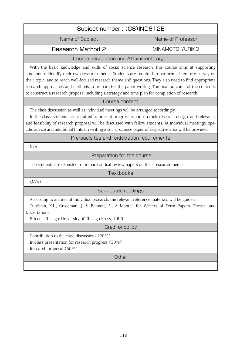| Subject number: (GS)IND612E                                                                                                                                                                                                                                                                                                                                                                                                                                                                                                    |                   |  |
|--------------------------------------------------------------------------------------------------------------------------------------------------------------------------------------------------------------------------------------------------------------------------------------------------------------------------------------------------------------------------------------------------------------------------------------------------------------------------------------------------------------------------------|-------------------|--|
| Name of Subject                                                                                                                                                                                                                                                                                                                                                                                                                                                                                                                | Name of Professor |  |
| <b>Research Method 2</b>                                                                                                                                                                                                                                                                                                                                                                                                                                                                                                       | MINAMOTO YURIKO   |  |
| Course description and Attainment target                                                                                                                                                                                                                                                                                                                                                                                                                                                                                       |                   |  |
| With the basic knowledge and skills of social science research, this course aims at supporting<br>students to identify their own research theme. Students are required to perform a literature survey on<br>their topic, and to reach well-focused research theme and questions. They also need to find appropriate<br>research approaches and methods to prepare for the paper writing. The final outcome of the course is<br>to construct a research proposal including a strategy and time plan for completion of research. |                   |  |
| Course content                                                                                                                                                                                                                                                                                                                                                                                                                                                                                                                 |                   |  |
| The class discussion as well as individual meetings will be arranged accordingly.<br>In the class, students are required to present progress report on their research design, and relevance<br>and feasibility of research proposal will be discussed with fellow students. At individual meetings, spe-<br>cific advice and additional hints on writing a social science paper of respective area will be provided.                                                                                                           |                   |  |
| Prerequisites and registration requirements                                                                                                                                                                                                                                                                                                                                                                                                                                                                                    |                   |  |
| N/A                                                                                                                                                                                                                                                                                                                                                                                                                                                                                                                            |                   |  |
| Preparation for the course                                                                                                                                                                                                                                                                                                                                                                                                                                                                                                     |                   |  |
| The students are expected to prepare critical review papers on their research theme.                                                                                                                                                                                                                                                                                                                                                                                                                                           |                   |  |
| Textbooks                                                                                                                                                                                                                                                                                                                                                                                                                                                                                                                      |                   |  |
| (N/A)                                                                                                                                                                                                                                                                                                                                                                                                                                                                                                                          |                   |  |
| Suggested readings                                                                                                                                                                                                                                                                                                                                                                                                                                                                                                             |                   |  |
| According to an area of individual research, the relevant reference materials will be guided.<br>Turabian, K.L., Grossman, J. & Bennett, A., A Manual for Writers of Term Papers, Theses, and<br>Dissertations.<br>6th ed., Chicago: University of Chicago Press, 1996                                                                                                                                                                                                                                                         |                   |  |
| Grading policy                                                                                                                                                                                                                                                                                                                                                                                                                                                                                                                 |                   |  |
| Contribution to the class discussions (20%)<br>In-class presentation for research progress (30%)<br>Research proposal (50%)                                                                                                                                                                                                                                                                                                                                                                                                    |                   |  |
| Other                                                                                                                                                                                                                                                                                                                                                                                                                                                                                                                          |                   |  |
|                                                                                                                                                                                                                                                                                                                                                                                                                                                                                                                                |                   |  |
|                                                                                                                                                                                                                                                                                                                                                                                                                                                                                                                                |                   |  |

 $\lceil$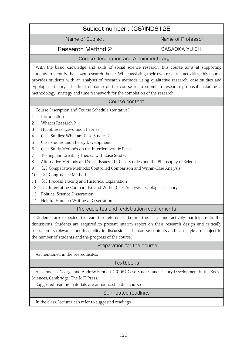| Subject number: (GS)IND612E                                                                                                                                                                                                                                                                                                                                                                                                                                                                                                                                                                                                                                                                                                                                         |                       |  |
|---------------------------------------------------------------------------------------------------------------------------------------------------------------------------------------------------------------------------------------------------------------------------------------------------------------------------------------------------------------------------------------------------------------------------------------------------------------------------------------------------------------------------------------------------------------------------------------------------------------------------------------------------------------------------------------------------------------------------------------------------------------------|-----------------------|--|
| Name of Subject                                                                                                                                                                                                                                                                                                                                                                                                                                                                                                                                                                                                                                                                                                                                                     | Name of Professor     |  |
| <b>Research Method 2</b>                                                                                                                                                                                                                                                                                                                                                                                                                                                                                                                                                                                                                                                                                                                                            | <b>SASAOKA YUICHI</b> |  |
| Course description and Attainment target                                                                                                                                                                                                                                                                                                                                                                                                                                                                                                                                                                                                                                                                                                                            |                       |  |
| With the basic knowledge and skills of social science research, this course aims at supporting<br>students to identify their own research theme. While assisting their own research activities, this course<br>provides students with an analysis of research methods using qualitative research, case studies and<br>typological theory. The final outcome of the course is to submit a research proposal including a<br>methodology, strategy and time framework for the completion of the research.                                                                                                                                                                                                                                                              |                       |  |
| Course content                                                                                                                                                                                                                                                                                                                                                                                                                                                                                                                                                                                                                                                                                                                                                      |                       |  |
| Course Discription and Course Schedule (tentative)<br>Introduction<br>1<br>What is Research?<br>2<br>3<br>Hypotheses, Laws, and Theories<br>Case Studies: What are Case Studies?<br>$\overline{4}$<br>5<br>Case studies and Theory Development<br>Case Study Methods on the Interdemocratic Peace.<br>6<br>7<br>Testing and Creating Theoies with Case Studies<br>Alternative Methods and Select Issues (1) Case Studies and the Philosophy of Science<br>8<br>9<br>(2) Comparative Methods: Controlled Comparison and Within-Case Analysis<br>(3) Congruence Method<br>10<br>(4) Process Tracing and Historical Explanation<br>11<br>(5) Integrating Comparative and Within-Case Analysis: Typological Theory<br>12<br><b>Political Science Dissertation</b><br>13 |                       |  |
| Helpful Hints on Writing a Dissertation<br>Prerequisites and registration requirements                                                                                                                                                                                                                                                                                                                                                                                                                                                                                                                                                                                                                                                                              |                       |  |
| Students are expected to read the references before the class and actively participate in the<br>discussions. Students are required to present interim report on their research design and critically<br>reflect on its relevance and feasibility in discussions. The course contents and class style are subject to<br>the number of students and the progress of the course.                                                                                                                                                                                                                                                                                                                                                                                      |                       |  |
| Preparation for the course                                                                                                                                                                                                                                                                                                                                                                                                                                                                                                                                                                                                                                                                                                                                          |                       |  |
| As mentioned in the prerequisites.                                                                                                                                                                                                                                                                                                                                                                                                                                                                                                                                                                                                                                                                                                                                  |                       |  |
| Textbooks                                                                                                                                                                                                                                                                                                                                                                                                                                                                                                                                                                                                                                                                                                                                                           |                       |  |
| Alexander L. George and Andrew Bennett (2005) Case Studies and Theory Development in the Social<br>Sciences, Cambridge: The MIT Press.<br>Suggested reading materials are announced in due course.                                                                                                                                                                                                                                                                                                                                                                                                                                                                                                                                                                  |                       |  |
| Suggested readings                                                                                                                                                                                                                                                                                                                                                                                                                                                                                                                                                                                                                                                                                                                                                  |                       |  |

In the class, lecturer can refer to suggested readings.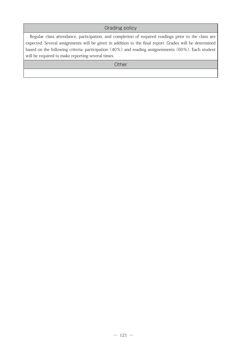# Grading policy

Regular class attendance, participation, and completion of required readings prior to the class are expected. Several assignments will be given in addition to the final report. Grades will be determined based on the following criteria: participation (40%) and reading assignemnents (60%). Each student will be required to make reporting several times.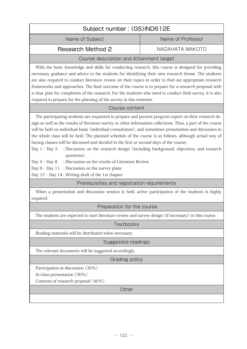| Subject number: (GS)IND612E |                   |
|-----------------------------|-------------------|
| Name of Subject             | Name of Professor |
| Research Method 2           | NAGAHATA MAKOTO   |

With the basic knowledge and skills for conducting research, this course is designed for providing necessary guidance and advice to the students for identifying their own research theme. The students are also required to conduct literature review on their topics in order to find out appropriate research frameworks and approaches. The final outcome of the course is to prepare for a research proposal with a clear plan for completion of the research. For the students who need to conduct field survey, it is also required to prepare for the planning of the survey in this semester.

## Course content

 The participating students are requested to prepare and present progress report on their research design as well as the results of literature survey or other information collections. Thus, a part of the course will be held on individual basis (individual consultation), and sometimes presentation and discussion in the whole class will be held. The planned schedule of the course is as follows, although actual way of having classes will be discussed and decided in the first or second days of the course;

Day 1 - Day 3 : Discussion on the research design (including background, objectives, and research questions)

Day 4 - Day 8 : Discussion on the results of Literature Review

Day  $9$  – Day  $11$  : Discussion on the survey plans

Day 12 - Day 14 : Writing draft of the 1st chapter

Prerequisites and registration requirements

When a presentation and discussion session is held, active participation of the students is highly required.

#### Preparation for the course

The students are expected to start literature review and survey design (if necessary) in this course.

#### Textbooks

Reading materials will be distributed when necessary.

#### Suggested readings

The relevant documents will be suggested accordingly.

#### Grading policy

Participation in discussion (30%)

In-class presentation (30%)

Contents of research proposal (40%)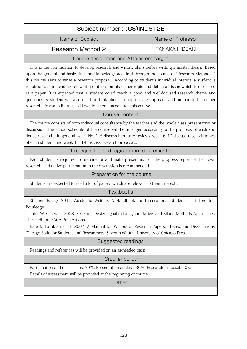| Subject number: (GS)IND612E              |                   |  |
|------------------------------------------|-------------------|--|
| Name of Subject                          | Name of Professor |  |
| Research Method 2<br>TANAKA HIDEAKI      |                   |  |
| Course description and Attainment target |                   |  |

This is the continuation to develop research and writing skills before writing a master thesis. Based upon the general and basic skills and knowledge acquired through the course of "Research Method 1", this course aims to write a research proposal. According to student's individual interest, a student is required to start reading relevant literatures on his or her topic and define an issue which is discussed in a paper. It is expected that a student could reach a good and well-focused research theme and questions. A student will also need to think about an appropriate approach and method in his or her research. Research literacy skill would be enhanced after this course.

## Course content

 The course consists of both individual consultancy by the teacher and the whole class presentation or discussion. The actual schedule of the course will be arranged according to the progress of each student's research. In general, week No. 1-5 discuss literature reviews, week 6-10 discuss research topics of each student, and week 11-14 discuss research proposals.

## Prerequisites and registration requirements

Each student is required to prepare for and make presentaion on the progress report of their own research, and active participation in the discussion is recommended.

#### Preparation for the course

Students are expected to read a lot of papers which are relevant to their interests.

#### Textbooks

Stephen Bailey, 2011, Academic Writing: A Handbook for International Students, Third edition, Routledge

John W. Creswell, 2008, Research Design: Qualitative, Quantitative, and Mixed Methods Approaches, Third edition, SAGA Publications

Kate L. Turabian et al., 2007, A Manual for Writers of Research Papers, Theses, and Dissertations: Chicago Style for Students and Researchers, Seventh edition, University of Chicago Press

# Suggested readings

Readings and references will be provided on an as-needed basis.

# Grading policy

Participation and discussions: 20%, Presentation at class: 30%, Research proposal: 50% Details of assessment will be provided at the beginning of course.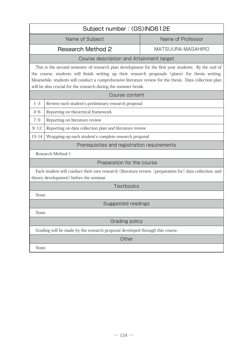| Subject number: (GS)IND612E                                                                                                                                                                                                                                                                                                                                                          |                                                         |                          |  |
|--------------------------------------------------------------------------------------------------------------------------------------------------------------------------------------------------------------------------------------------------------------------------------------------------------------------------------------------------------------------------------------|---------------------------------------------------------|--------------------------|--|
|                                                                                                                                                                                                                                                                                                                                                                                      | Name of Subject                                         | Name of Professor        |  |
|                                                                                                                                                                                                                                                                                                                                                                                      | <b>Research Method 2</b>                                | <b>MATSUURA MASAHIRO</b> |  |
|                                                                                                                                                                                                                                                                                                                                                                                      | Course description and Attainment target                |                          |  |
| This is the second semester of research plan development for the first year students. By the end of<br>the course, students will finish writing up their research proposals (plans) for thesis writing.<br>Meanwhile, students will conduct a comprehensive literature review for the thesis. Data collection plan<br>will be also crucial for the research during the summer break. |                                                         |                          |  |
| Course content                                                                                                                                                                                                                                                                                                                                                                       |                                                         |                          |  |
| $1 - 3$                                                                                                                                                                                                                                                                                                                                                                              | Review each student's preliminary research proposal     |                          |  |
| $4 - 6$                                                                                                                                                                                                                                                                                                                                                                              | Reporting on theoretical framework                      |                          |  |
| $7 - 9$                                                                                                                                                                                                                                                                                                                                                                              | Reporting on literature review                          |                          |  |
| $9 - 12$                                                                                                                                                                                                                                                                                                                                                                             | Reporting on data collection plan and literature review |                          |  |
| $13 - 14$                                                                                                                                                                                                                                                                                                                                                                            | Wrapping-up each student's complete research proposal   |                          |  |
| Prerequisites and registration requirements                                                                                                                                                                                                                                                                                                                                          |                                                         |                          |  |
| Research Method 1                                                                                                                                                                                                                                                                                                                                                                    |                                                         |                          |  |
|                                                                                                                                                                                                                                                                                                                                                                                      | Preparation for the course                              |                          |  |
| Each student will conduct their own research (literature review, [preparation for] data collection, and<br>theory development) before the seminar.                                                                                                                                                                                                                                   |                                                         |                          |  |
| Textbooks                                                                                                                                                                                                                                                                                                                                                                            |                                                         |                          |  |
| None.                                                                                                                                                                                                                                                                                                                                                                                |                                                         |                          |  |
| Suggested readings                                                                                                                                                                                                                                                                                                                                                                   |                                                         |                          |  |
| None.                                                                                                                                                                                                                                                                                                                                                                                |                                                         |                          |  |
| Grading policy                                                                                                                                                                                                                                                                                                                                                                       |                                                         |                          |  |
| Grading will be made by the research proposal developed through this course.                                                                                                                                                                                                                                                                                                         |                                                         |                          |  |
| Other                                                                                                                                                                                                                                                                                                                                                                                |                                                         |                          |  |
|                                                                                                                                                                                                                                                                                                                                                                                      | None.                                                   |                          |  |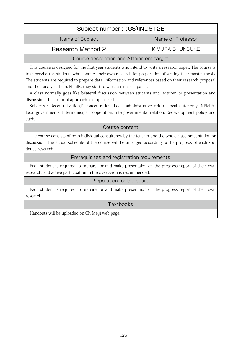| Subject number: (GS)IND612E |                   |  |
|-----------------------------|-------------------|--|
| Name of Subject             | Name of Professor |  |
| Research Method 2           | KIMURA SHUNSUKE   |  |

This course is designed for the first year students who intend to write a research paper. The course is to supervise the students who conduct their own research for preparation of writing their master thesis. The students are required to prepare data, information and references based on their research proposal and then analyze them. Finally, they start to write a research paper.

A class normally goes like bilateral discussion between students and lecturer, or presentation and discussion, thus tutorial approach is emphasized.

Subjects : Decentralization,Deconcentration, Local administrative reform,Local autonomy, NPM in local governments, Intermunicipal cooperation, Intergovernmental relation, Redevelopment policy and such.

#### Course content

 The course consists of both individual consultancy by the teacher and the whole class presentation or discussion. The actual schedule of the course will be arranged according to the progress of each student's research.

## Prerequisites and registration requirements

Each student is required to prepare for and make presentaion on the progress report of their own research, and active participation in the discussion is recommended.

#### Preparation for the course

Each student is required to prepare for and make presentaion on the progress report of their own research.

#### **Textbooks**

Handouts will be uploaded on Oh!Meiji web page.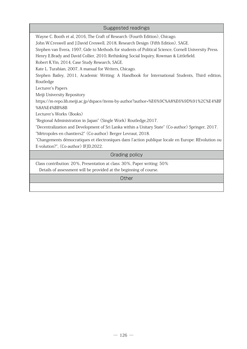| Suggested readings                                                                                    |
|-------------------------------------------------------------------------------------------------------|
| Wayne C. Booth et al, 2016, The Craft of Research (Fourth Edition), Chicago.                          |
| John W.Creswell and J.David Creswell, 2018, Research Design (Fifth Edition), SAGE.                    |
| Stephen van Evera, 1997, Gide to Methods for students of Political Science, Cornell University Press. |
| Henry E.Brady and David Collier, 2010, Rethinking Social Inquiry, Rowman & Littlefield.               |
| Robert K.Yin, 2014, Case Study Research, SAGE.                                                        |
| Kate L. Turabian, 2007, A manual for Writers, Chicago.                                                |
| Stephen Bailey, 2011, Academic Writing: A Handbook for International Students, Third edition,         |
| Routledge                                                                                             |
| Lecturer's Papers                                                                                     |
| Meiji University Repository                                                                           |
| https://m-repo.lib.meiji.ac.jp/dspace/items-by-author?author=%E6%9C%A8%E6%9D%91%2C%E4%BF              |
| %8A%E4%BB%8B                                                                                          |
| Lecturer's Works (Books)                                                                              |
| "Regional Administration in Japan" (Single Work) Routledge, 2017.                                     |
| "Decentralization and Development of Sri Lanka within a Unitary State" (Co-author) Springer, 2017.    |
| "Métropoles en chantiers2" (Co-author) Berger Levraut, 2018.                                          |
| "Changements démocratiques et électroniques dans l'action publique locale en Europe: REvolution ou    |
| E-volution?", (Co-author) IFJD,2022.                                                                  |
| Grading policy                                                                                        |
| Class contribution: 20%, Presentation at class: 30%, Paper writing: 50%                               |
| Details of assessment will be provided at the beginning of course.                                    |
| Other                                                                                                 |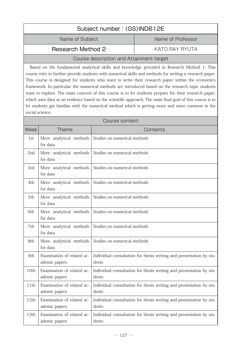| Subject number: (GS)IND612E                                                                                                                                                                                                                                                                                                                                                                                                                                                                                                                                                                                                                                                                                                                                     |                                                                  |                                          |                                                                     |
|-----------------------------------------------------------------------------------------------------------------------------------------------------------------------------------------------------------------------------------------------------------------------------------------------------------------------------------------------------------------------------------------------------------------------------------------------------------------------------------------------------------------------------------------------------------------------------------------------------------------------------------------------------------------------------------------------------------------------------------------------------------------|------------------------------------------------------------------|------------------------------------------|---------------------------------------------------------------------|
|                                                                                                                                                                                                                                                                                                                                                                                                                                                                                                                                                                                                                                                                                                                                                                 | Name of Subject                                                  |                                          | Name of Professor                                                   |
| <b>Research Method 2</b>                                                                                                                                                                                                                                                                                                                                                                                                                                                                                                                                                                                                                                                                                                                                        |                                                                  | <b>KATO RAY RYUTA</b>                    |                                                                     |
|                                                                                                                                                                                                                                                                                                                                                                                                                                                                                                                                                                                                                                                                                                                                                                 |                                                                  | Course description and Attainment target |                                                                     |
| Based on the fundamental analytical skills and knowledge provided in Research Method 1, This<br>course tries to further provide students with numerical skills and methods for writing a research paper.<br>This course is designed for students who want to write their research paper within the economics<br>framework. In particular the numerical methods are introduced based on the research topic students<br>want to explore. The main concern of this course is to let students prepare for their research paper,<br>which uses data as an evidence based on the scientific approach. The main final goal of this course is to<br>let students get familiar with the numerical method which is getting more and more common in the<br>social science. |                                                                  |                                          |                                                                     |
|                                                                                                                                                                                                                                                                                                                                                                                                                                                                                                                                                                                                                                                                                                                                                                 |                                                                  | Course content                           |                                                                     |
| <b>Week</b>                                                                                                                                                                                                                                                                                                                                                                                                                                                                                                                                                                                                                                                                                                                                                     | <b>Theme</b>                                                     |                                          | Contents                                                            |
| 1st                                                                                                                                                                                                                                                                                                                                                                                                                                                                                                                                                                                                                                                                                                                                                             | More analytical methods<br>for data                              | Studies on numerical methods             |                                                                     |
| 2nd                                                                                                                                                                                                                                                                                                                                                                                                                                                                                                                                                                                                                                                                                                                                                             | More analytical methods<br>for data                              | Studies on numerical methods             |                                                                     |
| 3rd                                                                                                                                                                                                                                                                                                                                                                                                                                                                                                                                                                                                                                                                                                                                                             | More analytical methods<br>for data                              | Studies on numerical methods             |                                                                     |
| 4th                                                                                                                                                                                                                                                                                                                                                                                                                                                                                                                                                                                                                                                                                                                                                             | More analytical methods<br>for data                              | Studies on numerical methods             |                                                                     |
| 5th                                                                                                                                                                                                                                                                                                                                                                                                                                                                                                                                                                                                                                                                                                                                                             | More analytical methods<br>for data                              | Studies on numerical methods             |                                                                     |
| 6th                                                                                                                                                                                                                                                                                                                                                                                                                                                                                                                                                                                                                                                                                                                                                             | More analytical methods Studies on numerical methods<br>for data |                                          |                                                                     |
| 7th                                                                                                                                                                                                                                                                                                                                                                                                                                                                                                                                                                                                                                                                                                                                                             | More analytical methods<br>for data                              | Studies on numerical methods             |                                                                     |
| 8th                                                                                                                                                                                                                                                                                                                                                                                                                                                                                                                                                                                                                                                                                                                                                             | More analytical methods<br>for data                              | Studies on numerical methods             |                                                                     |
| 9th                                                                                                                                                                                                                                                                                                                                                                                                                                                                                                                                                                                                                                                                                                                                                             | Examination of related ac-<br>ademic papers                      | dents                                    | Individual consultation for thesis writing and presentation by stu- |
| 10th                                                                                                                                                                                                                                                                                                                                                                                                                                                                                                                                                                                                                                                                                                                                                            | Examination of related ac-<br>ademic papers                      | dents                                    | Individual consultation for thesis writing and presentation by stu- |
| 11th                                                                                                                                                                                                                                                                                                                                                                                                                                                                                                                                                                                                                                                                                                                                                            | Examination of related ac-<br>ademic papers                      | dents                                    | Individual consultation for thesis writing and presentation by stu- |
| 12th                                                                                                                                                                                                                                                                                                                                                                                                                                                                                                                                                                                                                                                                                                                                                            | Examination of related ac-<br>ademic papers                      | dents                                    | Individual consultation for thesis writing and presentation by stu- |
| 13th                                                                                                                                                                                                                                                                                                                                                                                                                                                                                                                                                                                                                                                                                                                                                            | Examination of related ac-<br>ademic papers                      | dents                                    | Individual consultation for thesis writing and presentation by stu- |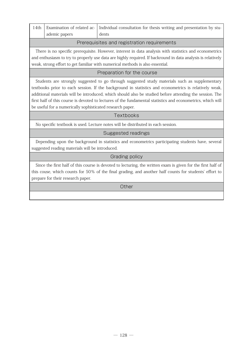|               | 14th   Examination of related ac-   Individual consultation for thesis writing and presentation by stu- |
|---------------|---------------------------------------------------------------------------------------------------------|
| ademic papers | dents                                                                                                   |

#### Prerequisites and registration requirements

There is no specific prerequisite. However, interest in data analysis with statistics and econometrics and enthusiasm to try to properly use data are highly required. If backround in data analysis is relatively weak, strong effort to get familiar with numerical methods is also essential.

## Preparation for the course

Students are strongly suggested to go through suggested study materials such as supplementary textbooks prior to each session. If the background in statistics and econometrics is relatively weak, additional materials will be introduced, which should also be studied before attending the session. The first half of this course is devoted to lectures of the fundamental statistics and econometrics, which will be useful for a numerically sophisticated research paper.

#### **Textbooks**

No specific textbook is used. Lecture notes will be distributed in each session.

## Suggested readings

Depending upon the background in statistics and econometrics participating students have, several suggested reading materials will be introduced.

#### Grading policy

Since the first half of this course is devoted to lecturing, the written exam is given for the first half of this couse, which counts for 50% of the final grading, and another half counts for students' effort to prepare for their research paper.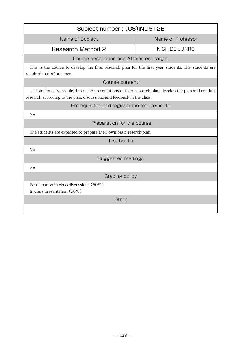| Subject number: (GS)IND612E                                                                                                                                                    |                   |  |
|--------------------------------------------------------------------------------------------------------------------------------------------------------------------------------|-------------------|--|
| Name of Subject                                                                                                                                                                | Name of Professor |  |
| <b>Research Method 2</b>                                                                                                                                                       | NISHIDE JUNRO     |  |
| Course description and Attainment target                                                                                                                                       |                   |  |
| This is the course to develop the final research plan for the first year students. The students are<br>required to draft a paper.                                              |                   |  |
| Course content                                                                                                                                                                 |                   |  |
| The students are required to make presentations of thier research plan, develop the plan and conduct<br>research according to the plan, discussions and feedback in the class. |                   |  |
| Prerequisites and registration requirements                                                                                                                                    |                   |  |
| <b>NA</b>                                                                                                                                                                      |                   |  |
| Preparation for the course                                                                                                                                                     |                   |  |
| The students are expected to prepare their own basic reserch plan.                                                                                                             |                   |  |
| Textbooks                                                                                                                                                                      |                   |  |
| <b>NA</b>                                                                                                                                                                      |                   |  |
| Suggested readings                                                                                                                                                             |                   |  |
| <b>NA</b>                                                                                                                                                                      |                   |  |
| <b>Grading policy</b>                                                                                                                                                          |                   |  |
| Participation in class discussions (50%)<br>In-class presentation (50%)                                                                                                        |                   |  |
| Other                                                                                                                                                                          |                   |  |
|                                                                                                                                                                                |                   |  |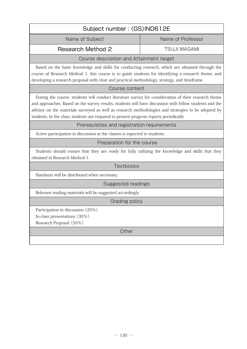| Subject number: (GS)IND612E                                                                                                                                                                                                                                                                                                                                                                                       |                     |  |
|-------------------------------------------------------------------------------------------------------------------------------------------------------------------------------------------------------------------------------------------------------------------------------------------------------------------------------------------------------------------------------------------------------------------|---------------------|--|
| Name of Subject                                                                                                                                                                                                                                                                                                                                                                                                   | Name of Professor   |  |
| <b>Research Method 2</b>                                                                                                                                                                                                                                                                                                                                                                                          | <b>TSUJI MASAMI</b> |  |
| Course description and Attainment target                                                                                                                                                                                                                                                                                                                                                                          |                     |  |
| Based on the basic knowledge and skills for conducting research, which are obtained through the<br>course of Research Method 1, this course is to guide students for identifying a research theme, and<br>developing a research proposal with clear and practical methodology, strategy, and timeframe.                                                                                                           |                     |  |
| Course content                                                                                                                                                                                                                                                                                                                                                                                                    |                     |  |
| During the course, students will conduct literature survey for consideration of their research theme<br>and approaches. Based on the survey results, students will have discussion with fellow students and the<br>advisor on the materials surveyed as well as research methodologies and strategies to be adopted by<br>students. In the class, students are required to present progress reports periodically. |                     |  |
| Prerequisites and registration requirements                                                                                                                                                                                                                                                                                                                                                                       |                     |  |
| Active participation in discussion at the classes is expected to students.                                                                                                                                                                                                                                                                                                                                        |                     |  |
| Preparation for the course                                                                                                                                                                                                                                                                                                                                                                                        |                     |  |
| Students should ensure that they are ready for fully utilizing the knowledge and skills that they<br>obtained in Research Method 1.                                                                                                                                                                                                                                                                               |                     |  |
| Textbooks                                                                                                                                                                                                                                                                                                                                                                                                         |                     |  |
| Handouts will be distributed when necessary.                                                                                                                                                                                                                                                                                                                                                                      |                     |  |
| Suggested readings                                                                                                                                                                                                                                                                                                                                                                                                |                     |  |
| Relevant reading materials will be suggested accordingly.                                                                                                                                                                                                                                                                                                                                                         |                     |  |
| Grading policy                                                                                                                                                                                                                                                                                                                                                                                                    |                     |  |
| Participation in discussion (20%)<br>In-class presentations (30%)<br>Research Proposal (50%)                                                                                                                                                                                                                                                                                                                      |                     |  |
| Other                                                                                                                                                                                                                                                                                                                                                                                                             |                     |  |
|                                                                                                                                                                                                                                                                                                                                                                                                                   |                     |  |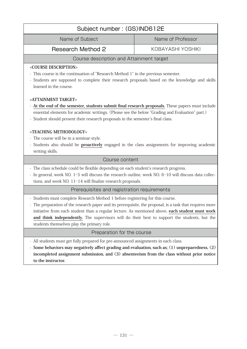| Subject number: (GS)IND612E                                                                                                                                                                                                                                                                                                                                                                                                               |                   |  |
|-------------------------------------------------------------------------------------------------------------------------------------------------------------------------------------------------------------------------------------------------------------------------------------------------------------------------------------------------------------------------------------------------------------------------------------------|-------------------|--|
| Name of Subject                                                                                                                                                                                                                                                                                                                                                                                                                           | Name of Professor |  |
| <b>Research Method 2</b>                                                                                                                                                                                                                                                                                                                                                                                                                  | KOBAYASHI YOSHIKI |  |
| Course description and Attainment target                                                                                                                                                                                                                                                                                                                                                                                                  |                   |  |
| <course description=""><br/>This course is the continuation of "Research Method 1" in the previous semester.<br/>- Students are supposed to complete their research proposals based on the knowledge and skills<br/>learned in the course.</course>                                                                                                                                                                                       |                   |  |
| <attainment target=""><br/>At the end of the semester, students submit final research proposals. These papers must include<br/>essential elements for academic writings. (Please see the below "Grading and Evaluation" part.)<br/>- Student should present their research proposals in the semester's final class.</attainment>                                                                                                          |                   |  |
| <teaching methodology=""><br/>- The course will be in a seminar-style.<br/>- Students also should be proactively engaged in the class assignments for improving academic<br/>writing skills.</teaching>                                                                                                                                                                                                                                   |                   |  |
| Course content                                                                                                                                                                                                                                                                                                                                                                                                                            |                   |  |
| - The class schedule could be flexible depending on each student's research progress.<br>- In general, week NO. 1-5 will discuss the research outline, week NO. 6-10 will discuss data collec-<br>tions, and week $NO. 11-14$ will finalize research proposals.                                                                                                                                                                           |                   |  |
| Prerequisites and registration requirements                                                                                                                                                                                                                                                                                                                                                                                               |                   |  |
| - Students must complete Research Method 1 before registering for this course.<br>The preparation of the research paper and its prerequisite, the proposal, is a task that requires more<br>initiative from each student than a regular lecture. As mentioned above, each student must work<br>and think independently. The supervisors will do their best to support the students, but the<br>students themselves play the primary role. |                   |  |
| Preparation for the course                                                                                                                                                                                                                                                                                                                                                                                                                |                   |  |
| - All students must get fully prepared for pre-announced assignments in each class.<br>- Some behaviors may negatively affect grading and evaluation, such as; (1) unpreparedness, (2)<br>incompleted assignment submission, and (3) absenteeism from the class without prior notice<br>to the instructor.                                                                                                                                |                   |  |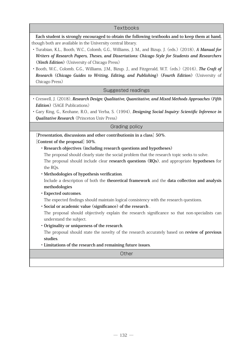#### **Textbooks**

**Each student is strongly encouraged to obtain the following textbooks and to keep them at hand,**  though both are available in the University central library.

- ・ Turabian, K.L., Booth, W.C., Colomb, G.G., Williams, J. M., and Bizup, J. (eds.) (2018), **A Manual for Writers of Research Papers, Theses, and Dissertations: Chicago Style for Students and Researchers (Ninth Edition)** (University of Chicago Press)
- ・ Booth, W.C., Colomb, G.G., Williams, J.M., Bizup. J., and Fitzgerald, W.T. (eds.) (2016), **The Craft of Research (Chicago Guides to Writing, Editing, and Publishing) (Fourth Edition)** (University of Chicago Press)

Suggested readings

- ・ Creswell, J. (2018), **Research Design: Qualitative, Quantitative, and Mixed Methods Approaches (Fifth Edition)** (SAGE Publications)
- ・ Gary King, G., Keohane, R.O., and Verba, S. (1994), **Designing Social Inquiry: Scientific Inference in Qualitative Research** (Princeton Univ Press)

#### Grading policy

**[Presentation, discussions and other contributionin in a class] 50%**.

**[Content of the proposal] 50%**.

**・Research objectives (including research questions and hypotheses)** 

 The proposal should clearly state the social problem that the research topic seeks to solve. The proposal should include clear **research questions (RQs)**, and appropriate **hypotheses** for the RQs.

**・Methodologies of hypothesis verification**.

 Include a description of both the **theoretical framework** and the **data collection and analysis methodologies**

#### **・Expected outcomes**.

The expected findings should maintain logical consistency with the research questions.

**・Social or academic value (significance) of the research** .

 The proposal should objectively explain the research significance so that non-specialists can understand the subject.

**・Originality or uniqueness of the research**.

 The proposal should state the novelty of the research accurately based on **review of previous studies**.

**・Limitations of the research and remaining future issues**.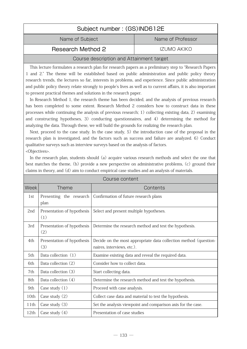| Subject number: (GS)IND612E              |                   |  |
|------------------------------------------|-------------------|--|
| Name of Subject                          | Name of Professor |  |
| Research Method 2                        | IZUMO AKIKO       |  |
| Course description and Attainment target |                   |  |

# Bonpuon and Attainment

This lecture formulates a research plan for research papers as a preliminary step to "Research Papers 1 and 2." The theme will be established based on public administration and public policy theory research trends, the lectures so far, interests in problems, and experience. Since public administration and public policy theory relate strongly to people's lives as well as to current affairs, it is also important to present practical themes and solutions in the research paper.

In Research Method 1, the research theme has been decided, and the analysis of previous research has been completed to some extent. Research Method 2 considers how to construct data in these processes while continuing the analysis of previous research; 1) collecting existing data, 2) examining and constructing hypotheses, 3) conducting questionnaires, and 4) determining the method for analyzing the data. Through these, we will build the grounds for realizing the research plan.

Next, proceed to the case study. In the case study, 5) the introduction case of the proposal in the research plan is investigated, and the factors such as success and failure are analyzed. 6) Conduct qualitative surveys such as interview surveys based on the analysis of factors. <Objectives>.

In the research plan, students should (a) acquire various research methods and select the one that best matches the theme, (b) provide a new perspective on administrative problems, (c) ground their claims in theory, and (d) aim to conduct empirical case studies and an analysis of materials.

Course content

|      | OUUI JE UUITEITI                  |                                                                                                |  |
|------|-----------------------------------|------------------------------------------------------------------------------------------------|--|
| Week | Theme                             | Contents                                                                                       |  |
| 1st  | Presenting the research<br>plan   | Confirmation of future research plans                                                          |  |
| 2nd  | Presentation of hypothesis<br>(1) | Select and present multiple hypotheses.                                                        |  |
| 3rd  | Presentation of hypothesis<br>(2) | Determine the research method and test the hypothesis.                                         |  |
| 4th  | Presentation of hypothesis<br>(3) | Decide on the most appropriate data collection method (question-<br>naires, interviews, etc.). |  |
| 5th  | Data collection (1)               | Examine existing data and reveal the required data.                                            |  |
| 6th  | Data collection (2)               | Consider how to collect data.                                                                  |  |
| 7th  | Data collection (3)               | Start collecting data.                                                                         |  |
| 8th  | Data collection $(4)$             | Determine the research method and test the hypothesis.                                         |  |
| 9th  | Case study $(1)$                  | Proceed with case analysis.                                                                    |  |
| 10th | Case study $(2)$                  | Collect case data and material to test the hypothesis.                                         |  |
| 11th | Case study (3)                    | Set the analysis viewpoint and comparison axis for the case.                                   |  |
| 12th | Case study $(4)$                  | Presentation of case studies                                                                   |  |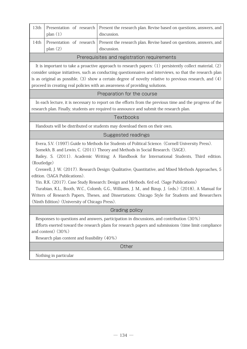| 13th | plan $(1)$                                                      | Presentation of research   Present the research plan. Revise based on questions, answers, and  <br>discussion. |  |
|------|-----------------------------------------------------------------|----------------------------------------------------------------------------------------------------------------|--|
| 14th | plan $(2)$                                                      | Presentation of research   Present the research plan. Revise based on questions, answers, and  <br>discussion. |  |
|      | Darang an iterate a consel as alternations are an impact of the |                                                                                                                |  |

#### Prerequisites and registration requirements

It is important to take a proactive approach to research papers: (1) persistently collect material, (2) consider unique initiatives, such as conducting questionnaires and interviews, so that the research plan is as original as possible, (3) show a certain degree of novelty relative to previous research, and (4) proceed in creating real policies with an awareness of providing solutions.

#### Preparation for the course

In each lecture, it is necessary to report on the efforts from the previous time and the progress of the research plan. Finally, students are required to announce and submit the research plan.

## Textbooks

Handouts will be distributed or students may download them on their own.

## Suggested readings

Evera, S.V. (1997).Guide to Methods for Students of Political Science. (Cornell University Press). Somekh, B. and Lewin, C. (2011) Theory and Methods in Social Research. (SAGE).

Bailey, S. (2011). Academic Writing: A Handbook for International Students, Third edition. (Routledge)

Creswell, J. W. (2017). Research Design: Qualitative, Quantitative, and Mixed Methods Approaches, 5 edition. (SAGA Publications).

Yin. R.K. (2017). Case Study Research: Design and Methods. 6rd ed. (Sage Publications)

Turabian, K.L., Booth, W.C., Colomb, G.G., Williams, J. M., and Bizup, J. (eds.) (2018), A Manual for Writers of Research Papers, Theses, and Dissertations: Chicago Style for Students and Researchers (Ninth Edition) (University of Chicago Press).

Grading policy

Responses to questions and answers, participation in discussions, and contribution (30%)

Efforts exerted toward the research plans for research papers and submissions (time limit compliance and content) (30%)

Research plan content and feasibility (40%)

**Other** 

Nothing in particular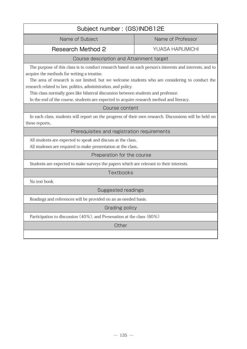| Subject number: (GS)IND612E                                                                                                                                                                                                                                                                                                                                                                                                                                                                                   |                        |  |
|---------------------------------------------------------------------------------------------------------------------------------------------------------------------------------------------------------------------------------------------------------------------------------------------------------------------------------------------------------------------------------------------------------------------------------------------------------------------------------------------------------------|------------------------|--|
| Name of Subject                                                                                                                                                                                                                                                                                                                                                                                                                                                                                               | Name of Professor      |  |
| <b>Research Method 2</b>                                                                                                                                                                                                                                                                                                                                                                                                                                                                                      | <b>YUASA HARUMICHI</b> |  |
| Course description and Attainment target                                                                                                                                                                                                                                                                                                                                                                                                                                                                      |                        |  |
| The purpose of this class is to conduct research based on each person's interests and interests, and to<br>acquire the methods for writing a treatise.<br>The area of research is not limited, but we welcome students who are considering to conduct the<br>research related to law, politics, administration, and policy.<br>This class normally goes like bilateral discussion between students and professor.<br>In the end of the course, students are expected to acquire research method and literacy. |                        |  |
| Course content                                                                                                                                                                                                                                                                                                                                                                                                                                                                                                |                        |  |
| In each class, students will report on the progress of their own research. Discussions will be held on<br>these reports                                                                                                                                                                                                                                                                                                                                                                                       |                        |  |
| Prerequisites and registration requirements                                                                                                                                                                                                                                                                                                                                                                                                                                                                   |                        |  |
| All students are expected to speak and discuss at the class<br>All studenes are required to make presentation at the class                                                                                                                                                                                                                                                                                                                                                                                    |                        |  |
| Preparation for the course                                                                                                                                                                                                                                                                                                                                                                                                                                                                                    |                        |  |
| Students are expected to make surveys the papers which are relevant to their interests.                                                                                                                                                                                                                                                                                                                                                                                                                       |                        |  |
| Textbooks                                                                                                                                                                                                                                                                                                                                                                                                                                                                                                     |                        |  |
| No text book.                                                                                                                                                                                                                                                                                                                                                                                                                                                                                                 |                        |  |
| Suggested readings                                                                                                                                                                                                                                                                                                                                                                                                                                                                                            |                        |  |
| Readings and references will be provided on an as-needed basis.                                                                                                                                                                                                                                                                                                                                                                                                                                               |                        |  |
| Grading policy                                                                                                                                                                                                                                                                                                                                                                                                                                                                                                |                        |  |
| Participation to discussion (40%), and Presenation at the class (60%)                                                                                                                                                                                                                                                                                                                                                                                                                                         |                        |  |
| Other                                                                                                                                                                                                                                                                                                                                                                                                                                                                                                         |                        |  |
|                                                                                                                                                                                                                                                                                                                                                                                                                                                                                                               |                        |  |
|                                                                                                                                                                                                                                                                                                                                                                                                                                                                                                               |                        |  |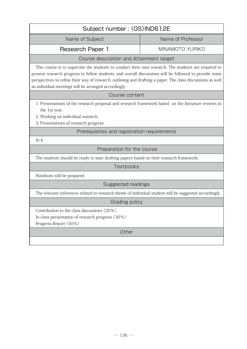| Subject number: (GS)IND612E                                                                                                                                                                                                                                                                                                                                                           |                   |  |
|---------------------------------------------------------------------------------------------------------------------------------------------------------------------------------------------------------------------------------------------------------------------------------------------------------------------------------------------------------------------------------------|-------------------|--|
| Name of Subject                                                                                                                                                                                                                                                                                                                                                                       | Name of Professor |  |
| <b>Research Paper 1</b>                                                                                                                                                                                                                                                                                                                                                               | MINAMOTO YURIKO   |  |
| Course description and Attainment target                                                                                                                                                                                                                                                                                                                                              |                   |  |
| This course is to supervise the students to conduct their own research. The students are required to<br>present research progress to fellow students, and overall discussions will be followed to provide some<br>perspectives to refine their way of research, outlining and drafting a paper. The class discussions as well<br>as individual meetings will be arranged accordingly. |                   |  |
| Course content                                                                                                                                                                                                                                                                                                                                                                        |                   |  |
| 1. Presentations of the research proposal and research framework based on the literature reviews in<br>the 1st year.<br>2. Working on individual research.<br>3. Presentations of research progress.                                                                                                                                                                                  |                   |  |
| Prerequisites and registration requirements                                                                                                                                                                                                                                                                                                                                           |                   |  |
| N/A                                                                                                                                                                                                                                                                                                                                                                                   |                   |  |
| Preparation for the course                                                                                                                                                                                                                                                                                                                                                            |                   |  |
| The students should be ready to start drafting papers based on their research framework.                                                                                                                                                                                                                                                                                              |                   |  |
| Textbooks                                                                                                                                                                                                                                                                                                                                                                             |                   |  |
| Handouts will be prepared.                                                                                                                                                                                                                                                                                                                                                            |                   |  |
| Suggested readings                                                                                                                                                                                                                                                                                                                                                                    |                   |  |
| The relevant references related to research theme of individual student will be suggested accordingly.                                                                                                                                                                                                                                                                                |                   |  |
| Grading policy                                                                                                                                                                                                                                                                                                                                                                        |                   |  |
| Contribution to the class discussions (20%)<br>In-class persentation of research progress (30%)<br>Progress Report (50%)                                                                                                                                                                                                                                                              |                   |  |
| Other                                                                                                                                                                                                                                                                                                                                                                                 |                   |  |
|                                                                                                                                                                                                                                                                                                                                                                                       |                   |  |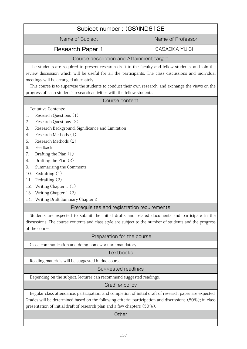| Subject number: (GS)IND612E                                                                                                                                                                                                                                                                                                                                                                                                                                                               |                                                                                                                                                                                                                                                                                                                                                                                                    |  |  |
|-------------------------------------------------------------------------------------------------------------------------------------------------------------------------------------------------------------------------------------------------------------------------------------------------------------------------------------------------------------------------------------------------------------------------------------------------------------------------------------------|----------------------------------------------------------------------------------------------------------------------------------------------------------------------------------------------------------------------------------------------------------------------------------------------------------------------------------------------------------------------------------------------------|--|--|
| Name of Subject                                                                                                                                                                                                                                                                                                                                                                                                                                                                           | Name of Professor                                                                                                                                                                                                                                                                                                                                                                                  |  |  |
| Research Paper 1                                                                                                                                                                                                                                                                                                                                                                                                                                                                          | <b>SASAOKA YUICHI</b>                                                                                                                                                                                                                                                                                                                                                                              |  |  |
| Course description and Attainment target                                                                                                                                                                                                                                                                                                                                                                                                                                                  |                                                                                                                                                                                                                                                                                                                                                                                                    |  |  |
| meetings will be arranged alternately.                                                                                                                                                                                                                                                                                                                                                                                                                                                    | The students are required to present research draft to the faculty and fellow students, and join the<br>review discussion which will be useful for all the participants. The class discussions and individual<br>This course is to supervise the students to conduct their own research, and exchange the views on the<br>progress of each student's research activities with the fellow students. |  |  |
| Course content                                                                                                                                                                                                                                                                                                                                                                                                                                                                            |                                                                                                                                                                                                                                                                                                                                                                                                    |  |  |
| Tentative Contents:<br>Research Questions (1)<br>1.<br>2.<br>Research Questions (2)<br>Research Background, Significance and Limitation<br>3.<br>Research Methods (1)<br>4.<br>Research Methods (2)<br>5.<br>Feedback<br>6.<br>Drafting the Plan (1)<br>7.<br>Drafting the Plan (2)<br>8.<br>Summarizing the Comments<br>9.<br>Redrafting $(1)$<br>10.<br>Redrafting (2)<br>11.<br>Writing Chapter 1 (1)<br>12.<br>Writing Chapter 1 (2)<br>13.<br>Writing Draft Summary Chapter 2<br>14. |                                                                                                                                                                                                                                                                                                                                                                                                    |  |  |
| Prerequisites and registration requirements                                                                                                                                                                                                                                                                                                                                                                                                                                               |                                                                                                                                                                                                                                                                                                                                                                                                    |  |  |
| Students are expected to submit the initial drafts and related documents and participate in the<br>discussions. The course contents and class style are subject to the number of students and the progress<br>of the course.                                                                                                                                                                                                                                                              |                                                                                                                                                                                                                                                                                                                                                                                                    |  |  |
| Preparation for the course                                                                                                                                                                                                                                                                                                                                                                                                                                                                |                                                                                                                                                                                                                                                                                                                                                                                                    |  |  |
| Close communication and doing homework are mandatory.                                                                                                                                                                                                                                                                                                                                                                                                                                     |                                                                                                                                                                                                                                                                                                                                                                                                    |  |  |
| Textbooks                                                                                                                                                                                                                                                                                                                                                                                                                                                                                 |                                                                                                                                                                                                                                                                                                                                                                                                    |  |  |
| Reading materials will be suggested in due course.                                                                                                                                                                                                                                                                                                                                                                                                                                        |                                                                                                                                                                                                                                                                                                                                                                                                    |  |  |
| Suggested readings                                                                                                                                                                                                                                                                                                                                                                                                                                                                        |                                                                                                                                                                                                                                                                                                                                                                                                    |  |  |
| Depending on the subject, lecturer can recommend suggested readings.                                                                                                                                                                                                                                                                                                                                                                                                                      |                                                                                                                                                                                                                                                                                                                                                                                                    |  |  |
| Grading policy                                                                                                                                                                                                                                                                                                                                                                                                                                                                            |                                                                                                                                                                                                                                                                                                                                                                                                    |  |  |
| Regular class attendance, participation, and completion of initial draft of research paper are expected.<br>Grades will be determined based on the following criteria: participation and discussions (50%); in-class<br>presentation of initial draft of research plan and a few chapters (50%).                                                                                                                                                                                          |                                                                                                                                                                                                                                                                                                                                                                                                    |  |  |
| Other                                                                                                                                                                                                                                                                                                                                                                                                                                                                                     |                                                                                                                                                                                                                                                                                                                                                                                                    |  |  |
|                                                                                                                                                                                                                                                                                                                                                                                                                                                                                           |                                                                                                                                                                                                                                                                                                                                                                                                    |  |  |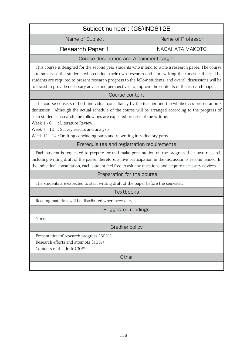| Subject number: (GS)IND612E                                                                                                                                                                                                                                                                                                                                                                                                                                  |                   |  |
|--------------------------------------------------------------------------------------------------------------------------------------------------------------------------------------------------------------------------------------------------------------------------------------------------------------------------------------------------------------------------------------------------------------------------------------------------------------|-------------------|--|
| Name of Subject                                                                                                                                                                                                                                                                                                                                                                                                                                              | Name of Professor |  |
| <b>Research Paper 1</b>                                                                                                                                                                                                                                                                                                                                                                                                                                      | NAGAHATA MAKOTO   |  |
| Course description and Attainment target                                                                                                                                                                                                                                                                                                                                                                                                                     |                   |  |
| This course is designed for the second year students who intend to write a research paper. The course<br>is to supervise the students who conduct their own research and start writing their master thesis. The<br>students are required to present research progress to the fellow students, and overall discussions will be<br>followed to provide necessary advice and perspectives to improve the contents of the research paper.                        |                   |  |
| Course content                                                                                                                                                                                                                                                                                                                                                                                                                                               |                   |  |
| The course consists of both individual consultancy by the teacher and the whole class presentation /<br>discussion. Although the actual schedule of the course will be arranged according to the progress of<br>each student's research, the followings are expected process of the writing;<br>: Literature Review<br>Week 1 - 6<br>Week 7 - 10 : Survey results and analysis<br>Week 11 - 14 : Drafting concluding parts and re-writing introductory parts |                   |  |
| Prerequisites and registration requirements                                                                                                                                                                                                                                                                                                                                                                                                                  |                   |  |
| Each student is requested to prepare for and make presentation on the progress their own research<br>including writing draft of the paper, therefore, active participation in the discussion is recommended. In<br>the individual consultation, each student feel free to ask any questions and acquire necessary advices.                                                                                                                                   |                   |  |
| Preparation for the course                                                                                                                                                                                                                                                                                                                                                                                                                                   |                   |  |
| The students are expected to start writing draft of the paper before the semester.                                                                                                                                                                                                                                                                                                                                                                           |                   |  |
| Textbooks                                                                                                                                                                                                                                                                                                                                                                                                                                                    |                   |  |
| Reading materials will be distributed when necessary.                                                                                                                                                                                                                                                                                                                                                                                                        |                   |  |
| Suggested readings                                                                                                                                                                                                                                                                                                                                                                                                                                           |                   |  |
| None.                                                                                                                                                                                                                                                                                                                                                                                                                                                        |                   |  |
| Grading policy                                                                                                                                                                                                                                                                                                                                                                                                                                               |                   |  |
| Presentation of research progress (30%)<br>Research efforts and attempts (40%)<br>Contents of the draft (30%)                                                                                                                                                                                                                                                                                                                                                |                   |  |

٦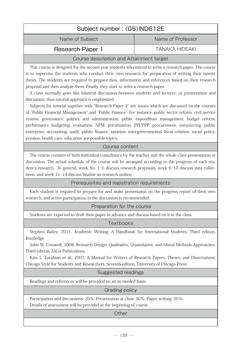| Subject number: (GS)IND612E              |                   |  |
|------------------------------------------|-------------------|--|
| Name of Subject                          | Name of Professor |  |
| <b>Research Paper 1</b>                  | TANAKA HIDEAKI    |  |
| Course description and Attainment target |                   |  |

This course is designed for the second year students who intend to write a research paper. The course is to supervise the students who conduct their own research for preparation of writing their master thesis. The students are required to prepare data, information and references based on their research proposal and then analyze them. Finally, they start to write a research paper.

A class normally goes like bilateral discussion between students and lecturer, or presentation and discussion, thus tutorial approach is emphasized.

Subjects for tutorial together with "Research Paper 2" are issues which are discussed on the courses of "Public Financial Management" and "Public Finance". For instance, public sector reform, civil service system, governance, politics and administration, public expenditure management, budget reform, performance budgeting, evaluation, NPM, privatization, PFI/PPP, procurement, outsourcing, public enterprise, accounting, audit, public finance, taxation, intergovernmental fiscal relation, social policy, pension, health care, education are possible topics.

# Course content

 The course consists of both individual consultancy by the teacher and the whole class presentation or discussion. The actual schedule of the course will be arranged according to the progress of each student's research. In general, week No. 1-5 discuss research proposals, week 6-10 discuss data collections, and week 11-14 discuss finalise an research outline.

# Prerequisites and registration requirements

Each student is required to prepare for and make presentaion on the progress report of their own research, and active participation in the discussion is recommended.

#### Preparation for the course

Students are expected to draft their paper in advance and discuss based on it in the class.

**Textbooks** 

Stephen Bailey, 2011, Academic Writing: A Handbook for International Students, Third edition, Routledge

John W. Creswell, 2008, Research Design: Qualitative, Quantitative, and Mixed Methods Approaches, Third edition, SAGA Publications

Kate L. Turabian et al., 2007, A Manual for Writers of Research Papers, Theses, and Dissertations: Chicago Style for Students and Researchers, Seventh edition, University of Chicago Press

#### Suggested readings

Readings and references will be provided on an as-needed basis.

#### Grading policy

Participation and discussions: 20%, Presentation at class: 30%, Paper writing: 50% Details of assessment will be provided at the beginning of course.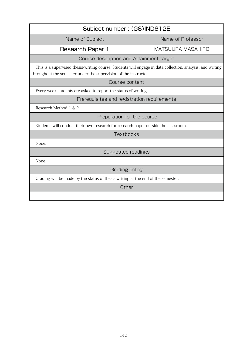| Subject number: (GS)IND612E                                                                                                                                                    |                          |  |
|--------------------------------------------------------------------------------------------------------------------------------------------------------------------------------|--------------------------|--|
| Name of Subject                                                                                                                                                                | Name of Professor        |  |
| Research Paper 1                                                                                                                                                               | <b>MATSUURA MASAHIRO</b> |  |
| Course description and Attainment target                                                                                                                                       |                          |  |
| This is a supervised thesis-writing course. Students will engage in data collection, analysis, and writing<br>throughout the semester under the supervision of the instructor. |                          |  |
| Course content                                                                                                                                                                 |                          |  |
| Every week students are asked to report the status of writing.                                                                                                                 |                          |  |
| Prerequisites and registration requirements                                                                                                                                    |                          |  |
| Research Method 1 & 2.                                                                                                                                                         |                          |  |
| Preparation for the course                                                                                                                                                     |                          |  |
| Students will conduct their own research for research paper outside the classroom.                                                                                             |                          |  |
| Textbooks                                                                                                                                                                      |                          |  |
| None.                                                                                                                                                                          |                          |  |
| Suggested readings                                                                                                                                                             |                          |  |
| None.                                                                                                                                                                          |                          |  |
| Grading policy                                                                                                                                                                 |                          |  |
| Grading will be made by the status of thesis writing at the end of the semester.                                                                                               |                          |  |
| Other                                                                                                                                                                          |                          |  |
|                                                                                                                                                                                |                          |  |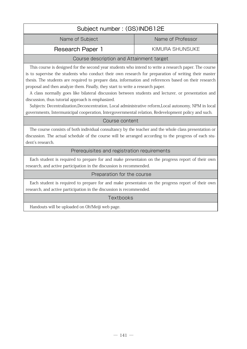# Subject number : (GS)IND612E Name of Subject Name of Professor Research Paper 1 KIMURA SHUNSUKE Course description and Attainment target

This course is designed for the second year students who intend to write a research paper. The course is to supervise the students who conduct their own research for preparation of writing their master thesis. The students are required to prepare data, information and references based on their research proposal and then analyze them. Finally, they start to write a research paper.

A class normally goes like bilateral discussion between students and lecturer, or presentation and discussion, thus tutorial approach is emphasized.

Subjects: Decentralization,Deconcentration, Local administrative reform,Local autonomy, NPM in local governments, Intermunicipal cooperation, Intergovernmental relation, Redevelopment policy and such.

# Course content

 The course consists of both individual consultancy by the teacher and the whole class presentation or discussion. The actual schedule of the course will be arranged according to the progress of each student's research.

# Prerequisites and registration requirements

Each student is required to prepare for and make presentaion on the progress report of their own research, and active participation in the discussion is recommended.

## Preparation for the course

Each student is required to prepare for and make presentaion on the progress report of their own research, and active participation in the discussion is recommended.

# **Textbooks**

Handouts will be uploaded on Oh!Meiji web page.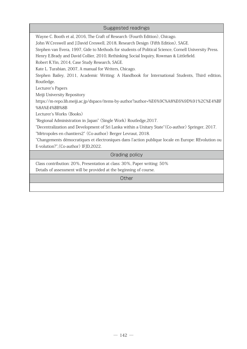| Suggested readings                                                                                    |
|-------------------------------------------------------------------------------------------------------|
| Wayne C. Booth et al, 2016, The Craft of Research (Fourth Edition), Chicago.                          |
| John W.Creswell and J.David Creswell, 2018, Research Design (Fifth Edition), SAGE.                    |
| Stephen van Evera, 1997, Gide to Methods for students of Political Science, Cornell University Press. |
| Henry E.Brady and David Collier, 2010, Rethinking Social Inquiry, Rowman & Littlefield.               |
| Robert K.Yin, 2014, Case Study Research, SAGE.                                                        |
| Kate L. Turabian, 2007, A manual for Writers, Chicago.                                                |
| Stephen Bailey, 2011, Academic Writing: A Handbook for International Students, Third edition,         |
| Routledge.                                                                                            |
| Lecturer's Papers                                                                                     |
| Meiji University Repository                                                                           |
| https://m-repo.lib.meiji.ac.jp/dspace/items-by-author?author=%E6%9C%A8%E6%9D%91%2C%E4%BF              |
| %8A%E4%BB%8B                                                                                          |
| Lecturer's Works (Books)                                                                              |
| "Regional Administration in Japan" (Single Work) Routledge, 2017.                                     |
| "Decentralization and Development of Sri Lanka within a Unitary State" (Co-author) Springer, 2017.    |
| "Métropoles en chantiers2" (Co-author) Berger Levraut, 2018.                                          |
| "Changements démocratiques et électroniques dans l'action publique locale en Europe: REvolution ou    |
| E-volution?", (Co-author) IFJD, 2022.                                                                 |
| Grading policy                                                                                        |
| Class contribution: 20%, Presentation at class: 30%, Paper writing: 50%                               |
| Details of assessment will be provided at the beginning of course.                                    |
| Other                                                                                                 |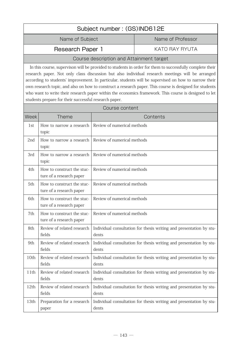| Subject number: (GS)IND612E |                   |  |
|-----------------------------|-------------------|--|
| Name of Subject             | Name of Professor |  |
| <b>Research Paper 1</b>     | KATO RAY RYUTA    |  |
|                             |                   |  |

In this course, supervison will be provided to students in order for them to successfully complete their research paper. Not only class discussion but also individual research meetings will be arranged according to students' improvement. In particular, students will be supervised on how to narrow their own research topic, and also on how to construct a research paper. This course is designed for students who want to write their research paper within the economics framework. This course is designed to let students prepare for their successful research paper.

| Course content |                                                        |                                                                              |
|----------------|--------------------------------------------------------|------------------------------------------------------------------------------|
| Week           | <b>Theme</b>                                           | Contents                                                                     |
| 1st            | How to narrow a research<br>topic                      | Review of numerical methods                                                  |
| 2nd            | How to narrow a research<br>topic                      | Review of numerical methods                                                  |
| 3rd            | How to narrow a research<br>topic                      | Review of numerical methods                                                  |
| 4th            | How to construct the stuc-<br>ture of a research paper | Review of numerical methods                                                  |
| 5th            | How to construct the stuc-<br>ture of a research paper | Review of numerical methods                                                  |
| 6th            | How to construct the stuc-<br>ture of a research paper | Review of numerical methods                                                  |
| 7th            | How to construct the stuc-<br>ture of a research paper | Review of numerical methods                                                  |
| 8th            | Review of related research<br>fields                   | Individual consultation for thesis writing and presentation by stu-<br>dents |
| 9th            | Review of related research<br>fields                   | Individual consultation for thesis writing and presentation by stu-<br>dents |
| 10th           | Review of related research<br>fields                   | Individual consultation for thesis writing and presentation by stu-<br>dents |
| 11th           | Review of related research<br>fields                   | Individual consultation for thesis writing and presentation by stu-<br>dents |
| 12th           | Review of related research<br>fields                   | Individual consultation for thesis writing and presentation by stu-<br>dents |
| 13th           | Preparation for a research<br>paper                    | Individual consultation for thesis writing and presentation by stu-<br>dents |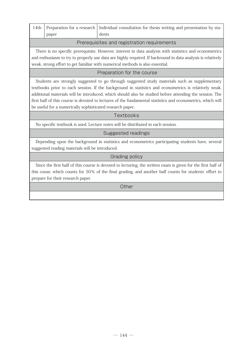|  |       | 14th   Preparation for a research   Individual consultation for thesis writing and presentation by stu- |
|--|-------|---------------------------------------------------------------------------------------------------------|
|  | paper | dents                                                                                                   |
|  |       |                                                                                                         |

### Prerequisites and registration requirements

There is no specific prerequisite. However, interest in data analysis with statistics and econometrics and enthusiasm to try to properly use data are highly required. If backround in data analysis is relatively weak, strong effort to get familiar with numerical methods is also essential.

### Preparation for the course

Students are strongly suggested to go through suggested study materials such as supplementary textbooks prior to each session. If the background in statistics and econometrics is relatively weak, additional materials will be introduced, which should also be studied before attending the session. The first half of this course is devoted to lectures of the fundamental statistics and econometrics, which will be useful for a numerically sophisticated research paper.

### **Textbooks**

No specific textbook is used. Lecture notes will be distributed in each session.

### Suggested readings

Depending upon the background in statistics and econometrics participating students have, several suggested reading materials will be introduced.

### Grading policy

Since the first half of this course is devoted to lecturing, the written exam is given for the first half of this couse, which counts for 50% of the final grading, and another half counts for students' effort to prepare for their research paper.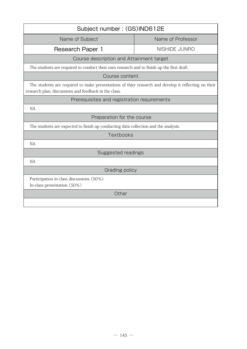| Subject number: (GS)IND612E                                                                                                                                   |                   |  |
|---------------------------------------------------------------------------------------------------------------------------------------------------------------|-------------------|--|
| Name of Subject                                                                                                                                               | Name of Professor |  |
| Research Paper 1                                                                                                                                              | NISHIDE JUNRO     |  |
| Course description and Attainment target                                                                                                                      |                   |  |
| The students are required to conduct their own research and to finish up the first draft.                                                                     |                   |  |
| Course content                                                                                                                                                |                   |  |
| The students are required to make presentations of thier research and develop it reflecting on their<br>research plan, discussions and feedback in the class. |                   |  |
| Prerequisites and registration requirements                                                                                                                   |                   |  |
| <b>NA</b>                                                                                                                                                     |                   |  |
| Preparation for the course                                                                                                                                    |                   |  |
| The students are expected to finish up conducting data collection and the analysis.                                                                           |                   |  |
| Textbooks                                                                                                                                                     |                   |  |
| <b>NA</b>                                                                                                                                                     |                   |  |
| <b>Suggested readings</b>                                                                                                                                     |                   |  |
| NA                                                                                                                                                            |                   |  |
| Grading policy                                                                                                                                                |                   |  |
| Participation in class discussions (50%)<br>In-class presentation (50%)                                                                                       |                   |  |
| Other                                                                                                                                                         |                   |  |
|                                                                                                                                                               |                   |  |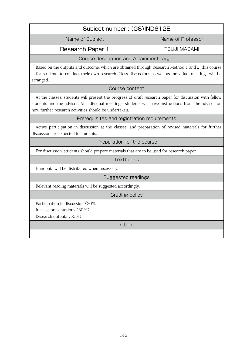| Subject number: (GS)IND612E                                                                                                                                                                                                                                             |                     |  |
|-------------------------------------------------------------------------------------------------------------------------------------------------------------------------------------------------------------------------------------------------------------------------|---------------------|--|
| Name of Subject                                                                                                                                                                                                                                                         | Name of Professor   |  |
| Research Paper 1                                                                                                                                                                                                                                                        | <b>TSUJI MASAMI</b> |  |
| Course description and Attainment target                                                                                                                                                                                                                                |                     |  |
| Based on the outputs and outcome, which are obtained through Research Method 1 and 2, this course<br>is for students to conduct their own research. Class discussions as well as individual meetings will be<br>arranged.                                               |                     |  |
| Course content                                                                                                                                                                                                                                                          |                     |  |
| At the classes, students will present the progress of draft research paper for discussion with fellow<br>students and the advisor. At individual meetings, students will have instructions from the advisor on<br>how further research activities should be undertaken. |                     |  |
| Prerequisites and registration requirements                                                                                                                                                                                                                             |                     |  |
| Active participation in discussion at the classes, and preparation of revised materials for further<br>discussion are expected to students.                                                                                                                             |                     |  |
| Preparation for the course                                                                                                                                                                                                                                              |                     |  |
| For discussion, students should prepare materials that are to be used for research paper.                                                                                                                                                                               |                     |  |
| Textbooks                                                                                                                                                                                                                                                               |                     |  |
| Handouts will be distributed when necessary.                                                                                                                                                                                                                            |                     |  |
| Suggested readings                                                                                                                                                                                                                                                      |                     |  |
| Relevant reading materials will be suggested accordingly.                                                                                                                                                                                                               |                     |  |
| Grading policy                                                                                                                                                                                                                                                          |                     |  |
| Participation in discussion (20%)<br>In-class presentations (30%)<br>Research outputs (50%)                                                                                                                                                                             |                     |  |
| Other                                                                                                                                                                                                                                                                   |                     |  |
|                                                                                                                                                                                                                                                                         |                     |  |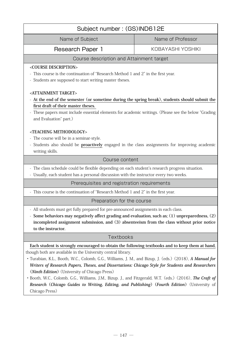| Subject number: (GS)IND612E                                                                                                                                 |                   |  |
|-------------------------------------------------------------------------------------------------------------------------------------------------------------|-------------------|--|
| Name of Subject                                                                                                                                             | Name of Professor |  |
| Research Paper 1                                                                                                                                            | KOBAYASHI YOSHIKI |  |
| Course description and Attainment target                                                                                                                    |                   |  |
| <course description=""></course>                                                                                                                            |                   |  |
| - This course is the continuation of "Research Method 1 and 2" in the first year.                                                                           |                   |  |
| - Students are supposed to start writing master theses.                                                                                                     |                   |  |
| <attainment target=""></attainment>                                                                                                                         |                   |  |
| - At the end of the semester (or sometime during the spring break), students should submit the                                                              |                   |  |
| first draft of their master theses.                                                                                                                         |                   |  |
| - These papers must include essential elements for academic writings. (Please see the below "Grading                                                        |                   |  |
| and Evaluation" part.)                                                                                                                                      |                   |  |
| <teaching methodology=""></teaching>                                                                                                                        |                   |  |
| - The course will be in a seminar-style.                                                                                                                    |                   |  |
| - Students also should be proactively engaged in the class assignments for improving academic                                                               |                   |  |
| writing skills.                                                                                                                                             |                   |  |
| Course content                                                                                                                                              |                   |  |
| - The class schedule could be flexible depending on each student's research progress situation.                                                             |                   |  |
| - Usually, each student has a personal discussion with the instructor every two weeks.                                                                      |                   |  |
| Prerequisites and registration requirements                                                                                                                 |                   |  |
| - This course is the continuation of "Research Method 1 and 2" in the first year.                                                                           |                   |  |
| Preparation for the course                                                                                                                                  |                   |  |
| - All students must get fully prepared for pre-announced assignments in each class.                                                                         |                   |  |
| - Some behaviors may negatively affect grading and evaluation, such as; (1) unpreparedness, (2)                                                             |                   |  |
| incompleted assignment submission, and (3) absenteeism from the class without prior notice                                                                  |                   |  |
| to the instructor.                                                                                                                                          |                   |  |
| Textbooks                                                                                                                                                   |                   |  |
| Each student is strongly encouraged to obtain the following textbooks and to keep them at hand,                                                             |                   |  |
| though both are available in the University central library.                                                                                                |                   |  |
| • Turabian, K.L., Booth, W.C., Colomb, G.G., Williams, J. M., and Bizup, J. (eds.) (2018), A Manual for                                                     |                   |  |
| Writers of Research Papers, Theses, and Dissertations: Chicago Style for Students and Researchers<br>( <i>Ninth Edition</i> ) (University of Chicago Press) |                   |  |
| · Booth, W.C., Colomb, G.G., Williams, J.M., Bizup. J., and Fitzgerald, W.T. (eds.) (2016), The Craft of                                                    |                   |  |
| Research (Chicago Guides to Writing, Editing, and Publishing) (Fourth Edition) (University of                                                               |                   |  |
| Chicago Press)                                                                                                                                              |                   |  |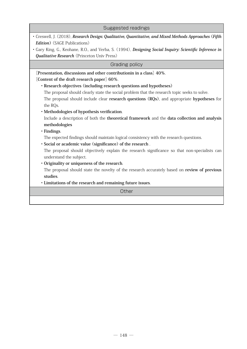| Suggested readings                                                                                                       |  |  |
|--------------------------------------------------------------------------------------------------------------------------|--|--|
| · Creswell, J. (2018), Research Design: Qualitative, Quantitative, and Mixed Methods Approaches (Fifth                   |  |  |
| <b>Edition</b> ) (SAGE Publications)                                                                                     |  |  |
| Gary King, G., Keohane, R.O., and Verba, S. (1994), <i>Designing Social Inquiry: Scientific Inference in</i>             |  |  |
| <b>Qualitative Research</b> (Princeton Univ Press)                                                                       |  |  |
| Grading policy                                                                                                           |  |  |
| [Presentation, discussions and other contribution in a class] 40%.                                                       |  |  |
| [Content of the draft research paper] 60%.                                                                               |  |  |
| • Research objectives (including research questions and hypotheses)                                                      |  |  |
| The proposal should clearly state the social problem that the research topic seeks to solve.                             |  |  |
| The proposal should include clear research questions (RQs), and appropriate hypotheses for                               |  |  |
| the RQs.                                                                                                                 |  |  |
| · Methodologies of hypothesis verification.                                                                              |  |  |
| Include a description of both the theoretical framework and the data collection and analysis                             |  |  |
| methodologies                                                                                                            |  |  |
| · Findings.                                                                                                              |  |  |
| The expected findings should maintain logical consistency with the research questions.                                   |  |  |
| · Social or academic value (significance) of the research.                                                               |  |  |
| The proposal should objectively explain the research significance so that non-specialists can<br>understand the subject. |  |  |
| • Originality or uniqueness of the research.                                                                             |  |  |
| The proposal should state the novelty of the research accurately based on review of previous                             |  |  |
| studies.                                                                                                                 |  |  |
| · Limitations of the research and remaining future issues.                                                               |  |  |
| Other                                                                                                                    |  |  |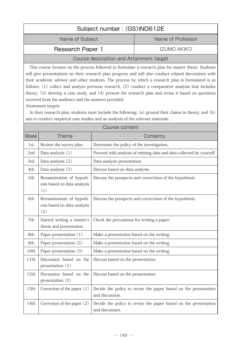| Subject number: (GS)IND612E                                                                                                                                                                                                                                                                                                                                                                                                                                                                                                                                                                                                                                                                                                    |                                                                                  |                                            |                                                                        |
|--------------------------------------------------------------------------------------------------------------------------------------------------------------------------------------------------------------------------------------------------------------------------------------------------------------------------------------------------------------------------------------------------------------------------------------------------------------------------------------------------------------------------------------------------------------------------------------------------------------------------------------------------------------------------------------------------------------------------------|----------------------------------------------------------------------------------|--------------------------------------------|------------------------------------------------------------------------|
| Name of Subject                                                                                                                                                                                                                                                                                                                                                                                                                                                                                                                                                                                                                                                                                                                |                                                                                  | Name of Professor                          |                                                                        |
| <b>Research Paper 1</b>                                                                                                                                                                                                                                                                                                                                                                                                                                                                                                                                                                                                                                                                                                        |                                                                                  | <b>IZUMO AKIKO</b>                         |                                                                        |
|                                                                                                                                                                                                                                                                                                                                                                                                                                                                                                                                                                                                                                                                                                                                | Course description and Attainment target                                         |                                            |                                                                        |
| This course focuses on the process followed to formulate a research plan for master thesis. Students<br>will give presentations on their research plan progress and will also conduct related discussions with<br>their academic advisor and other students. The process by which a research plan is formulated is as<br>follows: (1) collect and analyze previous research, (2) conduct a comparative analysis that includes<br>theory, (3) develop a case study, and (4) present the research plan and revise it based on questions<br>received from the audience and the answers provided.<br>Attainment targets<br>In their research plan, students must include the following; (a) ground their claims in theory, and (b) |                                                                                  |                                            |                                                                        |
|                                                                                                                                                                                                                                                                                                                                                                                                                                                                                                                                                                                                                                                                                                                                | aim to conduct empirical case studies and an analysis of the relevant materials. |                                            |                                                                        |
|                                                                                                                                                                                                                                                                                                                                                                                                                                                                                                                                                                                                                                                                                                                                |                                                                                  | Course content                             |                                                                        |
| Week                                                                                                                                                                                                                                                                                                                                                                                                                                                                                                                                                                                                                                                                                                                           | <b>Theme</b>                                                                     |                                            | Contents                                                               |
| 1st                                                                                                                                                                                                                                                                                                                                                                                                                                                                                                                                                                                                                                                                                                                            | Review the survey plan                                                           | Determine the policy of the investigation. |                                                                        |
| 2nd                                                                                                                                                                                                                                                                                                                                                                                                                                                                                                                                                                                                                                                                                                                            | Data analysis (1)                                                                |                                            | Proceed with analysis of existing data and data collected by yourself. |
| 3rd                                                                                                                                                                                                                                                                                                                                                                                                                                                                                                                                                                                                                                                                                                                            | Data analysis (2)                                                                | Data analysis presentation.                |                                                                        |
| 4th                                                                                                                                                                                                                                                                                                                                                                                                                                                                                                                                                                                                                                                                                                                            | Data analysis (3)                                                                | Discuss based on data analysis.            |                                                                        |
| 5th                                                                                                                                                                                                                                                                                                                                                                                                                                                                                                                                                                                                                                                                                                                            | Reexamination of hypoth-<br>esis based on data analysis<br>(1)                   |                                            | Discuss the prospects and corrections of the hypothesis.               |
| 6th                                                                                                                                                                                                                                                                                                                                                                                                                                                                                                                                                                                                                                                                                                                            | Reexamination of hypoth-<br>esis based on data analysis<br>(2)                   |                                            | Discuss the prospects and corrections of the hypothesis.               |
| 7th                                                                                                                                                                                                                                                                                                                                                                                                                                                                                                                                                                                                                                                                                                                            | Started writing a master's<br>thesis and presentation                            | Check the precautions for writing a paper. |                                                                        |
| 8th                                                                                                                                                                                                                                                                                                                                                                                                                                                                                                                                                                                                                                                                                                                            | Paper presentation (1)                                                           | Make a presentation based on the writing.  |                                                                        |
| 9th                                                                                                                                                                                                                                                                                                                                                                                                                                                                                                                                                                                                                                                                                                                            | Paper presentation (2)                                                           | Make a presentation based on the writing.  |                                                                        |
| 10th                                                                                                                                                                                                                                                                                                                                                                                                                                                                                                                                                                                                                                                                                                                           | Paper presentation (3)                                                           | Make a presentation based on the writing.  |                                                                        |
| 11th                                                                                                                                                                                                                                                                                                                                                                                                                                                                                                                                                                                                                                                                                                                           | Discussion based on the<br>presentation $(1)$                                    | Discuss based on the presentation.         |                                                                        |
| 12th                                                                                                                                                                                                                                                                                                                                                                                                                                                                                                                                                                                                                                                                                                                           | Discussion based on the<br>presentation (2)                                      | Discuss based on the presentation.         |                                                                        |
| 13th                                                                                                                                                                                                                                                                                                                                                                                                                                                                                                                                                                                                                                                                                                                           | Correction of the paper $(1)$                                                    | and discussion.                            | Decide the policy to revise the paper based on the presentation        |
| 14th                                                                                                                                                                                                                                                                                                                                                                                                                                                                                                                                                                                                                                                                                                                           | Correction of the paper (2)                                                      | and discussion.                            | Decide the policy to revise the paper based on the presentation        |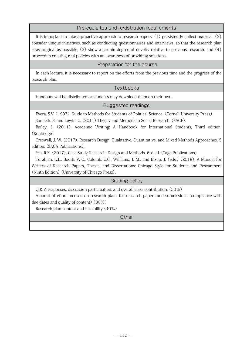### Prerequisites and registration requirements

It is important to take a proactive approach to research papers:  $(1)$  persistently collect material,  $(2)$ consider unique initiatives, such as conducting questionnaires and interviews, so that the research plan is as original as possible, (3) show a certain degree of novelty relative to previous research, and (4) proceed in creating real policies with an awareness of providing solutions.

### Preparation for the course

In each lecture, it is necessary to report on the efforts from the previous time and the progress of the research plan.

### Textbooks

Handouts will be distributed or students may download them on their own.

### Suggested readings

Evera, S.V. (1997). Guide to Methods for Students of Political Science. (Cornell University Press). Somekh, B. and Lewin, C. (2011) Theory and Methods in Social Research. (SAGE).

Bailey, S. (2011). Academic Writing: A Handbook for International Students, Third edition. (Routledge)

Creswell, J. W. (2017). Research Design: Qualitative, Quantitative, and Mixed Methods Approaches, 5 edition. (SAGA Publications).

Yin. R.K. (2017). Case Study Research: Design and Methods. 6rd ed. (Sage Publications)

Turabian, K.L., Booth, W.C., Colomb, G.G., Williams, J. M., and Bizup, J. (eds.) (2018), A Manual for Writers of Research Papers, Theses, and Dissertations: Chicago Style for Students and Researchers (Ninth Edition) (University of Chicago Press).

Grading policy

Q & A responses, discussion participation, and overall class contribution: (30%)

Amount of effort focused on research plans for research papers and submissions (compliance with due dates and quality of content) (30%)

Research plan content and feasibility (40%)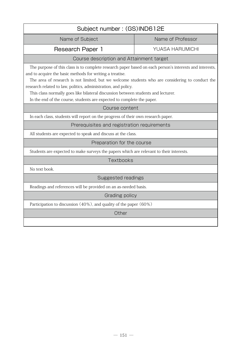| Subject number: (GS)IND612E                                                                                                                                                                                                                                                                                                                                                                                                                                                                             |                        |  |
|---------------------------------------------------------------------------------------------------------------------------------------------------------------------------------------------------------------------------------------------------------------------------------------------------------------------------------------------------------------------------------------------------------------------------------------------------------------------------------------------------------|------------------------|--|
| Name of Subject                                                                                                                                                                                                                                                                                                                                                                                                                                                                                         | Name of Professor      |  |
| <b>Research Paper 1</b>                                                                                                                                                                                                                                                                                                                                                                                                                                                                                 | <b>YUASA HARUMICHI</b> |  |
| Course description and Attainment target                                                                                                                                                                                                                                                                                                                                                                                                                                                                |                        |  |
| The purpose of this class is to complete research paper based on each person's interests and interests,<br>and to acquire the basic methods for writing a treatise.<br>The area of research is not limited, but we welcome students who are considering to conduct the<br>research related to law, politics, administration, and policy.<br>This class normally goes like bilateral discussion between students and lecturer.<br>In the end of the course, students are expected to complete the paper. |                        |  |
| Course content                                                                                                                                                                                                                                                                                                                                                                                                                                                                                          |                        |  |
| In each class, students will report on the progress of their own research paper.                                                                                                                                                                                                                                                                                                                                                                                                                        |                        |  |
| Prerequisites and registration requirements                                                                                                                                                                                                                                                                                                                                                                                                                                                             |                        |  |
| All students are expected to speak and discuss at the class.                                                                                                                                                                                                                                                                                                                                                                                                                                            |                        |  |
| Preparation for the course                                                                                                                                                                                                                                                                                                                                                                                                                                                                              |                        |  |
| Students are expected to make surveys the papers which are relevant to their interests.                                                                                                                                                                                                                                                                                                                                                                                                                 |                        |  |
| Textbooks                                                                                                                                                                                                                                                                                                                                                                                                                                                                                               |                        |  |
| No text book.                                                                                                                                                                                                                                                                                                                                                                                                                                                                                           |                        |  |
| <b>Suggested readings</b>                                                                                                                                                                                                                                                                                                                                                                                                                                                                               |                        |  |
| Readings and references will be provided on an as-needed basis.                                                                                                                                                                                                                                                                                                                                                                                                                                         |                        |  |
| Grading policy                                                                                                                                                                                                                                                                                                                                                                                                                                                                                          |                        |  |
| Participation to discussion (40%), and quality of the paper (60%)                                                                                                                                                                                                                                                                                                                                                                                                                                       |                        |  |
| Other                                                                                                                                                                                                                                                                                                                                                                                                                                                                                                   |                        |  |
|                                                                                                                                                                                                                                                                                                                                                                                                                                                                                                         |                        |  |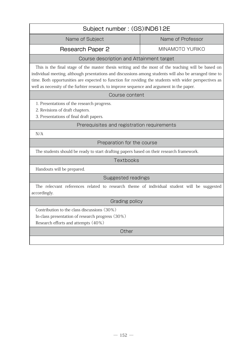| Subject number: (GS)IND612E                                                                                                                                                                                                                                                                                                                                                                                         |                   |  |
|---------------------------------------------------------------------------------------------------------------------------------------------------------------------------------------------------------------------------------------------------------------------------------------------------------------------------------------------------------------------------------------------------------------------|-------------------|--|
| Name of Subject                                                                                                                                                                                                                                                                                                                                                                                                     | Name of Professor |  |
| <b>Research Paper 2</b>                                                                                                                                                                                                                                                                                                                                                                                             | MINAMOTO YURIKO   |  |
| Course description and Attainment target                                                                                                                                                                                                                                                                                                                                                                            |                   |  |
| This is the final stage of the master thesis writing and the most of the teaching will be based on<br>individual meeting, although prsentations and discussions among students will also be arranged time to<br>time. Both opportunities are expected to function for roviding the students with wider perspectives as<br>well as necessity of the furhter research, to improve sequence and argument in the paper. |                   |  |
| Course content                                                                                                                                                                                                                                                                                                                                                                                                      |                   |  |
| 1. Presentations of the research progress.<br>2. Revisions of draft chapters.<br>3. Presentations of final draft papers.                                                                                                                                                                                                                                                                                            |                   |  |
| Prerequisites and registration requirements                                                                                                                                                                                                                                                                                                                                                                         |                   |  |
| N/A                                                                                                                                                                                                                                                                                                                                                                                                                 |                   |  |
| Preparation for the course                                                                                                                                                                                                                                                                                                                                                                                          |                   |  |
| The students should be ready to start drafting papers based on their research framework.                                                                                                                                                                                                                                                                                                                            |                   |  |
| Textbooks                                                                                                                                                                                                                                                                                                                                                                                                           |                   |  |
| Handouts will be prepared.                                                                                                                                                                                                                                                                                                                                                                                          |                   |  |
| Suggested readings                                                                                                                                                                                                                                                                                                                                                                                                  |                   |  |
| The relecvant references related to research theme of individual student will be suggested<br>accordingly.                                                                                                                                                                                                                                                                                                          |                   |  |
| Grading policy                                                                                                                                                                                                                                                                                                                                                                                                      |                   |  |
| Contribution to the class discussions (30%)<br>In-class presentation of research progress (30%)<br>Research efforts and attempts (40%)<br>Other                                                                                                                                                                                                                                                                     |                   |  |
|                                                                                                                                                                                                                                                                                                                                                                                                                     |                   |  |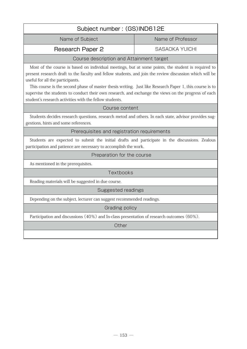| Subject number: (GS)IND612E                                                                                                                                                                                                                                                                                                                                                                                                                                                                                                     |                       |  |
|---------------------------------------------------------------------------------------------------------------------------------------------------------------------------------------------------------------------------------------------------------------------------------------------------------------------------------------------------------------------------------------------------------------------------------------------------------------------------------------------------------------------------------|-----------------------|--|
| Name of Subject                                                                                                                                                                                                                                                                                                                                                                                                                                                                                                                 | Name of Professor     |  |
| <b>Research Paper 2</b>                                                                                                                                                                                                                                                                                                                                                                                                                                                                                                         | <b>SASAOKA YUICHI</b> |  |
| Course description and Attainment target                                                                                                                                                                                                                                                                                                                                                                                                                                                                                        |                       |  |
| Most of the course is based on individual meetings, but at some points, the student is required to<br>present research draft to the faculty and fellow students, and join the review discussion which will be<br>useful for all the participants.<br>This course is the second phase of master thesis writing. Just like Research Paper 1, this course is to<br>supervise the students to conduct their own research, and exchange the views on the progress of each<br>student's research activities with the fellow students. |                       |  |
| Course content                                                                                                                                                                                                                                                                                                                                                                                                                                                                                                                  |                       |  |
| Students decides research questions, research metod and others. In each state, advisor provides sug-<br>gestions, hints and some references.                                                                                                                                                                                                                                                                                                                                                                                    |                       |  |
| Prerequisites and registration requirements                                                                                                                                                                                                                                                                                                                                                                                                                                                                                     |                       |  |
| Students are expected to submit the initial drafts and participate in the discussions. Zealous<br>participation and patience are necessary to accomplish the work.                                                                                                                                                                                                                                                                                                                                                              |                       |  |
| Preparation for the course                                                                                                                                                                                                                                                                                                                                                                                                                                                                                                      |                       |  |
| As mentioned in the prerequisites.                                                                                                                                                                                                                                                                                                                                                                                                                                                                                              |                       |  |
| Textbooks                                                                                                                                                                                                                                                                                                                                                                                                                                                                                                                       |                       |  |
| Reading materials will be suggested in due course.                                                                                                                                                                                                                                                                                                                                                                                                                                                                              |                       |  |
| Suggested readings                                                                                                                                                                                                                                                                                                                                                                                                                                                                                                              |                       |  |
| Depending on the subject, lecturer can suggest recommended readings.                                                                                                                                                                                                                                                                                                                                                                                                                                                            |                       |  |
| Grading policy                                                                                                                                                                                                                                                                                                                                                                                                                                                                                                                  |                       |  |
| Participation and discussions (40%) and In-class presentation of research outcomes (60%).                                                                                                                                                                                                                                                                                                                                                                                                                                       |                       |  |
| Other                                                                                                                                                                                                                                                                                                                                                                                                                                                                                                                           |                       |  |
|                                                                                                                                                                                                                                                                                                                                                                                                                                                                                                                                 |                       |  |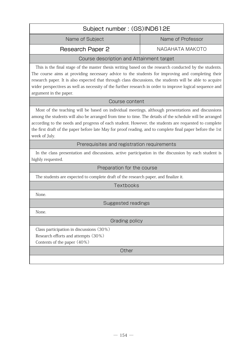| Subject number: (GS)IND612E |                   |  |
|-----------------------------|-------------------|--|
| Name of Subject             | Name of Professor |  |
| Research Paper 2            | NAGAHATA MAKOTO   |  |

## Course description and Attainment target

This is the final stage of the master thesis writing based on the research conducted by the students. The course aims at providing necessary advice to the students for improving and completing their research paper. It is also expected that through class discussions, the students will be able to acquire wider perspectives as well as necessity of the further research in order to improve logical sequence and argument in the paper.

### Course content

 Most of the teaching will be based on individual meetings, although presentations and discussions among the students will also be arranged from time to time. The details of the schedule will be arranged according to the needs and progress of each student. However, the students are requested to complete the first draft of the paper before late May for proof reading, and to complete final paper before the 1st week of July.

Prerequisites and registration requirements

In the class presentation and discussions, active participation in the discussion by each student is highly requested.

### Preparation for the course

The students are expected to complete draft of the research paper, and finalize it.

**Textbooks** 

None.

Suggested readings

None.

Grading policy

Class participation in discussions (30%)

Research efforts and attempts (30%)

Contents of the paper (40%)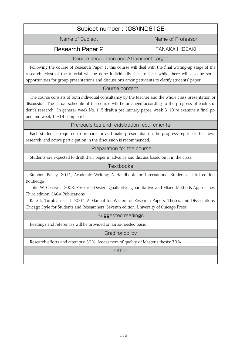| Subject number: (GS)IND612E                                                                                                                                                                                                                                                                                                                                                                                                                           |                       |  |  |
|-------------------------------------------------------------------------------------------------------------------------------------------------------------------------------------------------------------------------------------------------------------------------------------------------------------------------------------------------------------------------------------------------------------------------------------------------------|-----------------------|--|--|
| Name of Subject                                                                                                                                                                                                                                                                                                                                                                                                                                       | Name of Professor     |  |  |
| Research Paper 2                                                                                                                                                                                                                                                                                                                                                                                                                                      | <b>TANAKA HIDEAKI</b> |  |  |
| Course description and Attainment target                                                                                                                                                                                                                                                                                                                                                                                                              |                       |  |  |
| Following the course of Research Paper 1, this course will deal with the final writing-up stage of the<br>research. Most of the tutorial will be done individually face to face, while there will also be some<br>opportunities for group presentations and discussions among students to clarify students' paper.                                                                                                                                    |                       |  |  |
| Course content                                                                                                                                                                                                                                                                                                                                                                                                                                        |                       |  |  |
| The course consists of both individual consultancy by the teacher and the whole class presentation or<br>discussion. The actual schedule of the course will be arranged according to the progress of each stu-<br>dent's research. In general, week No. 1-5 draft a preliminary paper, week 6-10 re examine a final pa-<br>per, and week 11-14 complete it.                                                                                           |                       |  |  |
| Prerequisites and registration requirements                                                                                                                                                                                                                                                                                                                                                                                                           |                       |  |  |
| Each student is required to prepare for and make presentaion on the progress report of their own<br>research, and active participation in the discussion is recommended.                                                                                                                                                                                                                                                                              |                       |  |  |
| Preparation for the course                                                                                                                                                                                                                                                                                                                                                                                                                            |                       |  |  |
| Students are expected to draft their paper in advance and discuss based on it in the class.                                                                                                                                                                                                                                                                                                                                                           |                       |  |  |
| Textbooks                                                                                                                                                                                                                                                                                                                                                                                                                                             |                       |  |  |
| Stephen Bailey, 2011, Academic Writing: A Handbook for International Students, Third edition,<br>Routledge<br>John W. Creswell, 2008, Research Design: Qualitative, Quantitative, and Mixed Methods Approaches,<br>Third edition, SAGA Publications<br>Kate L. Turabian et al., 2007, A Manual for Writers of Research Papers, Theses, and Dissertations:<br>Chicago Style for Students and Researchers, Seventh edition, University of Chicago Press |                       |  |  |
| Suggested readings                                                                                                                                                                                                                                                                                                                                                                                                                                    |                       |  |  |
| Readings and references will be provided on an as-needed basis.                                                                                                                                                                                                                                                                                                                                                                                       |                       |  |  |
| Grading policy                                                                                                                                                                                                                                                                                                                                                                                                                                        |                       |  |  |
| Research efforts and attempts: 30%, Assessment of quality of Master's thesis: 70%                                                                                                                                                                                                                                                                                                                                                                     |                       |  |  |
| Other                                                                                                                                                                                                                                                                                                                                                                                                                                                 |                       |  |  |
|                                                                                                                                                                                                                                                                                                                                                                                                                                                       |                       |  |  |
|                                                                                                                                                                                                                                                                                                                                                                                                                                                       |                       |  |  |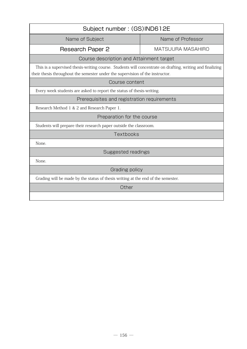| Subject number: (GS)IND612E                                                                                                                                                                |                          |  |
|--------------------------------------------------------------------------------------------------------------------------------------------------------------------------------------------|--------------------------|--|
| Name of Subject                                                                                                                                                                            | Name of Professor        |  |
| Research Paper 2                                                                                                                                                                           | <b>MATSUURA MASAHIRO</b> |  |
| Course description and Attainment target                                                                                                                                                   |                          |  |
| This is a supervised thesis-writing course. Students will concentrate on drafting, writing and finalizing<br>their thesis throughout the semester under the supervision of the instructor. |                          |  |
| Course content                                                                                                                                                                             |                          |  |
| Every week students are asked to report the status of thesis-writing.                                                                                                                      |                          |  |
| Prerequisites and registration requirements                                                                                                                                                |                          |  |
| Research Method 1 & 2 and Research Paper 1.                                                                                                                                                |                          |  |
| Preparation for the course                                                                                                                                                                 |                          |  |
| Students will prepare their research paper outside the classroom.                                                                                                                          |                          |  |
| Textbooks                                                                                                                                                                                  |                          |  |
| None.                                                                                                                                                                                      |                          |  |
| Suggested readings                                                                                                                                                                         |                          |  |
| None.                                                                                                                                                                                      |                          |  |
| Grading policy                                                                                                                                                                             |                          |  |
| Grading will be made by the status of thesis writing at the end of the semester.                                                                                                           |                          |  |
| Other                                                                                                                                                                                      |                          |  |
|                                                                                                                                                                                            |                          |  |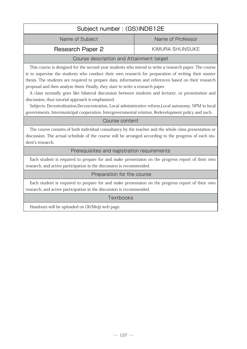# Subject number : (GS)IND612E Name of Subject Name of Professor Research Paper 2 KIMURA SHUNSUKE

# Course description and Attainment target

This course is designed for the second year students who intend to write a research paper. The course is to supervise the students who conduct their own research for preparation of writing their master thesis. The students are required to prepare data, information and references based on their research proposal and then analyze them. Finally, they start to write a research paper.

A class normally goes like bilateral discussion between students and lecturer, or presentation and discussion, thus tutorial approach is emphasized.

Subjects: Decentralization,Deconcentration, Local administrative reform,Local autonomy, NPM in local governments, Intermunicipal cooperation, Intergovernmental relation, Redevelopment policy and such.

### Course content

 The course consists of both individual consultancy by the teacher and the whole class presentation or discussion. The actual schedule of the course will be arranged according to the progress of each student's research.

### Prerequisites and registration requirements

Each student is required to prepare for and make presentaion on the progress report of their own research, and active participation in the discussion is recommended.

### Preparation for the course

Each student is required to prepare for and make presentaion on the progress report of their own research, and active participation in the discussion is recommended.

### **Textbooks**

Handouts will be uploaded on Oh!Meiji web page.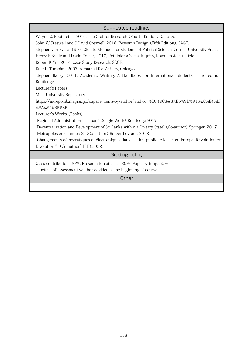| Suggested readings                                                                                    |  |  |
|-------------------------------------------------------------------------------------------------------|--|--|
| Wayne C. Booth et al, 2016, The Craft of Research (Fourth Edition), Chicago.                          |  |  |
| John W.Creswell and J.David Creswell, 2018, Research Design (Fifth Edition), SAGE.                    |  |  |
| Stephen van Evera, 1997, Gide to Methods for students of Political Science, Cornell University Press. |  |  |
| Henry E.Brady and David Collier, 2010, Rethinking Social Inquiry, Rowman & Littlefield.               |  |  |
| Robert K.Yin, 2014, Case Study Research, SAGE.                                                        |  |  |
| Kate L. Turabian, 2007, A manual for Writers, Chicago.                                                |  |  |
| Stephen Bailey, 2011, Academic Writing: A Handbook for International Students, Third edition,         |  |  |
| Routledge                                                                                             |  |  |
| Lecturer's Papers                                                                                     |  |  |
| Meiji University Repository                                                                           |  |  |
| https://m-repo.lib.meiji.ac.jp/dspace/items-by-author?author=%E6%9C%A8%E6%9D%91%2C%E4%BF              |  |  |
| %8A%E4%BB%8B                                                                                          |  |  |
| Lecturer's Works (Books)                                                                              |  |  |
| "Regional Administration in Japan" (Single Work) Routledge, 2017.                                     |  |  |
| "Decentralization and Development of Sri Lanka within a Unitary State" (Co-author) Springer, 2017.    |  |  |
| "Métropoles en chantiers2" (Co-author) Berger Levraut, 2018.                                          |  |  |
| "Changements démocratiques et électroniques dans l'action publique locale en Europe: REvolution ou    |  |  |
| E-volution?", (Co-author) IFJD,2022.                                                                  |  |  |
| Grading policy                                                                                        |  |  |
| Class contribution: 20%, Presentation at class: 30%, Paper writing: 50%                               |  |  |
| Details of assessment will be provided at the beginning of course.                                    |  |  |
| Other                                                                                                 |  |  |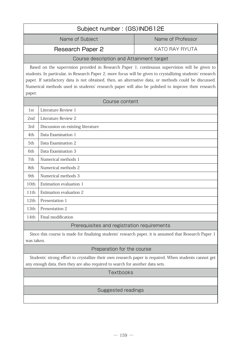| Subject number: (GS)IND612E                                                                                                                                                                                                                                                                                                                                                                                                            |                     |                   |  |  |
|----------------------------------------------------------------------------------------------------------------------------------------------------------------------------------------------------------------------------------------------------------------------------------------------------------------------------------------------------------------------------------------------------------------------------------------|---------------------|-------------------|--|--|
|                                                                                                                                                                                                                                                                                                                                                                                                                                        | Name of Subject     | Name of Professor |  |  |
|                                                                                                                                                                                                                                                                                                                                                                                                                                        | Research Paper 2    | KATO RAY RYUTA    |  |  |
| Course description and Attainment target                                                                                                                                                                                                                                                                                                                                                                                               |                     |                   |  |  |
| Based on the supervision provided in Research Paper 1, continuous supervision will be given to<br>students. In particular, in Research Paper 2, more focus will be given to crystallizing students' research<br>paper. If satisfactory data is not obtained, then, an alternative data, or methods could be discussed.<br>Numerical methods used in students' research paper will also be polished to improve their research<br>paper. |                     |                   |  |  |
| Course content                                                                                                                                                                                                                                                                                                                                                                                                                         |                     |                   |  |  |
| 1st                                                                                                                                                                                                                                                                                                                                                                                                                                    | Literature Review 1 |                   |  |  |
| 2nd                                                                                                                                                                                                                                                                                                                                                                                                                                    | Literature Review 2 |                   |  |  |

| 2nd  | Literature Review 2               |
|------|-----------------------------------|
| 3rd  | Discussion on existing literature |
| 4th  | Data Examination 1                |
| 5th  | Data Examination 2                |
| 6th  | Data Examination 3                |
| 7th  | Numerical methods 1               |
| 8th  | Numerical methods 2               |
| 9th  | Numerical methods 3               |
| 10th | Estimation evaluation 1           |
| 11th | Estimation evaluation 2           |
| 12th | Presentation 1                    |
| 13th | Presentation 2                    |
| 14th | Final modification                |
|      |                                   |

# Prerequisites and registration requirements

Since this course is made for finalizing students' research paper, it is assumed that Research Paper 1 was taken.

# Preparation for the course

Students' strong effort to crystallize their own research paper is required. When students cannot get any enough data, then they are also required to search for another data sets.

# **Textbooks**

# Suggested readings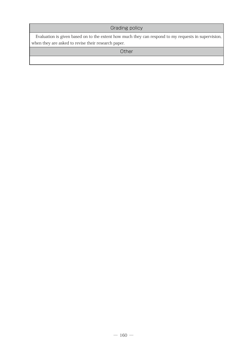# Grading policy

Evaluation is given based on to the extent how much they can respond to my requests in supervision, when they are asked to revise their research paper.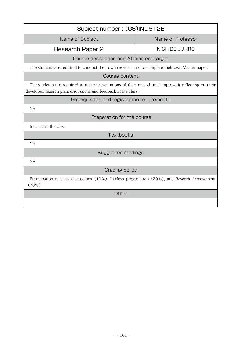| Subject number: (GS)IND612E                                                                                                                                           |                   |  |  |
|-----------------------------------------------------------------------------------------------------------------------------------------------------------------------|-------------------|--|--|
| Name of Subject                                                                                                                                                       | Name of Professor |  |  |
| Research Paper 2                                                                                                                                                      | NISHIDE JUNRO     |  |  |
| Course description and Attainment target                                                                                                                              |                   |  |  |
| The students are required to conduct their own research and to complete their own Master paper.                                                                       |                   |  |  |
| Course content                                                                                                                                                        |                   |  |  |
| The students are required to make presentations of thier reserch and improve it reflecting on their<br>developed reserch plan, discussions and feedback in the class. |                   |  |  |
| Prerequisites and registration requirements                                                                                                                           |                   |  |  |
| NA                                                                                                                                                                    |                   |  |  |
| Preparation for the course                                                                                                                                            |                   |  |  |
| Instruct in the class.                                                                                                                                                |                   |  |  |
| Textbooks                                                                                                                                                             |                   |  |  |
| <b>NA</b>                                                                                                                                                             |                   |  |  |
| Suggested readings                                                                                                                                                    |                   |  |  |
| <b>NA</b>                                                                                                                                                             |                   |  |  |
| Grading policy                                                                                                                                                        |                   |  |  |
| Participation in class discussions (10%), In-class presentation (20%), and Reserch Achievement<br>(70%)                                                               |                   |  |  |
| Other                                                                                                                                                                 |                   |  |  |
|                                                                                                                                                                       |                   |  |  |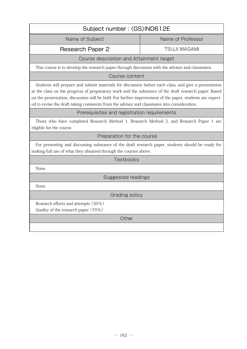| Subject number: (GS)IND612E                                                                                                                                                                                                                                                                                                                                                                                             |                     |  |  |
|-------------------------------------------------------------------------------------------------------------------------------------------------------------------------------------------------------------------------------------------------------------------------------------------------------------------------------------------------------------------------------------------------------------------------|---------------------|--|--|
| Name of Subject                                                                                                                                                                                                                                                                                                                                                                                                         | Name of Professor   |  |  |
| <b>Research Paper 2</b>                                                                                                                                                                                                                                                                                                                                                                                                 | <b>TSUJI MASAMI</b> |  |  |
| Course description and Attainment target                                                                                                                                                                                                                                                                                                                                                                                |                     |  |  |
| This course is to develop the research paper through discussion with the advisor and classmates.                                                                                                                                                                                                                                                                                                                        |                     |  |  |
| Course content                                                                                                                                                                                                                                                                                                                                                                                                          |                     |  |  |
| Students will prepare and submit materials for discussion before each class, and give a presentation<br>at the class on the progress of preparatory work and the substance of the draft research paper. Based<br>on the presentation, discussion will be held. For further improvement of the paper, students are expect-<br>ed to revise the draft taking comments from the advisor and classmates into consideration. |                     |  |  |
| Prerequisites and registration requirements                                                                                                                                                                                                                                                                                                                                                                             |                     |  |  |
| Those who have completed Research Method 1, Research Method 2, and Research Paper 1 are<br>eligible for the course.                                                                                                                                                                                                                                                                                                     |                     |  |  |
| Preparation for the course                                                                                                                                                                                                                                                                                                                                                                                              |                     |  |  |
| For presenting and discussing substance of the draft research paper, students should be ready for<br>making full use of what they obtained through the courses above.                                                                                                                                                                                                                                                   |                     |  |  |
| Textbooks                                                                                                                                                                                                                                                                                                                                                                                                               |                     |  |  |
| None.                                                                                                                                                                                                                                                                                                                                                                                                                   |                     |  |  |
| Suggested readings                                                                                                                                                                                                                                                                                                                                                                                                      |                     |  |  |
| None.                                                                                                                                                                                                                                                                                                                                                                                                                   |                     |  |  |
| Grading policy                                                                                                                                                                                                                                                                                                                                                                                                          |                     |  |  |
| Research efforts and attempts (30%)<br>Quality of the research paper (70%)                                                                                                                                                                                                                                                                                                                                              |                     |  |  |
| Other                                                                                                                                                                                                                                                                                                                                                                                                                   |                     |  |  |
|                                                                                                                                                                                                                                                                                                                                                                                                                         |                     |  |  |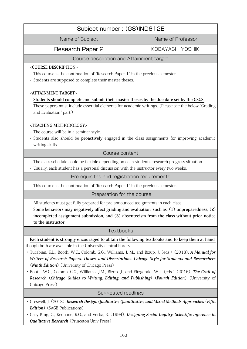| Subject number: (GS)IND612E                                                                                                                                                                                                                                                                                                                                                                                                                                                                                                                                                                                                                                              |                   |  |  |
|--------------------------------------------------------------------------------------------------------------------------------------------------------------------------------------------------------------------------------------------------------------------------------------------------------------------------------------------------------------------------------------------------------------------------------------------------------------------------------------------------------------------------------------------------------------------------------------------------------------------------------------------------------------------------|-------------------|--|--|
| Name of Subject                                                                                                                                                                                                                                                                                                                                                                                                                                                                                                                                                                                                                                                          | Name of Professor |  |  |
| Research Paper 2                                                                                                                                                                                                                                                                                                                                                                                                                                                                                                                                                                                                                                                         | KOBAYASHI YOSHIKI |  |  |
| Course description and Attainment target                                                                                                                                                                                                                                                                                                                                                                                                                                                                                                                                                                                                                                 |                   |  |  |
| <course description=""><br/>This course is the continuation of "Research Paper 1" in the previous semester.<br/>Students are supposed to complete their master theses.</course>                                                                                                                                                                                                                                                                                                                                                                                                                                                                                          |                   |  |  |
| <attainment target=""><br/>Students should complete and submit their master theses by the due date set by the GSGS.<br/>These papers must include essential elements for academic writings. (Please see the below "Grading<br/>and Evaluation" part.)<br/><teaching methodology=""><br/>- The course will be in a seminar-style.<br/>Students also should be proactively engaged in the class assignments for improving academic<br/>writing skills.</teaching></attainment>                                                                                                                                                                                             |                   |  |  |
| Course content                                                                                                                                                                                                                                                                                                                                                                                                                                                                                                                                                                                                                                                           |                   |  |  |
| - The class schedule could be flexible depending on each student's research progress situation.<br>- Usually, each student has a personal discussion with the instructor every two weeks.                                                                                                                                                                                                                                                                                                                                                                                                                                                                                |                   |  |  |
| Prerequisites and registration requirements                                                                                                                                                                                                                                                                                                                                                                                                                                                                                                                                                                                                                              |                   |  |  |
| - This course is the continuation of "Research Paper 1" in the previous semester.                                                                                                                                                                                                                                                                                                                                                                                                                                                                                                                                                                                        |                   |  |  |
| Preparation for the course                                                                                                                                                                                                                                                                                                                                                                                                                                                                                                                                                                                                                                               |                   |  |  |
| - All students must get fully prepared for pre-announced assignments in each class.<br>Some behaviors may negatively affect grading and evaluation, such as; (1) unpreparedness, (2)<br>incompleted assignment submission, and (3) absenteeism from the class without prior notice<br>to the instructor.                                                                                                                                                                                                                                                                                                                                                                 |                   |  |  |
| Textbooks                                                                                                                                                                                                                                                                                                                                                                                                                                                                                                                                                                                                                                                                |                   |  |  |
| Each student is strongly encouraged to obtain the following textbooks and to keep them at hand,<br>though both are available in the University central library.<br>· Turabian, K.L., Booth, W.C., Colomb, G.G., Williams, J. M., and Bizup, J. (eds.) (2018), A Manual for<br>Writers of Research Papers, Theses, and Dissertations: Chicago Style for Students and Researchers<br>( <i>Ninth Edition</i> ) (University of Chicago Press)<br>· Booth, W.C., Colomb, G.G., Williams, J.M., Bizup. J., and Fitzgerald, W.T. (eds.) (2016), The Craft of<br>Research (Chicago Guides to Writing, Editing, and Publishing) (Fourth Edition) (University of<br>Chicago Press) |                   |  |  |
| Suggested readings                                                                                                                                                                                                                                                                                                                                                                                                                                                                                                                                                                                                                                                       |                   |  |  |
| · Creswell, J. (2018), Research Design: Qualitative, Quantitative, and Mixed Methods Approaches (Fifth<br><b>Edition</b> ) (SAGE Publications)<br>Gary King, G., Keohane, R.O., and Verba, S. (1994), Designing Social Inquiry: Scientific Inference in<br><b>Qualitative Research</b> (Princeton Univ Press)                                                                                                                                                                                                                                                                                                                                                            |                   |  |  |